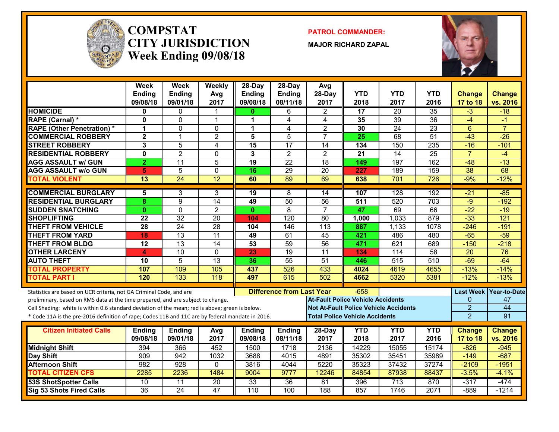

#### **COMPSTATCITY JURISDICTIONWeek Ending 09/08/18**

**PATROL COMMANDER:**

**MAJOR RICHARD ZAPAL**



|                                                                                                  | Week<br><b>Ending</b><br>09/08/18 | Week<br><b>Ending</b><br>09/01/18 | Weekly<br>Avg<br>2017 | 28-Day<br>Ending<br>09/08/18 | $28$ -Day<br><b>Ending</b><br>08/11/18 | Avg<br>28-Day<br>2017                        | <b>YTD</b><br>2018 | <b>YTD</b><br>2017 | <b>YTD</b><br>2016 | <b>Change</b><br>17 to 18 | <b>Change</b><br>vs. 2016 |
|--------------------------------------------------------------------------------------------------|-----------------------------------|-----------------------------------|-----------------------|------------------------------|----------------------------------------|----------------------------------------------|--------------------|--------------------|--------------------|---------------------------|---------------------------|
| <b>HOMICIDE</b>                                                                                  | 0                                 | $\Omega$                          |                       | 0                            | 6                                      | $\overline{2}$                               | 17                 | 20                 | $\overline{35}$    | $-3$                      | $-18$                     |
| RAPE (Carnal) *                                                                                  | $\mathbf{0}$                      | $\Omega$                          | $\overline{1}$        | 1                            | $\overline{\mathbf{4}}$                | 4                                            | 35                 | $\overline{39}$    | $\overline{36}$    | $-4$                      | -1                        |
| <b>RAPE (Other Penetration)*</b>                                                                 | 1                                 | $\Omega$                          | $\Omega$              | 1                            | $\overline{\mathbf{4}}$                | $\overline{2}$                               | 30                 | $\overline{24}$    | $\overline{23}$    | $6\phantom{1}$            | $\overline{7}$            |
| <b>COMMERCIAL ROBBERY</b>                                                                        | $\overline{2}$                    | $\mathbf{1}$                      | $\overline{2}$        | 5                            | 5                                      | $\overline{7}$                               | 25                 | 68                 | 51                 | $-43$                     | $-26$                     |
| <b>STREET ROBBERY</b>                                                                            | 3                                 | 5                                 | 4                     | 15                           | $\overline{17}$                        | 14                                           | 134                | 150                | 235                | $-16$                     | $-101$                    |
| <b>RESIDENTIAL ROBBERY</b>                                                                       | $\mathbf{0}$                      | $\overline{2}$                    | $\Omega$              | 3                            | $\overline{2}$                         | $\overline{2}$                               | 21                 | $\overline{14}$    | $\overline{25}$    | $\overline{7}$            | $-4$                      |
| <b>AGG ASSAULT w/ GUN</b>                                                                        | $\overline{2}$                    | 11                                | $\overline{5}$        | 19                           | $\overline{22}$                        | 18                                           | 149                | 197                | 162                | $-48$                     | $-13$                     |
| <b>AGG ASSAULT w/o GUN</b>                                                                       | 5                                 | $\overline{5}$                    | 0                     | 16                           | $\overline{29}$                        | $\overline{20}$                              | 227                | 189                | 159                | $\overline{38}$           | 68                        |
| <b>TOTAL VIOLENT</b>                                                                             | 13                                | $\overline{24}$                   | 12                    | 60                           | 89                                     | 69                                           | 638                | 701                | $\overline{726}$   | $-9%$                     | $-12%$                    |
| <b>COMMERCIAL BURGLARY</b>                                                                       | 5                                 | 3                                 | 3                     | 19                           | 8                                      | 14                                           | 107                | 128                | 192                | $-21$                     | $-85$                     |
| <b>RESIDENTIAL BURGLARY</b>                                                                      | 8                                 | $\overline{9}$                    | 14                    | 49                           | 50                                     | 56                                           | 511                | 520                | $\overline{703}$   | -9                        | $-192$                    |
| <b>SUDDEN SNATCHING</b>                                                                          | 0                                 | $\mathbf 0$                       | $\overline{2}$        | $\mathbf{0}$                 | $\overline{8}$                         | $\overline{7}$                               | 47                 | 69                 | 66                 | $-22$                     | $-19$                     |
| <b>SHOPLIFTING</b>                                                                               | $\overline{22}$                   | $\overline{32}$                   | $\overline{20}$       | 104                          | 120                                    | $\overline{80}$                              | 1,000              | 1,033              | 879                | $-33$                     | $\overline{121}$          |
| <b>THEFT FROM VEHICLE</b>                                                                        | $\overline{28}$                   | $\overline{24}$                   | $\overline{28}$       | 104                          | 146                                    | $\overline{113}$                             | 887                | 1,133              | 1078               | $-246$                    | $-191$                    |
| <b>THEFT FROM YARD</b>                                                                           | 18                                | $\overline{13}$                   | $\overline{11}$       | 49                           | 61                                     | 45                                           | 421                | 486                | 480                | $-65$                     | $-59$                     |
| <b>THEFT FROM BLDG</b>                                                                           | 12                                | 13                                | $\overline{14}$       | $\overline{53}$              | 59                                     | 56                                           | 471                | 621                | 689                | $-150$                    | $-218$                    |
| <b>OTHER LARCENY</b>                                                                             | 4                                 | $\overline{10}$                   | $\Omega$              | 23                           | $\overline{19}$                        | $\overline{11}$                              | 134                | $\overline{114}$   | $\overline{58}$    | $\overline{20}$           | $\overline{76}$           |
| <b>AUTO THEFT</b>                                                                                | 10                                | $\overline{5}$                    | $\overline{13}$       | 36                           | $\overline{55}$                        | 51                                           | 446                | $\overline{515}$   | $\overline{510}$   | $-69$                     | $-64$                     |
| <b>TOTAL PROPERTY</b>                                                                            | 107                               | 109                               | 105                   | 437                          | 526                                    | 433                                          | 4024               | 4619               | 4655               | $-13%$                    | $-14%$                    |
| <b>TOTAL PART I</b>                                                                              | 120                               | 133                               | 118                   | 497                          | 615                                    | 502                                          | 4662               | 5320               | 5381               | $-12%$                    | $-13%$                    |
| Statistics are based on UCR criteria, not GA Criminal Code, and are                              |                                   |                                   |                       |                              | <b>Difference from Last Year</b>       |                                              | $-658$             |                    |                    | <b>Last Week</b>          | Year-to-Date              |
| preliminary, based on RMS data at the time prepared, and are subject to change.                  |                                   |                                   |                       |                              |                                        | <b>At-Fault Police Vehicle Accidents</b>     |                    |                    |                    | $\mathbf{0}$              | 47                        |
| Cell Shading: white is within 0.6 standard deviation of the mean; red is above; green is below.  |                                   |                                   |                       |                              |                                        | <b>Not At-Fault Police Vehicle Accidents</b> |                    |                    |                    | $\overline{2}$            | 44                        |
| * Code 11A is the pre-2016 definition of rape; Codes 11B and 11C are by federal mandate in 2016. |                                   |                                   |                       |                              |                                        | <b>Total Police Vehicle Accidents</b>        |                    |                    |                    | $\overline{2}$            | 91                        |
|                                                                                                  |                                   |                                   |                       |                              |                                        |                                              |                    |                    |                    |                           |                           |
| <b>Citizen Initiated Calls</b>                                                                   | <b>Ending</b>                     | <b>Ending</b>                     | Avg                   | <b>Ending</b>                | Ending                                 | 28-Day                                       | <b>YTD</b>         | <b>YTD</b>         | <b>YTD</b>         | <b>Change</b>             | <b>Change</b>             |
|                                                                                                  | 09/08/18                          | 09/01/18                          | 2017                  | 09/08/18                     | 08/11/18                               | 2017                                         | 2018               | 2017               | 2016               | 17 to 18                  | vs. 2016                  |
| <b>Midnight Shift</b>                                                                            | 394                               | 366                               | 452                   | 1500                         | 1718                                   | 2136                                         | 14229              | 15055              | 15174              | $-826$                    | $-945$                    |
| Day Shift                                                                                        | 909                               | 942                               | 1032                  | 3688                         | 4015                                   | 4891                                         | 35302              | 35451              | 35989              | $-149$                    | $-687$                    |
| <b>Afternoon Shift</b>                                                                           | 982                               | 928                               | 0                     | 3816                         | 4044                                   | 5220                                         | 35323              | 37432              | 37274              | $-2109$                   | $-1951$                   |
| <b>TOTAL CITIZEN CFS</b>                                                                         | 2285                              | 2236                              | 1484                  | 9004                         | 9777                                   | 12246                                        | 84854              | 87938              | 88437              | $-3.5%$                   | $-4.1%$                   |
| <b>53S ShotSpotter Calls</b>                                                                     | 10                                | 11                                | $\overline{20}$       | 33                           | 36                                     | 81                                           | 396                | 713                | 870                | $-317$                    | $-474$                    |
| Sig 53 Shots Fired Calls                                                                         | $\overline{36}$                   | $\overline{24}$                   | $\overline{47}$       | 110                          | 100                                    | 188                                          | 857                | 1746               | 2071               | $-889$                    | $-1214$                   |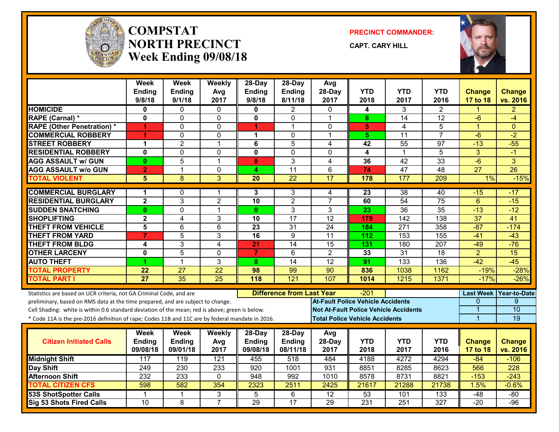

#### **COMPSTATNORTH PRECINCTWeek Ending 09/08/18**

**PRECINCT COMMANDER:**

**CAPT. CARY HILL**



|                                                                                                  | Week<br><b>Ending</b><br>9/8/18 | <b>Week</b><br><b>Ending</b><br>9/1/18 | Weekly<br>Avg<br>2017 | 28-Day<br><b>Ending</b><br>9/8/18 | 28-Day<br><b>Ending</b><br>8/11/18 | Avg<br>28-Day<br>2017                    | <b>YTD</b><br>2018                    | YTD<br>2017                                  | <b>YTD</b><br>2016 | <b>Change</b><br>17 to 18 | <b>Change</b><br>vs. 2016 |
|--------------------------------------------------------------------------------------------------|---------------------------------|----------------------------------------|-----------------------|-----------------------------------|------------------------------------|------------------------------------------|---------------------------------------|----------------------------------------------|--------------------|---------------------------|---------------------------|
| <b>HOMICIDE</b>                                                                                  | 0                               | $\Omega$                               | $\mathbf{0}$          | 0                                 | $\overline{2}$                     | $\mathbf{0}$                             | 4                                     | 3                                            | $\overline{2}$     | 1                         | $\overline{2}$            |
| RAPE (Carnal) *                                                                                  | 0                               | $\Omega$                               | $\Omega$              | $\mathbf{0}$                      | $\Omega$                           | $\overline{1}$                           | 8                                     | 14                                           | 12                 | $-6$                      | $-4$                      |
| <b>RAPE (Other Penetration) *</b>                                                                | 1                               | $\Omega$                               | 0                     | 4                                 | 1                                  | $\mathbf{0}$                             | 5                                     | 4                                            | 5                  | $\overline{1}$            | $\Omega$                  |
| <b>COMMERCIAL ROBBERY</b>                                                                        | 1                               | $\Omega$                               | $\mathbf 0$           | 1                                 | 0                                  | -1                                       | 5.                                    | $\overline{11}$                              | $\overline{7}$     | $-6$                      | $-2$                      |
| <b>STREET ROBBERY</b>                                                                            | 1                               | $\overline{2}$                         | $\mathbf{1}$          | 6                                 | 5                                  | 4                                        | 42                                    | $\overline{55}$                              | $\overline{97}$    | $-13$                     | $-55$                     |
| <b>RESIDENTIAL ROBBERY</b>                                                                       | 0                               | $\mathbf 0$                            | 0                     | 0                                 | $\mathbf 0$                        | $\mathbf{0}$                             | 4                                     | 1                                            | 5                  | 3                         | $-1$                      |
| <b>AGG ASSAULT w/ GUN</b>                                                                        | 0                               | 5                                      | $\mathbf{1}$          | 8                                 | 3                                  | 4                                        | 36                                    | 42                                           | 33                 | $-6$                      | 3                         |
| <b>AGG ASSAULT w/o GUN</b>                                                                       | $\mathbf{2}$                    | $\mathbf{1}$                           | $\mathbf 0$           | 4                                 | 11                                 | 6                                        | 74                                    | 47                                           | 48                 | $\overline{27}$           | $\overline{26}$           |
| <b>TOTAL VIOLENT</b>                                                                             | 5                               | 8                                      | 3                     | $\overline{20}$                   | $\overline{22}$                    | $\overline{17}$                          | 178                                   | 177                                          | 209                | 1%                        | $-15%$                    |
| <b>COMMERCIAL BURGLARY</b>                                                                       | 1                               | $\mathbf{0}$                           | 1                     | 3                                 | 3                                  | 4                                        | $\overline{23}$                       | 38                                           | 40                 | $-15$                     | $-17$                     |
| <b>RESIDENTIAL BURGLARY</b>                                                                      | $\mathbf{2}$                    | 3                                      | $\overline{2}$        | 10                                | $\overline{2}$                     | $\overline{7}$                           | 60                                    | 54                                           | 75                 | $6\phantom{1}$            | $-15$                     |
| <b>SUDDEN SNATCHING</b>                                                                          | $\bf{0}$                        | $\Omega$                               | 1                     | $\mathbf{0}$                      | 3                                  | 3                                        | 23                                    | 36                                           | 35                 | $-13$                     | $-12$                     |
| <b>SHOPLIFTING</b>                                                                               | $\mathbf 2$                     | 4                                      | 3                     | 10                                | $\overline{17}$                    | $\overline{12}$                          | 179                                   | $\overline{142}$                             | 138                | $\overline{37}$           | $\overline{41}$           |
| <b>THEFT FROM VEHICLE</b>                                                                        | 5                               | 6                                      | $6\phantom{1}$        | 23                                | 31                                 | 24                                       | 184                                   | 271                                          | 358                | $-87$                     | $-174$                    |
| <b>THEFT FROM YARD</b>                                                                           | $\overline{7}$                  | $\overline{5}$                         | 3                     | 16                                | 9                                  | $\overline{11}$                          | $\overline{112}$                      | 153                                          | 155                | $-41$                     | $-43$                     |
| <b>THEFT FROM BLDG</b>                                                                           | 4                               | 3                                      | $\overline{4}$        | $\overline{21}$                   | $\overline{14}$                    | $\overline{15}$                          | 131                                   | 180                                          | 207                | $-49$                     | $-76$                     |
| <b>OTHER LARCENY</b>                                                                             | $\mathbf{0}$                    | $\overline{5}$                         | $\mathbf 0$           | $\overline{7}$                    | 6                                  | $\overline{2}$                           | 33                                    | $\overline{31}$                              | 18                 | $\overline{2}$            | $\overline{15}$           |
| <b>AUTO THEFT</b>                                                                                | 1                               | $\mathbf{1}$                           | 3                     | 8                                 | 14                                 | $\overline{12}$                          | $\overline{91}$                       | 133                                          | 136                | $-42$                     | $-45$                     |
| <b>TOTAL PROPERTY</b>                                                                            | 22                              | $\overline{27}$                        | $\overline{22}$       | 98                                | 99                                 | $\overline{90}$                          | 836                                   | 1038                                         | 1162               | $-19%$                    | $-28%$                    |
| <b>TOTAL PART I</b>                                                                              | $\overline{27}$                 | $\overline{35}$                        | $\overline{25}$       | 118                               | 121                                | 107                                      | 1014                                  | 1215                                         | 1371               | $-17%$                    | $-26%$                    |
| Statistics are based on UCR criteria, not GA Criminal Code, and are                              |                                 |                                        |                       |                                   | <b>Difference from Last Year</b>   |                                          | $-201$                                |                                              |                    |                           | Last Week Year-to-Date    |
| preliminary, based on RMS data at the time prepared, and are subject to change.                  |                                 |                                        |                       |                                   |                                    | <b>At-Fault Police Vehicle Accidents</b> |                                       |                                              |                    | $\Omega$                  | 9                         |
| Cell Shading: white is within 0.6 standard deviation of the mean; red is above; green is below.  |                                 |                                        |                       |                                   |                                    |                                          |                                       | <b>Not At-Fault Police Vehicle Accidents</b> |                    | 1                         | 10                        |
| * Code 11A is the pre-2016 definition of rape; Codes 11B and 11C are by federal mandate in 2016. |                                 |                                        |                       |                                   |                                    |                                          | <b>Total Police Vehicle Accidents</b> |                                              |                    | $\overline{1}$            | 19                        |
|                                                                                                  | Week                            | Week                                   | Weekly                | 28-Day                            | 28-Day                             | Avg                                      |                                       |                                              |                    |                           |                           |
| <b>Citizen Initiated Calls</b>                                                                   | Ending                          | <b>Ending</b>                          | Avg                   | Ending                            | <b>Ending</b>                      | 28-Day                                   | <b>YTD</b>                            | <b>YTD</b>                                   | <b>YTD</b>         | <b>Change</b>             | <b>Change</b>             |
|                                                                                                  | 09/08/18                        | 09/01/18                               | 2017                  | 09/08/18                          | 08/11/18                           | 2017                                     | 2018                                  | 2017                                         | 2016               | 17 to 18                  | vs. 2016                  |
| <b>Midnight Shift</b>                                                                            | 117                             | 119                                    | 121                   | 455                               | 518                                | 484                                      | 4188                                  | 4272                                         | 4294               | $-84$                     | $-106$                    |
| <b>Day Shift</b>                                                                                 | 249                             | 230                                    | 233                   | 920                               | 1001                               | 931                                      | 8851                                  | 8285                                         | 8623               | 566                       | $\overline{228}$          |
| <b>Afternoon Shift</b>                                                                           | $\overline{232}$                | 233                                    | $\mathbf 0$           | 948                               | 992                                | 1010                                     | 8578                                  | 8731                                         | 8821               | $-153$                    | $-243$                    |
| <b>TOTAL CITIZEN CFS</b>                                                                         | 598                             | 582                                    | 354                   | 2323                              | 2511                               | 2425                                     | 21617                                 | 21288                                        | 21738              | 1.5%                      | $-0.6%$                   |
| <b>53S ShotSpotter Calls</b>                                                                     | -1                              | 1                                      | 3                     | 5                                 | 6                                  | $\overline{12}$                          | 53                                    | 101                                          | 133                | $-48$                     | $-80$                     |
| Sig 53 Shots Fired Calls                                                                         | 10                              | 8                                      | $\overline{7}$        | 29                                | $\overline{17}$                    | 29                                       | 231                                   | 251                                          | 327                | $-20$                     | $-96$                     |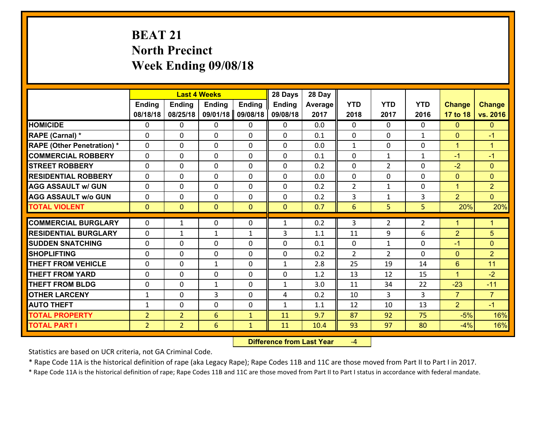# **BEAT 21 North Precinct Week Ending 09/08/18**

|                                              |                                  |                                  | <b>Last 4 Weeks</b> |                   | 28 Days       | 28 Day      |                |                |                |                      |                      |
|----------------------------------------------|----------------------------------|----------------------------------|---------------------|-------------------|---------------|-------------|----------------|----------------|----------------|----------------------|----------------------|
|                                              | Ending                           | <b>Ending</b>                    | <b>Ending</b>       | <b>Ending</b>     | <b>Ending</b> | Average     | <b>YTD</b>     | <b>YTD</b>     | <b>YTD</b>     | <b>Change</b>        | <b>Change</b>        |
|                                              | 08/18/18                         | 08/25/18                         | 09/01/18            | 09/08/18          | 09/08/18      | 2017        | 2018           | 2017           | 2016           | 17 to 18             | vs. 2016             |
| <b>HOMICIDE</b>                              | $\mathbf{0}$                     | 0                                | $\mathbf{0}$        | 0                 | $\mathbf{0}$  | 0.0         | $\mathbf{0}$   | $\Omega$       | $\Omega$       | $\mathbf{0}$         | $\mathbf{0}$         |
| RAPE (Carnal) *                              | $\Omega$                         | 0                                | $\mathbf 0$         | $\Omega$          | 0             | 0.1         | $\mathbf{0}$   | $\Omega$       | $\mathbf{1}$   | $\mathbf{0}$         | $-1$                 |
| <b>RAPE (Other Penetration) *</b>            | $\Omega$                         | $\Omega$                         | $\mathbf 0$         | $\Omega$          | $\Omega$      | 0.0         | $\mathbf{1}$   | 0              | $\Omega$       | $\blacktriangleleft$ | $\blacktriangleleft$ |
| <b>COMMERCIAL ROBBERY</b>                    | 0                                | 0                                | $\mathbf 0$         | 0                 | 0             | 0.1         | $\mathbf{0}$   | $\mathbf{1}$   | $\mathbf{1}$   | $-1$                 | $-1$                 |
| <b>STREET ROBBERY</b>                        | $\mathbf{0}$                     | 0                                | $\mathbf{0}$        | $\Omega$          | 0             | 0.2         | $\mathbf{0}$   | $\overline{2}$ | 0              | $-2$                 | $\Omega$             |
| <b>RESIDENTIAL ROBBERY</b>                   | $\Omega$                         | 0                                | $\mathbf 0$         | $\Omega$          | $\Omega$      | 0.0         | $\Omega$       | $\Omega$       | 0              | $\mathbf{0}$         | $\mathbf{0}$         |
| <b>AGG ASSAULT w/ GUN</b>                    | $\Omega$                         | $\Omega$                         | $\mathbf 0$         | $\Omega$          | 0             | 0.2         | $\overline{2}$ | $\mathbf{1}$   | 0              | $\mathbf{1}$         | $\overline{2}$       |
| <b>AGG ASSAULT w/o GUN</b>                   | 0                                | 0                                | $\mathbf 0$         | $\Omega$          | 0             | 0.2         | 3              | $\mathbf{1}$   | 3              | $\overline{2}$       | $\overline{0}$       |
| <b>TOTAL VIOLENT</b>                         | $\mathbf{0}$                     | $\mathbf{0}$                     | $\mathbf{0}$        | $\mathbf{0}$      | $\mathbf{0}$  | 0.7         | 6              | 5              | 5              | 20%                  | 20%                  |
| <b>COMMERCIAL BURGLARY</b>                   | $\Omega$                         | 1                                | $\mathbf{0}$        | 0                 | $\mathbf{1}$  | 0.2         | 3              | 2              | $\overline{2}$ | $\mathbf 1$          | $\mathbf{1}$         |
| <b>RESIDENTIAL BURGLARY</b>                  | $\mathbf{0}$                     | $\mathbf{1}$                     | $\mathbf{1}$        |                   | 3             | 1.1         | 11             | 9              | 6              | $\overline{2}$       | 5                    |
|                                              |                                  | 0                                | $\mathbf 0$         | $\mathbf{1}$<br>0 |               |             | $\mathbf{0}$   |                |                |                      | $\overline{0}$       |
| <b>ISUDDEN SNATCHING</b>                     | $\mathbf{0}$                     |                                  |                     |                   |               |             |                |                |                |                      |                      |
|                                              |                                  |                                  |                     |                   | 0             | 0.1         |                | $\mathbf{1}$   | 0              | $-1$                 |                      |
| <b>SHOPLIFTING</b>                           | $\mathbf{0}$                     | 0                                | $\mathbf 0$         | 0                 | $\Omega$      | 0.2         | $\overline{2}$ | $\overline{2}$ | 0              | $\mathbf{0}$         | $\overline{2}$       |
| <b>THEFT FROM VEHICLE</b>                    | $\Omega$                         | 0                                | $\mathbf{1}$        | $\Omega$          | $\mathbf{1}$  | 2.8         | 25             | 19             | 14             | 6                    | 11                   |
| <b>THEFT FROM YARD</b>                       | 0                                | $\Omega$                         | $\mathbf 0$         | $\Omega$          | 0             | 1.2         | 13             | 12             | 15             | $\mathbf{1}$         | $-2$                 |
| <b>THEFT FROM BLDG</b>                       | $\mathbf{0}$                     | 0                                | 1                   | 0                 | $\mathbf{1}$  | 3.0         | 11             | 34             | 22             | $-23$                | $-11$                |
| <b>OTHER LARCENY</b>                         | $\mathbf{1}$                     | 0                                | 3                   | 0                 | 4             | 0.2         | 10             | 3              | 3              | $\overline{7}$       | $\overline{7}$       |
| <b>AUTO THEFT</b>                            | $\mathbf{1}$                     | 0                                | $\mathbf 0$         | 0                 | $\mathbf{1}$  | 1.1         | 12             | 10             | 13             | $\overline{2}$       | $-1$                 |
| <b>TOTAL PROPERTY</b><br><b>TOTAL PART I</b> | $\overline{2}$<br>$\overline{2}$ | $\overline{2}$<br>$\overline{2}$ | $6\phantom{1}$<br>6 | $\mathbf{1}$      | 11<br>11      | 9.7<br>10.4 | 87<br>93       | 92<br>97       | 75<br>80       | $-5%$<br>$-4%$       | 16%<br>16%           |

 **Difference from Last Year**‐4

Statistics are based on UCR criteria, not GA Criminal Code.

\* Rape Code 11A is the historical definition of rape (aka Legacy Rape); Rape Codes 11B and 11C are those moved from Part II to Part I in 2017.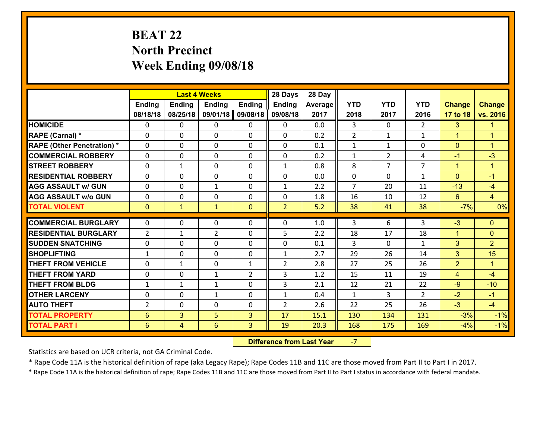# **BEAT 22 North Precinct Week Ending 09/08/18**

|                                   |                 |                | <b>Last 4 Weeks</b> |                | 28 Days        | 28 Day  |                |                |                |                |                      |
|-----------------------------------|-----------------|----------------|---------------------|----------------|----------------|---------|----------------|----------------|----------------|----------------|----------------------|
|                                   | <b>Ending</b>   | <b>Ending</b>  | <b>Ending</b>       | <b>Ending</b>  | <b>Ending</b>  | Average | <b>YTD</b>     | <b>YTD</b>     | <b>YTD</b>     | <b>Change</b>  | <b>Change</b>        |
|                                   | 08/18/18        | 08/25/18       | 09/01/18            | 09/08/18       | 09/08/18       | 2017    | 2018           | 2017           | 2016           | 17 to 18       | vs. 2016             |
| <b>HOMICIDE</b>                   | $\Omega$        | 0              | 0                   | 0              | $\Omega$       | 0.0     | 3              | $\Omega$       | $\mathcal{L}$  | 3              | 1.                   |
| RAPE (Carnal) *                   | $\mathbf{0}$    | 0              | $\mathbf{0}$        | 0              | $\Omega$       | 0.2     | 2              | $\mathbf{1}$   | $\mathbf{1}$   | $\mathbf{1}$   | $\blacktriangleleft$ |
| <b>RAPE (Other Penetration) *</b> | $\Omega$        | 0              | $\mathbf{0}$        | $\Omega$       | $\Omega$       | 0.1     | 1              | $\mathbf{1}$   | 0              | $\mathbf{0}$   | $\blacktriangleleft$ |
| <b>COMMERCIAL ROBBERY</b>         | $\mathbf{0}$    | 0              | 0                   | 0              | $\Omega$       | 0.2     | $\mathbf{1}$   | $\overline{2}$ | 4              | $-1$           | $-3$                 |
| <b>STREET ROBBERY</b>             | 0               | $\mathbf{1}$   | $\mathbf 0$         | 0              | $\mathbf{1}$   | 0.8     | 8              | $\overline{7}$ | $\overline{7}$ | $\mathbf{1}$   | $\mathbf{1}$         |
| <b>RESIDENTIAL ROBBERY</b>        | $\Omega$        | $\Omega$       | $\mathbf 0$         | $\Omega$       | 0              | 0.0     | 0              | $\Omega$       | $\mathbf{1}$   | $\Omega$       | $-1$                 |
| <b>AGG ASSAULT w/ GUN</b>         | 0               | 0              | $\mathbf{1}$        | 0              | $\mathbf{1}$   | 2.2     | $\overline{7}$ | 20             | 11             | $-13$          | $-4$                 |
| <b>AGG ASSAULT w/o GUN</b>        | 0               | 0              | $\mathbf 0$         | $\mathbf 0$    | 0              | 1.8     | 16             | 10             | 12             | $6^{\circ}$    | $\overline{4}$       |
| <b>TOTAL VIOLENT</b>              | $\mathbf{0}$    | $\mathbf{1}$   | $\mathbf{1}$        | $\mathbf{0}$   | $\overline{2}$ | 5.2     | 38             | 41             | 38             | $-7%$          | 0%                   |
| <b>COMMERCIAL BURGLARY</b>        | $\Omega$        | 0              | $\mathbf{0}$        | $\Omega$       | $\Omega$       | 1.0     | 3              | 6              | 3              | $-3$           | $\Omega$             |
| <b>RESIDENTIAL BURGLARY</b>       | $\overline{2}$  | 1              | $\overline{2}$      | 0              | 5              | 2.2     | 18             | 17             | 18             | $\mathbf{1}$   | $\mathbf{0}$         |
| <b>SUDDEN SNATCHING</b>           | 0               | 0              | 0                   | 0              | 0              | 0.1     | 3              | $\mathbf{0}$   | $\mathbf{1}$   | 3              | $\overline{2}$       |
| <b>SHOPLIFTING</b>                | $\mathbf{1}$    | 0              | $\mathbf 0$         | 0              | $\mathbf{1}$   | 2.7     | 29             | 26             | 14             | 3              | 15                   |
| <b>THEFT FROM VEHICLE</b>         | 0               | $\mathbf{1}$   | $\mathbf 0$         | $\mathbf{1}$   | $\overline{2}$ | 2.8     | 27             | 25             | 26             | $\overline{2}$ | $\mathbf{1}$         |
| <b>THEFT FROM YARD</b>            | 0               | 0              | $\mathbf{1}$        | $\overline{2}$ | 3              | 1.2     | 15             | 11             | 19             | $\overline{4}$ | $-4$                 |
| <b>THEFT FROM BLDG</b>            | $\mathbf{1}$    | $\mathbf{1}$   | 1                   | 0              | 3              | 2.1     | 12             | 21             | 22             | $-9$           | $-10$                |
| <b>OTHER LARCENY</b>              | 0               | 0              | $\mathbf{1}$        | 0              | $\mathbf{1}$   | 0.4     | $\mathbf{1}$   | 3              | $\overline{2}$ | $-2$           | $-1$                 |
| <b>AUTO THEFT</b>                 | $\overline{2}$  | 0              | $\mathbf{0}$        | 0              | $\overline{2}$ | 2.6     | 22             | 25             | 26             | $-3$           | $-4$                 |
| <b>TOTAL PROPERTY</b>             | $6\phantom{1}6$ | 3              | 5                   | 3              | 17             | 15.1    | 130            | 134            | 131            | $-3%$          | $-1%$                |
| <b>TOTAL PART I</b>               | $6\phantom{1}6$ | $\overline{4}$ | 6                   | 3              | 19             | 20.3    | 168            | 175            | 169            | $-4%$          | $-1%$                |

 **Difference from Last Year**‐7

Statistics are based on UCR criteria, not GA Criminal Code.

\* Rape Code 11A is the historical definition of rape (aka Legacy Rape); Rape Codes 11B and 11C are those moved from Part II to Part I in 2017.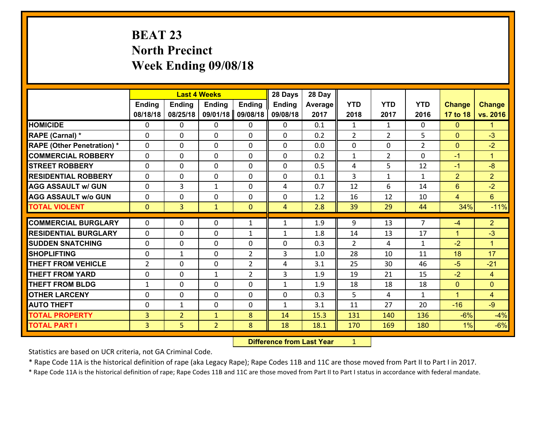# **BEAT 23 North Precinct Week Ending 09/08/18**

|                                   |              |                | <b>Last 4 Weeks</b> |                | 28 Days        | 28 Day  |                |                |                |                |                |
|-----------------------------------|--------------|----------------|---------------------|----------------|----------------|---------|----------------|----------------|----------------|----------------|----------------|
|                                   | Ending       | Ending         | <b>Ending</b>       | <b>Ending</b>  | <b>Ending</b>  | Average | <b>YTD</b>     | <b>YTD</b>     | <b>YTD</b>     | <b>Change</b>  | <b>Change</b>  |
|                                   | 08/18/18     | 08/25/18       | 09/01/18            | 09/08/18       | 09/08/18       | 2017    | 2018           | 2017           | 2016           | 17 to 18       | vs. 2016       |
| <b>HOMICIDE</b>                   | 0            | 0              | 0                   | 0              | 0              | 0.1     | $\mathbf{1}$   | $\mathbf{1}$   | 0              | $\mathbf{0}$   | 1.             |
| RAPE (Carnal) *                   | $\mathbf{0}$ | 0              | $\mathbf 0$         | 0              | 0              | 0.2     | $\overline{2}$ | $\overline{2}$ | 5              | $\mathbf{0}$   | $-3$           |
| <b>RAPE (Other Penetration) *</b> | $\Omega$     | 0              | $\mathbf{0}$        | 0              | $\Omega$       | 0.0     | $\mathbf{0}$   | 0              | $\overline{2}$ | $\mathbf{0}$   | $-2$           |
| <b>COMMERCIAL ROBBERY</b>         | $\Omega$     | 0              | $\mathbf{0}$        | $\Omega$       | $\Omega$       | 0.2     | $\mathbf{1}$   | $\overline{2}$ | 0              | $-1$           | $\mathbf{1}$   |
| <b>STREET ROBBERY</b>             | $\Omega$     | 0              | $\mathbf{0}$        | $\Omega$       | $\Omega$       | 0.5     | 4              | 5.             | 12             | $-1$           | $-8$           |
| <b>RESIDENTIAL ROBBERY</b>        | $\Omega$     | 0              | $\mathbf{0}$        | $\Omega$       | $\Omega$       | 0.1     | 3              | $\mathbf{1}$   | $\mathbf{1}$   | $\overline{2}$ | 2 <sup>1</sup> |
| <b>AGG ASSAULT w/ GUN</b>         | 0            | 3              | $\mathbf{1}$        | 0              | 4              | 0.7     | 12             | 6              | 14             | 6              | $-2$           |
| <b>AGG ASSAULT w/o GUN</b>        | $\mathbf{0}$ | 0              | 0                   | 0              | 0              | 1.2     | 16             | 12             | 10             | $\overline{4}$ | 6              |
| <b>TOTAL VIOLENT</b>              | $\mathbf{0}$ | 3 <sup>1</sup> | $\mathbf{1}$        | $\mathbf{0}$   | $\overline{4}$ | 2.8     | 39             | 29             | 44             | 34%            | $-11%$         |
| <b>COMMERCIAL BURGLARY</b>        | $\mathbf{0}$ | 0              |                     |                |                | 1.9     |                |                | $\overline{7}$ |                | 2 <sup>1</sup> |
|                                   |              |                | 0                   | $\mathbf{1}$   | $\mathbf{1}$   |         | 9              | 13             |                | $-4$           |                |
| <b>RESIDENTIAL BURGLARY</b>       | $\Omega$     | 0              | $\mathbf 0$         | 1              | $\mathbf{1}$   | 1.8     | 14             | 13             | 17             | $\mathbf{1}$   | $-3$           |
|                                   |              |                |                     |                |                |         |                |                |                |                |                |
| <b>ISUDDEN SNATCHING</b>          | $\mathbf{0}$ | 0              | 0                   | 0              | $\Omega$       | 0.3     | 2              | 4              | $\mathbf{1}$   | $-2$           | $\mathbf{1}$   |
| <b>SHOPLIFTING</b>                | $\Omega$     | $\mathbf{1}$   | $\mathbf{0}$        | $\overline{2}$ | 3              | 1.0     | 28             | 10             | 11             | 18             | 17             |
| <b>THEFT FROM VEHICLE</b>         | 2            | 0              | $\mathbf 0$         | $\overline{2}$ | 4              | 3.1     | 25             | 30             | 46             | $-5$           | $-21$          |
| <b>THEFT FROM YARD</b>            | $\mathbf{0}$ | 0              | 1                   | $\overline{2}$ | 3              | 1.9     | 19             | 21             | 15             | $-2$           | $\overline{4}$ |
| <b>THEFT FROM BLDG</b>            | 1            | $\Omega$       | $\mathbf 0$         | $\Omega$       | $\mathbf{1}$   | 1.9     | 18             | 18             | 18             | $\mathbf{0}$   | $\Omega$       |
| <b>OTHER LARCENY</b>              | $\mathbf{0}$ | 0              | $\mathbf{0}$        | $\Omega$       | $\Omega$       | 0.3     | 5.             | 4              | $\mathbf{1}$   | $\mathbf{1}$   | $\overline{4}$ |
| <b>AUTO THEFT</b>                 | $\mathbf{0}$ | $\mathbf{1}$   | $\mathbf{0}$        | 0              | $\mathbf{1}$   | 3.1     | 11             | 27             | 20             | $-16$          | $-9$           |
| <b>TOTAL PROPERTY</b>             | 3            | $\overline{2}$ | $\mathbf{1}$        | 8              | 14             | 15.3    | 131            | 140            | 136            | $-6%$          | $-4%$          |
| <b>TOTAL PART I</b>               | 3            | 5              | $\overline{2}$      | 8              | 18             | 18.1    | 170            | 169            | 180            | 1%             | $-6%$          |

 **Difference from Last Year**r <u>1</u>

Statistics are based on UCR criteria, not GA Criminal Code.

\* Rape Code 11A is the historical definition of rape (aka Legacy Rape); Rape Codes 11B and 11C are those moved from Part II to Part I in 2017.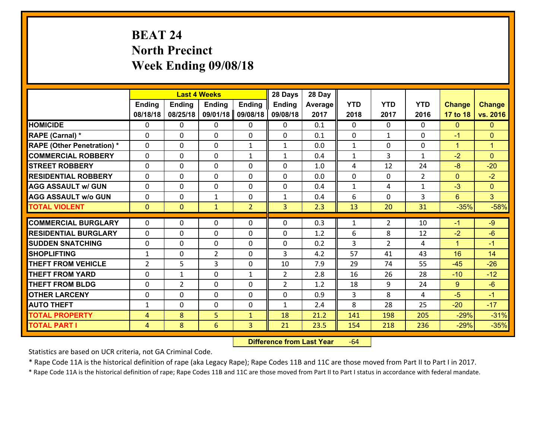# **BEAT 24 North Precinct Week Ending 09/08/18**

|                                   |                |                | <b>Last 4 Weeks</b> |                | 28 Days        | 28 Day  |              |                |                |                |                      |
|-----------------------------------|----------------|----------------|---------------------|----------------|----------------|---------|--------------|----------------|----------------|----------------|----------------------|
|                                   | <b>Ending</b>  | <b>Ending</b>  | <b>Ending</b>       | <b>Ending</b>  | <b>Ending</b>  | Average | <b>YTD</b>   | <b>YTD</b>     | <b>YTD</b>     | <b>Change</b>  | <b>Change</b>        |
|                                   | 08/18/18       | 08/25/18       | 09/01/18            | 09/08/18       | 09/08/18       | 2017    | 2018         | 2017           | 2016           | 17 to 18       | vs. 2016             |
| <b>HOMICIDE</b>                   | $\Omega$       | 0              | 0                   | 0              | 0              | 0.1     | $\Omega$     | $\Omega$       | 0              | $\mathbf{0}$   | $\mathbf{0}$         |
| <b>RAPE (Carnal)*</b>             | 0              | 0              | $\mathbf{0}$        | 0              | $\Omega$       | 0.1     | $\mathbf{0}$ | $\mathbf{1}$   | $\Omega$       | $-1$           | $\mathbf{0}$         |
| <b>RAPE (Other Penetration) *</b> | $\Omega$       | 0              | $\mathbf{0}$        | $\mathbf{1}$   | $\mathbf{1}$   | 0.0     | $\mathbf{1}$ | $\Omega$       | $\Omega$       | $\mathbf{1}$   | $\blacktriangleleft$ |
| <b>COMMERCIAL ROBBERY</b>         | 0              | 0              | 0                   | $\mathbf{1}$   | $\mathbf{1}$   | 0.4     | $\mathbf{1}$ | 3              | $\mathbf{1}$   | $-2$           | $\mathbf{0}$         |
| <b>STREET ROBBERY</b>             | $\Omega$       | 0              | $\mathbf 0$         | 0              | 0              | 1.0     | 4            | 12             | 24             | $-8$           | $-20$                |
| <b>RESIDENTIAL ROBBERY</b>        | $\Omega$       | $\Omega$       | $\mathbf 0$         | $\Omega$       | 0              | 0.0     | $\mathbf 0$  | $\Omega$       | $\overline{2}$ | $\overline{0}$ | $-2$                 |
| <b>AGG ASSAULT w/ GUN</b>         | $\Omega$       | 0              | $\mathbf 0$         | $\Omega$       | 0              | 0.4     | $\mathbf 1$  | 4              | $\mathbf{1}$   | $-3$           | $\overline{0}$       |
| <b>AGG ASSAULT w/o GUN</b>        | 0              | 0              | $\mathbf{1}$        | 0              | $\mathbf{1}$   | 0.4     | 6            | $\mathbf 0$    | 3              | $6^{\circ}$    | 3 <sup>1</sup>       |
| <b>TOTAL VIOLENT</b>              | $\mathbf{0}$   | $\overline{0}$ | $\mathbf{1}$        | $\overline{2}$ | 3              | 2.3     | 13           | 20             | 31             | $-35%$         | $-58%$               |
| <b>COMMERCIAL BURGLARY</b>        | $\Omega$       | 0              | $\mathbf{0}$        | $\Omega$       | $\Omega$       | 0.3     | $\mathbf{1}$ | $\overline{2}$ | 10             | $-1$           | $-9$                 |
| <b>RESIDENTIAL BURGLARY</b>       | 0              | 0              | $\mathbf 0$         | 0              | 0              | 1.2     | 6            | 8              | 12             | $-2$           | $-6$                 |
| <b>SUDDEN SNATCHING</b>           | 0              | 0              | $\mathbf 0$         | 0              | 0              | 0.2     | 3            | $\overline{2}$ | 4              | $\mathbf{1}$   | $-1$                 |
| <b>SHOPLIFTING</b>                | $\mathbf{1}$   | 0              | $\overline{2}$      | 0              | 3              | 4.2     | 57           | 41             | 43             | 16             | 14                   |
| <b>THEFT FROM VEHICLE</b>         | $\overline{2}$ | 5              | 3                   | 0              | 10             | 7.9     | 29           | 74             | 55             | $-45$          | $-26$                |
| <b>THEFT FROM YARD</b>            | 0              | $\mathbf{1}$   | $\mathbf 0$         | $\mathbf{1}$   | $\overline{2}$ | 2.8     | 16           | 26             | 28             | $-10$          | $-12$                |
| <b>THEFT FROM BLDG</b>            | 0              | $\overline{2}$ | $\mathbf 0$         | 0              | $\overline{2}$ | 1.2     | 18           | 9              | 24             | $9^{\circ}$    | $-6$                 |
| <b>OTHER LARCENY</b>              | 0              | 0              | $\mathbf 0$         | 0              | 0              | 0.9     | 3            | 8              | 4              | $-5$           | $-1$                 |
| <b>AUTO THEFT</b>                 | $\mathbf{1}$   | 0              | $\mathbf{0}$        | 0              | $\mathbf{1}$   | 2.4     | 8            | 28             | 25             | $-20$          | $-17$                |
| <b>TOTAL PROPERTY</b>             | $\overline{4}$ | 8              | 5                   | $\mathbf{1}$   | 18             | 21.2    | 141          | 198            | 205            | $-29%$         | $-31%$               |
| <b>TOTAL PART I</b>               | $\overline{4}$ | 8              | 6                   | 3              | 21             | 23.5    | 154          | 218            | 236            | $-29%$         | $-35%$               |

 **Difference from Last Year**r -64

Statistics are based on UCR criteria, not GA Criminal Code.

\* Rape Code 11A is the historical definition of rape (aka Legacy Rape); Rape Codes 11B and 11C are those moved from Part II to Part I in 2017.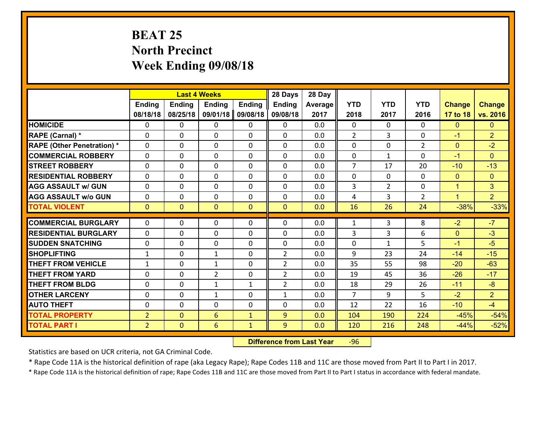# **BEAT 25 North Precinct Week Ending 09/08/18**

|                                   |                |                | <b>Last 4 Weeks</b> |                | 28 Days        | 28 Day  |                |                |                |                |                |
|-----------------------------------|----------------|----------------|---------------------|----------------|----------------|---------|----------------|----------------|----------------|----------------|----------------|
|                                   | Ending         | <b>Ending</b>  | Ending              | <b>Ending</b>  | <b>Ending</b>  | Average | <b>YTD</b>     | <b>YTD</b>     | <b>YTD</b>     | <b>Change</b>  | <b>Change</b>  |
|                                   | 08/18/18       | 08/25/18       | 09/01/18            | 09/08/18       | 09/08/18       | 2017    | 2018           | 2017           | 2016           | 17 to 18       | vs. 2016       |
| <b>HOMICIDE</b>                   | 0              | $\Omega$       | 0                   | 0              | 0              | 0.0     | $\Omega$       | $\Omega$       | 0              | $\mathbf{0}$   | $\mathbf{0}$   |
| RAPE (Carnal) *                   | $\Omega$       | 0              | $\mathbf{0}$        | $\Omega$       | 0              | 0.0     | $\overline{2}$ | 3              | $\Omega$       | $-1$           | $\overline{2}$ |
| <b>RAPE (Other Penetration) *</b> | $\Omega$       | 0              | $\mathbf{0}$        | $\Omega$       | 0              | 0.0     | $\mathbf{0}$   | $\Omega$       | $\overline{2}$ | $\mathbf{0}$   | $-2$           |
| <b>COMMERCIAL ROBBERY</b>         | $\Omega$       | 0              | $\mathbf{0}$        | $\Omega$       | 0              | 0.0     | $\mathbf{0}$   | $\mathbf{1}$   | $\Omega$       | $-1$           | $\mathbf{0}$   |
| <b>STREET ROBBERY</b>             | $\Omega$       | $\Omega$       | $\Omega$            | 0              | $\Omega$       | 0.0     | $\overline{7}$ | 17             | 20             | $-10$          | $-13$          |
| <b>RESIDENTIAL ROBBERY</b>        | $\Omega$       | $\Omega$       | $\mathbf 0$         | $\Omega$       | $\Omega$       | 0.0     | $\Omega$       | $\Omega$       | $\Omega$       | $\mathbf{0}$   | $\mathbf{0}$   |
| <b>AGG ASSAULT w/ GUN</b>         | 0              | $\Omega$       | $\mathbf 0$         | $\Omega$       | $\Omega$       | 0.0     | 3              | $\overline{2}$ | 0              | $\mathbf{1}$   | 3              |
| <b>AGG ASSAULT w/o GUN</b>        | 0              | 0              | $\mathbf 0$         | $\Omega$       | 0              | 0.0     | 4              | $\overline{3}$ | $\overline{2}$ | $\overline{1}$ | 2 <sup>1</sup> |
| <b>TOTAL VIOLENT</b>              | $\mathbf{0}$   | $\overline{0}$ | $\mathbf{0}$        | $\overline{0}$ | $\mathbf{0}$   | 0.0     | 16             | 26             | 24             | $-38%$         | $-33%$         |
| <b>COMMERCIAL BURGLARY</b>        | $\Omega$       | 0              | $\mathbf{0}$        | 0              | 0              | 0.0     | 1              | 3              | 8              | $-2$           | $-7$           |
| <b>RESIDENTIAL BURGLARY</b>       | $\Omega$       | 0              | $\mathbf{0}$        | 0              | 0              | 0.0     | 3              | 3              | 6              | $\mathbf{0}$   | $-3$           |
| <b>SUDDEN SNATCHING</b>           | 0              | 0              | $\mathbf{0}$        | 0              | 0              | 0.0     | $\mathbf 0$    | $\mathbf{1}$   | 5              | $-1$           | $-5$           |
| <b>SHOPLIFTING</b>                | $\mathbf{1}$   | $\Omega$       | $\mathbf{1}$        | $\Omega$       | $\overline{2}$ | 0.0     | 9              | 23             | 24             | $-14$          | $-15$          |
| <b>THEFT FROM VEHICLE</b>         | $\mathbf{1}$   | $\Omega$       | $\mathbf{1}$        | $\Omega$       | $\overline{2}$ | 0.0     | 35             | 55             | 98             | $-20$          | $-63$          |
| <b>THEFT FROM YARD</b>            | 0              | $\Omega$       | $\overline{2}$      | 0              | $\overline{2}$ | 0.0     | 19             | 45             | 36             | $-26$          | $-17$          |
| <b>THEFT FROM BLDG</b>            | 0              | 0              | 1                   | $\mathbf{1}$   | $\overline{2}$ | 0.0     | 18             | 29             | 26             | $-11$          | $-8$           |
| <b>OTHER LARCENY</b>              | 0              | 0              | 1                   | $\Omega$       | 1              | 0.0     | $\overline{7}$ | 9              | 5              | $-2$           | $\overline{2}$ |
| <b>AUTO THEFT</b>                 | 0              | 0              | 0                   | 0              | 0              | 0.0     | 12             | 22             | 16             | $-10$          | $-4$           |
| <b>TOTAL PROPERTY</b>             | $\overline{2}$ | $\overline{0}$ | 6                   | $\mathbf{1}$   | 9              | 0.0     | 104            | 190            | 224            | $-45%$         | $-54%$         |
| <b>TOTAL PART I</b>               | $\overline{2}$ | $\overline{0}$ | $6\phantom{1}$      | $\mathbf{1}$   | 9              | 0.0     | 120            | 216            | 248            | $-44%$         | $-52%$         |

 **Difference from Last Year**r -96

Statistics are based on UCR criteria, not GA Criminal Code.

\* Rape Code 11A is the historical definition of rape (aka Legacy Rape); Rape Codes 11B and 11C are those moved from Part II to Part I in 2017.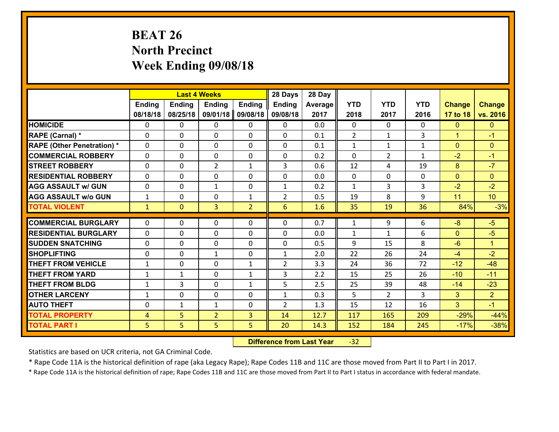# **BEAT 26 North Precinct Week Ending 09/08/18**

|                                   |                |                | <b>Last 4 Weeks</b> |                | 28 Days        | 28 Day  |                |                |              |                |                      |
|-----------------------------------|----------------|----------------|---------------------|----------------|----------------|---------|----------------|----------------|--------------|----------------|----------------------|
|                                   | Ending         | <b>Ending</b>  | <b>Ending</b>       | <b>Ending</b>  | <b>Ending</b>  | Average | <b>YTD</b>     | <b>YTD</b>     | <b>YTD</b>   | <b>Change</b>  | <b>Change</b>        |
|                                   | 08/18/18       | 08/25/18       | 09/01/18            | 09/08/18       | 09/08/18       | 2017    | 2018           | 2017           | 2016         | 17 to 18       | vs. 2016             |
| <b>HOMICIDE</b>                   | 0              | 0              | 0                   | 0              | 0              | 0.0     | $\mathbf 0$    | $\Omega$       | 0            | $\mathbf{0}$   | $\mathbf{0}$         |
| RAPE (Carnal) *                   | $\Omega$       | 0              | $\mathbf{0}$        | $\Omega$       | 0              | 0.1     | $\overline{2}$ | $\mathbf{1}$   | 3            | $\mathbf{1}$   | $-1$                 |
| <b>RAPE (Other Penetration) *</b> | $\Omega$       | $\Omega$       | $\Omega$            | $\Omega$       | $\Omega$       | 0.1     | $\mathbf{1}$   | $\mathbf{1}$   | $\mathbf{1}$ | $\Omega$       | $\mathbf{0}$         |
| <b>COMMERCIAL ROBBERY</b>         | $\Omega$       | $\Omega$       | $\mathbf 0$         | $\Omega$       | 0              | 0.2     | $\Omega$       | $\overline{2}$ | $\mathbf{1}$ | $-2$           | $-1$                 |
| <b>STREET ROBBERY</b>             | 0              | 0              | $\overline{2}$      | $\mathbf{1}$   | 3              | 0.6     | 12             | 4              | 19           | 8              | $-7$                 |
| <b>RESIDENTIAL ROBBERY</b>        | $\mathbf{0}$   | 0              | $\mathbf 0$         | 0              | 0              | 0.0     | $\mathbf{0}$   | 0              | 0            | $\overline{0}$ | $\mathbf{0}$         |
| <b>AGG ASSAULT w/ GUN</b>         | 0              | 0              | $\mathbf{1}$        | 0              | $\mathbf{1}$   | 0.2     | $\mathbf{1}$   | $\overline{3}$ | 3            | $-2$           | $-2$                 |
| <b>AGG ASSAULT w/o GUN</b>        | $\mathbf{1}$   | 0              | $\mathbf 0$         | $\mathbf{1}$   | $\overline{2}$ | 0.5     | 19             | 8              | 9            | 11             | 10 <sup>°</sup>      |
| <b>TOTAL VIOLENT</b>              | $\mathbf{1}$   | $\overline{0}$ | 3                   | $\overline{2}$ | 6              | 1.6     | 35             | 19             | 36           | 84%            | $-3%$                |
|                                   |                |                |                     |                |                |         |                |                |              |                |                      |
| <b>COMMERCIAL BURGLARY</b>        | $\Omega$       | 0              | $\mathbf{0}$        | $\Omega$       | $\Omega$       | 0.7     | $\mathbf{1}$   | 9              | 6            | $-8$           | $-5$                 |
| <b>RESIDENTIAL BURGLARY</b>       | $\Omega$       | 0              | $\mathbf 0$         | $\Omega$       | 0              | 0.0     | $\mathbf{1}$   | $\mathbf{1}$   | 6            | $\mathbf{0}$   | $-5$                 |
| <b>SUDDEN SNATCHING</b>           | $\Omega$       | 0              | $\mathbf 0$         | $\Omega$       | 0              | 0.5     | 9              | 15             | 8            | $-6$           | $\blacktriangleleft$ |
| <b>SHOPLIFTING</b>                | 0              | 0              | $\mathbf{1}$        | 0              | $\mathbf{1}$   | 2.0     | 22             | 26             | 24           | $-4$           | $-2$                 |
| <b>THEFT FROM VEHICLE</b>         | $\mathbf{1}$   | 0              | $\mathbf 0$         | $\mathbf{1}$   | $\overline{2}$ | 3.3     | 24             | 36             | 72           | $-12$          | $-48$                |
| <b>THEFT FROM YARD</b>            | $\mathbf{1}$   | $\mathbf{1}$   | $\mathbf 0$         | $\mathbf{1}$   | 3              | 2.2     | 15             | 25             | 26           | $-10$          | $-11$                |
| <b>THEFT FROM BLDG</b>            | $\mathbf{1}$   | 3              | 0                   | $\mathbf{1}$   | 5              | 2.5     | 25             | 39             | 48           | $-14$          | $-23$                |
| <b>OTHER LARCENY</b>              | $\mathbf{1}$   | 0              | $\mathbf 0$         | 0              | $\mathbf{1}$   | 0.3     | 5              | $\overline{2}$ | 3            | $\overline{3}$ | $\overline{2}$       |
| <b>AUTO THEFT</b>                 | 0              | 1              | 1                   | 0              | $\overline{2}$ | 1.3     | 15             | 12             | 16           | 3              | $-1$                 |
| <b>TOTAL PROPERTY</b>             | $\overline{4}$ | 5              | $\overline{2}$      | 3              | 14             | 12.7    | 117            | 165            | 209          | $-29%$         | $-44%$               |
| <b>TOTAL PART I</b>               | 5 <sub>1</sub> | 5              | 5                   | 5              | 20             | 14.3    | 152            | 184            | 245          | $-17%$         | $-38%$               |

 **Difference from Last Year**r -32

Statistics are based on UCR criteria, not GA Criminal Code.

\* Rape Code 11A is the historical definition of rape (aka Legacy Rape); Rape Codes 11B and 11C are those moved from Part II to Part I in 2017.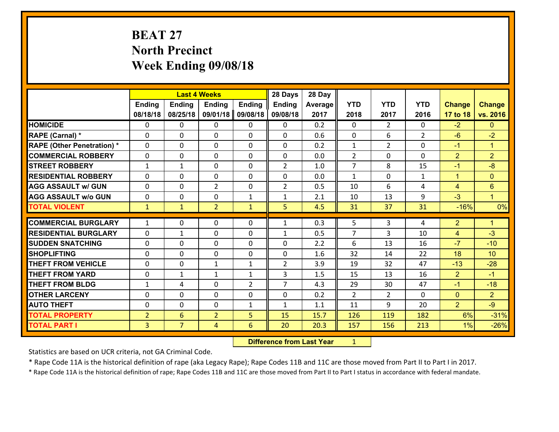# **BEAT 27 North Precinct Week Ending 09/08/18**

|                                   |                |                 | <b>Last 4 Weeks</b> |                | 28 Days        | 28 Day  |                |                |                |                |                      |
|-----------------------------------|----------------|-----------------|---------------------|----------------|----------------|---------|----------------|----------------|----------------|----------------|----------------------|
|                                   | <b>Ending</b>  | <b>Ending</b>   | <b>Ending</b>       | <b>Ending</b>  | <b>Ending</b>  | Average | <b>YTD</b>     | <b>YTD</b>     | <b>YTD</b>     | <b>Change</b>  | <b>Change</b>        |
|                                   | 08/18/18       | 08/25/18        | 09/01/18            | 09/08/18       | 09/08/18       | 2017    | 2018           | 2017           | 2016           | 17 to 18       | vs. 2016             |
| <b>HOMICIDE</b>                   | $\mathbf{0}$   | 0               | 0                   | 0              | 0              | 0.2     | $\Omega$       | $\overline{2}$ | $\Omega$       | $-2$           | $\mathbf{0}$         |
| RAPE (Carnal) *                   | $\Omega$       | 0               | $\mathbf{0}$        | 0              | $\Omega$       | 0.6     | $\mathbf{0}$   | 6              | $\overline{2}$ | $-6$           | $-2$                 |
| <b>RAPE (Other Penetration) *</b> | $\Omega$       | $\Omega$        | $\Omega$            | $\Omega$       | $\Omega$       | 0.2     | $\mathbf{1}$   | $\overline{2}$ | $\Omega$       | $-1$           | $\blacktriangleleft$ |
| <b>COMMERCIAL ROBBERY</b>         | 0              | 0               | $\mathbf 0$         | 0              | 0              | 0.0     | 2              | $\mathbf{0}$   | $\Omega$       | $\overline{2}$ | $\overline{2}$       |
| <b>STREET ROBBERY</b>             | $\mathbf{1}$   | 1               | $\mathbf 0$         | $\Omega$       | $\overline{2}$ | 1.0     | $\overline{7}$ | 8              | 15             | $-1$           | $-8$                 |
| <b>RESIDENTIAL ROBBERY</b>        | $\Omega$       | $\Omega$        | $\mathbf 0$         | $\Omega$       | 0              | 0.0     | $\mathbf{1}$   | $\Omega$       | $\mathbf{1}$   | $\mathbf{1}$   | $\mathbf{0}$         |
| <b>AGG ASSAULT w/ GUN</b>         | $\Omega$       | 0               | $\overline{2}$      | $\Omega$       | $\overline{2}$ | 0.5     | 10             | 6              | 4              | $\overline{4}$ | $6\phantom{1}$       |
| <b>AGG ASSAULT w/o GUN</b>        | 0              | 0               | $\mathbf 0$         | $\mathbf{1}$   | $\mathbf{1}$   | 2.1     | 10             | 13             | 9              | $-3$           | $\mathbf{1}$         |
| <b>TOTAL VIOLENT</b>              | $\mathbf{1}$   | $\mathbf{1}$    | $\overline{2}$      | $\mathbf{1}$   | 5              | 4.5     | 31             | 37             | 31             | $-16%$         | 0%                   |
| <b>COMMERCIAL BURGLARY</b>        | $\mathbf{1}$   | 0               | 0                   | 0              | $\mathbf{1}$   | 0.3     | 5              | 3              | 4              | $\overline{2}$ | $\blacktriangleleft$ |
|                                   |                |                 |                     |                |                |         |                |                |                |                |                      |
| <b>RESIDENTIAL BURGLARY</b>       | $\Omega$       | 1               | $\mathbf{0}$        | 0              | 1              | 0.5     | 7              | 3              | 10             | 4              | $-3$                 |
| <b>SUDDEN SNATCHING</b>           | $\Omega$       | 0               | $\mathbf{0}$        | $\Omega$       | $\Omega$       | 2.2     | 6              | 13             | 16             | $-7$           | $-10$                |
| <b>SHOPLIFTING</b>                | 0              | 0               | $\mathbf 0$         | 0              | 0              | 1.6     | 32             | 14             | 22             | 18             | 10                   |
| <b>THEFT FROM VEHICLE</b>         | $\Omega$       | 0               | $\mathbf{1}$        | $\mathbf{1}$   | $\overline{2}$ | 3.9     | 19             | 32             | 47             | $-13$          | $-28$                |
| <b>THEFT FROM YARD</b>            | 0              | 1               | 1                   | $\mathbf{1}$   | 3              | 1.5     | 15             | 13             | 16             | $\overline{2}$ | $-1$                 |
| <b>THEFT FROM BLDG</b>            | $\mathbf{1}$   | 4               | $\mathbf 0$         | $\overline{2}$ | $\overline{7}$ | 4.3     | 29             | 30             | 47             | $-1$           | $-18$                |
| <b>OTHER LARCENY</b>              | 0              | 0               | $\mathbf 0$         | 0              | 0              | 0.2     | $\overline{2}$ | $\overline{2}$ | $\Omega$       | $\overline{0}$ | $\overline{2}$       |
| <b>AUTO THEFT</b>                 | 0              | 0               | $\mathbf 0$         | $\mathbf{1}$   | $\mathbf{1}$   | 1.1     | 11             | 9              | 20             | $\overline{2}$ | $-9$                 |
| <b>TOTAL PROPERTY</b>             | $\overline{2}$ | $6\overline{6}$ | $\overline{2}$      | 5              | 15             | 15.7    | 126            | 119            | 182            | 6%             | $-31%$               |
| <b>TOTAL PART I</b>               | $\overline{3}$ | $\overline{7}$  | 4                   | 6              | 20             | 20.3    | 157            | 156            | 213            | 1%             | $-26%$               |

 **Difference from Last Year**r <u>1</u>

Statistics are based on UCR criteria, not GA Criminal Code.

\* Rape Code 11A is the historical definition of rape (aka Legacy Rape); Rape Codes 11B and 11C are those moved from Part II to Part I in 2017.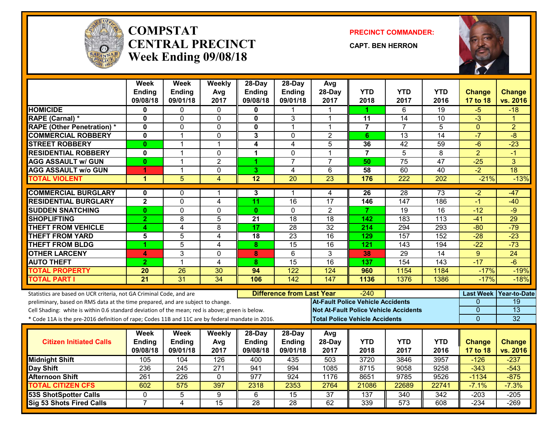

#### **COMPSTATCENTRAL PRECINCTWeek Ending 09/08/18**

**PRECINCT COMMANDER:**

**CAPT. BEN HERRON**



|                                                                                                  | <b>Week</b>     | <b>Week</b>      | Weekly          | 28-Day                  | 28-Day                           | Avg                                          |                  |                  |                  |                  |                 |
|--------------------------------------------------------------------------------------------------|-----------------|------------------|-----------------|-------------------------|----------------------------------|----------------------------------------------|------------------|------------------|------------------|------------------|-----------------|
|                                                                                                  | <b>Ending</b>   | <b>Ending</b>    | Avg             | <b>Ending</b>           | <b>Ending</b>                    | 28-Day                                       | <b>YTD</b>       | <b>YTD</b>       | <b>YTD</b>       | <b>Change</b>    | <b>Change</b>   |
|                                                                                                  | 09/08/18        | 09/01/18         | 2017            | 09/08/18                | 09/01/18                         | 2017                                         | 2018             | 2017             | 2016             | 17 to 18         | vs. 2016        |
| <b>HOMICIDE</b>                                                                                  | 0               | 0                | $\Omega$        | 0                       |                                  |                                              | 1                | 6                | 19               | $-5$             | $-18$           |
| RAPE (Carnal) *                                                                                  | $\mathbf 0$     | 0                | $\mathbf{0}$    | $\mathbf{0}$            | 3                                | 1                                            | 11               | 14               | 10               | $-3$             |                 |
| <b>RAPE (Other Penetration) *</b>                                                                | $\mathbf 0$     | $\overline{0}$   | $\mathbf 0$     | $\overline{\mathbf{0}}$ | $\mathbf{1}$                     | 1                                            | $\overline{7}$   | $\overline{7}$   | $\overline{5}$   | $\mathbf{0}$     | $\overline{2}$  |
| <b>COMMERCIAL ROBBERY</b>                                                                        | $\mathbf 0$     | $\mathbf{1}$     | $\mathbf{0}$    | 3                       | $\mathbf 0$                      | $\overline{2}$                               | 6                | 13               | $\overline{14}$  | $-7$             | $\overline{-8}$ |
| <b>STREET ROBBERY</b>                                                                            | $\mathbf{0}$    | $\mathbf{1}$     | $\mathbf{1}$    | 4                       | $\overline{\mathbf{4}}$          | 5                                            | 36               | $\overline{42}$  | 59               | $-6$             | $-23$           |
| <b>RESIDENTIAL ROBBERY</b>                                                                       | $\mathbf 0$     | $\mathbf 1$      | $\Omega$        | 1                       | $\mathbf 0$                      | 1                                            | $\overline{7}$   | 5                | 8                | $\overline{2}$   | -1              |
| <b>AGG ASSAULT w/ GUN</b>                                                                        | $\mathbf{0}$    | $\mathbf{1}$     | $\overline{2}$  | $\overline{1}$          | $\overline{7}$                   | $\overline{7}$                               | 50               | $\overline{75}$  | 47               | $-25$            | 3               |
| <b>AGG ASSAULT w/o GUN</b>                                                                       | 1               | 1                | 0               | 3                       | 4                                | 6                                            | 58               | 60               | 40               | $-2$             | 18              |
| <b>TOTAL VIOLENT</b>                                                                             | 1               | $\overline{5}$   | 4               | $\overline{12}$         | $\overline{20}$                  | $\overline{23}$                              | 176              | 222              | 202              | $-21%$           | $-13%$          |
| <b>COMMERCIAL BURGLARY</b>                                                                       | $\mathbf{0}$    | 0                | 1               | 3                       | 1                                | 4                                            | 26               | 28               | $\overline{73}$  | $-2$             | $-47$           |
| <b>RESIDENTIAL BURGLARY</b>                                                                      | $\overline{2}$  | 0                | 4               | $\overline{11}$         | 16                               | $\overline{17}$                              | 146              | 147              | 186              | $-1$             | $-40$           |
| <b>SUDDEN SNATCHING</b>                                                                          | $\mathbf{0}$    | $\overline{0}$   | $\mathbf 0$     | $\mathbf{0}$            | $\overline{0}$                   | $\overline{2}$                               | 7                | 19               | $\overline{16}$  | $-12$            | $-9$            |
| <b>SHOPLIFTING</b>                                                                               | $\overline{2}$  | 8                | 5               | 21                      | 18                               | 18                                           | 142              | 183              | 113              | $-41$            | 29              |
| <b>THEFT FROM VEHICLE</b>                                                                        | 4               | $\overline{4}$   | $\overline{8}$  | $\overline{17}$         | 28                               | $\overline{32}$                              | $\overline{214}$ | 294              | 293              | $-80$            | $-79$           |
| <b>THEFT FROM YARD</b>                                                                           | 5               | $\overline{5}$   | 4               | 18                      | $\overline{23}$                  | $\overline{16}$                              | 129              | 157              | 152              | $-28$            | $-23$           |
| <b>THEFT FROM BLDG</b>                                                                           | 1               | 5                | 4               | 8                       | 15                               | 16                                           | 121              | 143              | 194              | $-22$            | $-73$           |
| <b>OTHER LARCENY</b>                                                                             | 4               | 3                | $\Omega$        | 8                       | $\overline{6}$                   | $\overline{3}$                               | 38               | $\overline{29}$  | $\overline{14}$  | $\overline{9}$   | $\overline{24}$ |
| <b>AUTO THEFT</b>                                                                                | $\overline{2}$  | $\mathbf 1$      | $\overline{4}$  | 8                       | 15                               | $\overline{16}$                              | 137              | 154              | $\overline{143}$ | $-17$            | $-6$            |
| <b>TOTAL PROPERTY</b>                                                                            | 20              | 26               | 30              | 94                      | 122                              | 124                                          | 960              | 1154             | 1184             | $-17%$           | $-19%$          |
| <b>TOTAL PART I</b>                                                                              | $\overline{21}$ | 31               | 34              | 106                     | 142                              | 147                                          | 1136             | 1376             | 1386             | $-17%$           | $-18%$          |
| Statistics are based on UCR criteria, not GA Criminal Code, and are                              |                 |                  |                 |                         | <b>Difference from Last Year</b> |                                              | -240             |                  |                  | <b>Last Week</b> | Year-to-Date    |
| preliminary, based on RMS data at the time prepared, and are subject to change.                  |                 |                  |                 |                         |                                  | <b>At-Fault Police Vehicle Accidents</b>     |                  |                  |                  | $\Omega$         | 19              |
| Cell Shading: white is within 0.6 standard deviation of the mean; red is above; green is below.  |                 |                  |                 |                         |                                  | <b>Not At-Fault Police Vehicle Accidents</b> |                  |                  |                  | 0                | $\overline{13}$ |
| * Code 11A is the pre-2016 definition of rape; Codes 11B and 11C are by federal mandate in 2016. |                 |                  |                 |                         |                                  | <b>Total Police Vehicle Accidents</b>        |                  |                  |                  | $\Omega$         | 32              |
|                                                                                                  |                 |                  |                 |                         |                                  |                                              |                  |                  |                  |                  |                 |
|                                                                                                  | Week            | Week             | Weekly          | $28$ -Day               | $28-Day$                         | Avg                                          |                  |                  |                  |                  |                 |
| <b>Citizen Initiated Calls</b>                                                                   | <b>Ending</b>   | Ending           | Avg             | <b>Ending</b>           | Ending                           | 28-Day                                       | <b>YTD</b>       | <b>YTD</b>       | <b>YTD</b>       | <b>Change</b>    | <b>Change</b>   |
|                                                                                                  | 09/08/18        | 09/01/18         | 2017            | 09/08/18                | 09/01/18                         | 2017                                         | 2018             | 2017             | 2016             | 17 to 18         | vs. 2016        |
| <b>Midnight Shift</b>                                                                            | 105             | 104              | 126             | 400                     | 435                              | 503                                          | 3720             | 3846             | 3957             | $-126$           | $-237$          |
| <b>Day Shift</b>                                                                                 | 236             | $\overline{245}$ | 271             | 941                     | 994                              | 1085                                         | 8715             | 9058             | 9258             | $-343$           | $-543$          |
| <b>Afternoon Shift</b>                                                                           | 261             | 226              | $\Omega$        | 977                     | 924                              | 1176                                         | 8651             | 9785             | 9526             | $-1134$          | $-875$          |
| <b>TOTAL CITIZEN CFS</b>                                                                         | 602             | 575              | 397             | 2318                    | 2353                             | 2764                                         | 21086            | 22689            | 22741            | $-7.1%$          | $-7.3%$         |
| <b>53S ShotSpotter Calls</b>                                                                     | $\Omega$        | 5                | 9               | 6                       | $\overline{15}$                  | $\overline{37}$                              | 137              | 340              | 342              | $-203$           | $-205$          |
| <b>Sig 53 Shots Fired Calls</b>                                                                  | $\overline{7}$  | 4                | $\overline{15}$ | $\overline{28}$         | $\overline{28}$                  | 62                                           | 339              | $\overline{573}$ | 608              | $-234$           | $-269$          |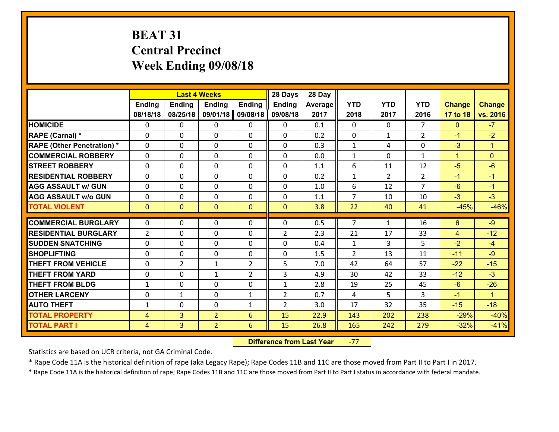# **BEAT 31 Central Precinct Week Ending 09/08/18**

|                                   |                |                | <b>Last 4 Weeks</b>        |                | 28 Days        | 28 Day  |                                |                |                |                      |               |
|-----------------------------------|----------------|----------------|----------------------------|----------------|----------------|---------|--------------------------------|----------------|----------------|----------------------|---------------|
|                                   | Ending         | <b>Ending</b>  | <b>Ending</b>              | <b>Ending</b>  | <b>Ending</b>  | Average | <b>YTD</b>                     | <b>YTD</b>     | <b>YTD</b>     | <b>Change</b>        | <b>Change</b> |
|                                   | 08/18/18       | 08/25/18       | 09/01/18                   | 09/08/18       | 09/08/18       | 2017    | 2018                           | 2017           | 2016           | 17 to 18             | vs. 2016      |
| <b>HOMICIDE</b>                   | 0              | 0              | 0                          | 0              | 0              | 0.1     | 0                              | $\Omega$       | $\overline{7}$ | $\mathbf{0}$         | $-7$          |
| RAPE (Carnal) *                   | $\Omega$       | 0              | 0                          | $\Omega$       | 0              | 0.2     | 0                              | $\mathbf{1}$   | $\overline{2}$ | $-1$                 | $-2$          |
| <b>RAPE (Other Penetration) *</b> | $\Omega$       | $\Omega$       | $\mathbf 0$                | $\Omega$       | $\Omega$       | 0.3     | $\mathbf{1}$                   | 4              | $\Omega$       | $-3$                 | $\mathbf{1}$  |
| <b>COMMERCIAL ROBBERY</b>         | $\Omega$       | $\Omega$       | $\mathbf 0$                | $\Omega$       | $\Omega$       | 0.0     | $\mathbf{1}$                   | $\Omega$       | $\mathbf{1}$   | $\blacktriangleleft$ | $\Omega$      |
| <b>ISTREET ROBBERY</b>            | $\mathbf{0}$   | 0              | $\mathbf{0}$               | 0              | $\Omega$       | 1.1     | 6                              | 11             | 12             | $-5$                 | $-6$          |
| <b>RESIDENTIAL ROBBERY</b>        | 0              | 0              | $\mathbf 0$                | 0              | 0              | 0.2     | $\mathbf{1}$                   | $\overline{2}$ | $\overline{2}$ | $-1$                 | $-1$          |
| <b>AGG ASSAULT w/ GUN</b>         | 0              | 0              | $\mathbf 0$                | 0              | 0              | 1.0     | 6                              | 12             | $\overline{7}$ | $-6$                 | $-1$          |
| <b>AGG ASSAULT w/o GUN</b>        | 0              | 0              | $\mathbf 0$                | $\mathbf{0}$   | 0              | 1.1     | $\overline{7}$                 | 10             | 10             | $-3$                 | $-3$          |
| <b>TOTAL VIOLENT</b>              | $\mathbf{0}$   | $\overline{0}$ | $\overline{0}$             | $\mathbf{0}$   | $\mathbf{0}$   | 3.8     | 22                             | 40             | 41             | $-45%$               | $-46%$        |
| <b>COMMERCIAL BURGLARY</b>        | $\Omega$       | 0              | $\mathbf{0}$               | $\Omega$       | $\Omega$       | 0.5     | $\overline{7}$                 | $\mathbf{1}$   | 16             | 6                    | $-9$          |
| <b>RESIDENTIAL BURGLARY</b>       | $\overline{2}$ | $\Omega$       | $\mathbf 0$                | $\Omega$       | $\overline{2}$ | 2.3     | 21                             | 17             | 33             | $\overline{4}$       | $-12$         |
| <b>SUDDEN SNATCHING</b>           |                | $\Omega$       |                            | $\Omega$       |                | 0.4     |                                |                | 5              | $-2$                 | $-4$          |
| <b>SHOPLIFTING</b>                | 0<br>0         | 0              | $\mathbf 0$<br>$\mathbf 0$ | 0              | 0<br>0         | 1.5     | $\mathbf{1}$<br>$\overline{2}$ | 3<br>13        | 11             | $-11$                | $-9$          |
| <b>THEFT FROM VEHICLE</b>         | 0              | $\overline{2}$ | $\mathbf{1}$               | $\overline{2}$ | 5              | 7.0     | 42                             | 64             | 57             | $-22$                | $-15$         |
| <b>THEFT FROM YARD</b>            | 0              | 0              | $\mathbf{1}$               | $\overline{2}$ | 3              | 4.9     | 30                             | 42             | 33             | $-12$                | $-3$          |
| <b>THEFT FROM BLDG</b>            | $\mathbf{1}$   | 0              | 0                          | 0              | $\mathbf{1}$   | 2.8     | 19                             | 25             | 45             | $-6$                 | $-26$         |
| <b>OTHER LARCENY</b>              | 0              |                | $\mathbf 0$                |                | $\overline{2}$ | 0.7     |                                | 5              | 3              | $-1$                 | $\mathbf{1}$  |
|                                   |                | 1              |                            | $\mathbf{1}$   |                |         | 4                              |                |                |                      |               |
| <b>AUTO THEFT</b>                 | $\mathbf{1}$   | 0              | 0                          | $\mathbf{1}$   | $\overline{2}$ | 3.0     | 17                             | 32             | 35             | $-15$                | $-18$         |
| <b>TOTAL PROPERTY</b>             | 4              | 3              | $\overline{2}$             | 6              | 15             | 22.9    | 143                            | 202            | 238            | $-29%$               | $-40%$        |
| <b>TOTAL PART I</b>               | $\overline{4}$ | $\overline{3}$ | $\overline{2}$             | 6              | 15             | 26.8    | 165                            | 242            | 279            | $-32%$               | $-41%$        |

 **Difference from Last Year**r -77

Statistics are based on UCR criteria, not GA Criminal Code.

\* Rape Code 11A is the historical definition of rape (aka Legacy Rape); Rape Codes 11B and 11C are those moved from Part II to Part I in 2017.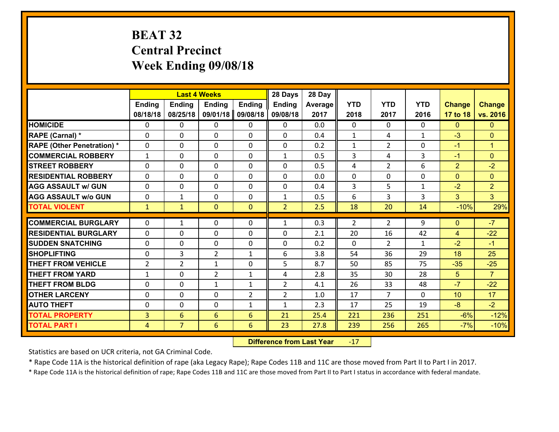# **BEAT 32 Central Precinct Week Ending 09/08/18**

|                                   |                |                 | <b>Last 4 Weeks</b> |                | 28 Days        | 28 Day  |                |                |              |                |                      |
|-----------------------------------|----------------|-----------------|---------------------|----------------|----------------|---------|----------------|----------------|--------------|----------------|----------------------|
|                                   | Ending         | <b>Ending</b>   | <b>Ending</b>       | <b>Ending</b>  | <b>Ending</b>  | Average | <b>YTD</b>     | <b>YTD</b>     | <b>YTD</b>   | <b>Change</b>  | <b>Change</b>        |
|                                   | 08/18/18       | 08/25/18        | 09/01/18            | 09/08/18       | 09/08/18       | 2017    | 2018           | 2017           | 2016         | 17 to 18       | vs. 2016             |
| <b>HOMICIDE</b>                   | 0              | 0               | 0                   | 0              | 0              | 0.0     | $\mathbf 0$    | $\Omega$       | 0            | $\mathbf{0}$   | $\mathbf{0}$         |
| RAPE (Carnal) *                   | $\Omega$       | 0               | $\mathbf{0}$        | $\Omega$       | 0              | 0.4     | $\mathbf{1}$   | 4              | $\mathbf{1}$ | $-3$           | $\mathbf{0}$         |
| <b>RAPE (Other Penetration) *</b> | $\Omega$       | $\Omega$        | $\Omega$            | $\Omega$       | $\Omega$       | 0.2     | $\mathbf{1}$   | $\overline{2}$ | $\Omega$     | $-1$           | $\blacktriangleleft$ |
| <b>COMMERCIAL ROBBERY</b>         | $\mathbf{1}$   | $\Omega$        | $\mathbf 0$         | $\Omega$       | $\mathbf{1}$   | 0.5     | 3              | 4              | 3            | $-1$           | $\Omega$             |
| <b>STREET ROBBERY</b>             | $\mathbf{0}$   | 0               | $\mathbf{0}$        | 0              | 0              | 0.5     | 4              | $\overline{2}$ | 6            | $\overline{2}$ | $-2$                 |
| <b>RESIDENTIAL ROBBERY</b>        | $\mathbf{0}$   | 0               | $\mathbf 0$         | 0              | 0              | 0.0     | $\mathbf 0$    | 0              | 0            | $\overline{0}$ | $\overline{0}$       |
| <b>AGG ASSAULT w/ GUN</b>         | 0              | 0               | $\mathbf 0$         | 0              | 0              | 0.4     | 3              | 5              | $\mathbf{1}$ | $-2$           | $\overline{2}$       |
| <b>AGG ASSAULT w/o GUN</b>        | 0              | 1               | $\mathbf{0}$        | 0              | $\mathbf{1}$   | 0.5     | 6              | 3              | 3            | 3              | 3 <sup>°</sup>       |
| <b>TOTAL VIOLENT</b>              | $\mathbf{1}$   | $\mathbf{1}$    | $\overline{0}$      | $\mathbf{0}$   | $\overline{2}$ | 2.5     | 18             | 20             | 14           | $-10%$         | 29%                  |
|                                   |                |                 |                     |                |                |         |                |                |              |                |                      |
| <b>COMMERCIAL BURGLARY</b>        | $\Omega$       | 1               | $\mathbf{0}$        | $\Omega$       | $\mathbf{1}$   | 0.3     | $\overline{2}$ | $\overline{2}$ | 9            | $\mathbf{0}$   | $-7$                 |
| <b>RESIDENTIAL BURGLARY</b>       | $\Omega$       | 0               | $\mathbf 0$         | $\Omega$       | 0              | 2.1     | 20             | 16             | 42           | 4              | $-22$                |
| <b>SUDDEN SNATCHING</b>           | $\Omega$       | 0               | $\mathbf 0$         | $\Omega$       | 0              | 0.2     | $\Omega$       | $\overline{2}$ | $\mathbf{1}$ | $-2$           | $-1$                 |
| <b>SHOPLIFTING</b>                | 0              | 3               | $\overline{2}$      | $\mathbf{1}$   | 6              | 3.8     | 54             | 36             | 29           | 18             | 25                   |
| <b>THEFT FROM VEHICLE</b>         | $\overline{2}$ | $\overline{2}$  | $\mathbf{1}$        | 0              | 5              | 8.7     | 50             | 85             | 75           | $-35$          | $-25$                |
| <b>THEFT FROM YARD</b>            | $\mathbf{1}$   | 0               | $\overline{2}$      | $\mathbf{1}$   | 4              | 2.8     | 35             | 30             | 28           | 5              | $\overline{7}$       |
| <b>THEFT FROM BLDG</b>            | 0              | 0               | 1                   | $\mathbf{1}$   | $\overline{2}$ | 4.1     | 26             | 33             | 48           | $-7$           | $-22$                |
| <b>OTHER LARCENY</b>              | $\mathbf 0$    | 0               | $\mathbf 0$         | $\overline{2}$ | $\overline{2}$ | 1.0     | 17             | $\overline{7}$ | 0            | 10             | 17                   |
| <b>AUTO THEFT</b>                 | 0              | 0               | 0                   | $\mathbf{1}$   | $\mathbf{1}$   | 2.3     | 17             | 25             | 19           | $-8$           | $-2$                 |
| <b>TOTAL PROPERTY</b>             | $\overline{3}$ | $6\overline{6}$ | 6                   | 6              | 21             | 25.4    | 221            | 236            | 251          | $-6%$          | $-12%$               |
| <b>TOTAL PART I</b>               | $\overline{4}$ | $\overline{7}$  | $6\phantom{a}$      | 6              | 23             | 27.8    | 239            | 256            | 265          | $-7%$          | $-10%$               |

 **Difference from Last Year**r -17

Statistics are based on UCR criteria, not GA Criminal Code.

\* Rape Code 11A is the historical definition of rape (aka Legacy Rape); Rape Codes 11B and 11C are those moved from Part II to Part I in 2017.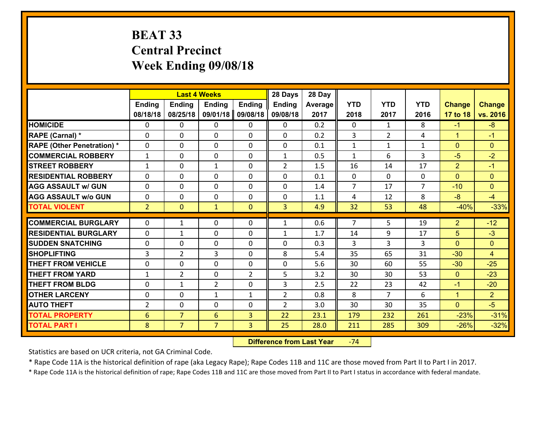# **BEAT 33 Central Precinct Week Ending 09/08/18**

|                                   |                |                | <b>Last 4 Weeks</b> |                | 28 Days        | 28 Day  |                |                |                |                |                |
|-----------------------------------|----------------|----------------|---------------------|----------------|----------------|---------|----------------|----------------|----------------|----------------|----------------|
|                                   | <b>Ending</b>  | <b>Ending</b>  | <b>Endina</b>       | <b>Ending</b>  | <b>Ending</b>  | Average | <b>YTD</b>     | <b>YTD</b>     | <b>YTD</b>     | <b>Change</b>  | <b>Change</b>  |
|                                   | 08/18/18       | 08/25/18       | 09/01/18            | 09/08/18       | 09/08/18       | 2017    | 2018           | 2017           | 2016           | 17 to 18       | vs. 2016       |
| <b>HOMICIDE</b>                   | $\Omega$       | 0              | 0                   | 0              | 0              | 0.2     | 0              | $\mathbf{1}$   | 8              | $-1$           | $-8$           |
| RAPE (Carnal) *                   | $\Omega$       | 0              | $\mathbf{0}$        | 0              | $\Omega$       | 0.2     | 3              | $\overline{2}$ | 4              | $\mathbf{1}$   | $-1$           |
| <b>RAPE (Other Penetration) *</b> | $\Omega$       | $\Omega$       | $\mathbf 0$         | $\Omega$       | 0              | 0.1     | $\mathbf{1}$   | $\mathbf{1}$   | $\mathbf{1}$   | $\mathbf{0}$   | $\Omega$       |
| <b>COMMERCIAL ROBBERY</b>         | $\mathbf{1}$   | 0              | $\mathbf 0$         | 0              | $\mathbf{1}$   | 0.5     | $\mathbf{1}$   | 6              | 3              | $-5$           | $-2$           |
| <b>STREET ROBBERY</b>             | $\mathbf{1}$   | 0              | $\mathbf{1}$        | 0              | $\overline{2}$ | 1.5     | 16             | 14             | 17             | $\overline{2}$ | $-1$           |
| <b>RESIDENTIAL ROBBERY</b>        | $\Omega$       | $\Omega$       | $\mathbf 0$         | $\Omega$       | 0              | 0.1     | $\mathbf 0$    | $\Omega$       | 0              | $\Omega$       | $\mathbf{0}$   |
| <b>AGG ASSAULT w/ GUN</b>         | 0              | 0              | $\mathbf 0$         | 0              | 0              | 1.4     | $\overline{7}$ | 17             | $\overline{7}$ | $-10$          | $\overline{0}$ |
| <b>AGG ASSAULT w/o GUN</b>        | 0              | 0              | $\mathbf 0$         | $\Omega$       | 0              | 1.1     | 4              | 12             | 8              | $-8$           | $-4$           |
| <b>TOTAL VIOLENT</b>              | $\overline{2}$ | $\mathbf{0}$   | $\mathbf{1}$        | $\mathbf{0}$   | 3              | 4.9     | 32             | 53             | 48             | $-40%$         | $-33%$         |
|                                   |                |                |                     |                |                |         |                |                |                |                |                |
| <b>COMMERCIAL BURGLARY</b>        | $\Omega$       | $\mathbf{1}$   | 0                   | 0              | $\mathbf{1}$   | 0.6     | $\overline{7}$ | 5              | 19             | $\overline{2}$ | $-12$          |
| <b>RESIDENTIAL BURGLARY</b>       | 0              | 1              | $\mathbf 0$         | 0              | $\mathbf{1}$   | 1.7     | 14             | 9              | 17             | 5              | $-3$           |
| <b>SUDDEN SNATCHING</b>           | 0              | 0              | $\mathbf 0$         | $\Omega$       | 0              | 0.3     | 3              | $\overline{3}$ | 3              | $\Omega$       | $\overline{0}$ |
| <b>SHOPLIFTING</b>                | 3              | $\overline{2}$ | 3                   | 0              | 8              | 5.4     | 35             | 65             | 31             | $-30$          | $\overline{4}$ |
| <b>THEFT FROM VEHICLE</b>         | $\Omega$       | $\Omega$       | $\mathbf 0$         | $\Omega$       | 0              | 5.6     | 30             | 60             | 55             | $-30$          | $-25$          |
| <b>THEFT FROM YARD</b>            | $\mathbf{1}$   | $\overline{2}$ | $\mathbf 0$         | $\overline{2}$ | 5              | 3.2     | 30             | 30             | 53             | $\overline{0}$ | $-23$          |
| <b>THEFT FROM BLDG</b>            | 0              | 1              | $\overline{2}$      | 0              | 3              | 2.5     | 22             | 23             | 42             | $-1$           | $-20$          |
| <b>OTHER LARCENY</b>              | 0              | $\mathbf 0$    | $\mathbf{1}$        | $\mathbf{1}$   | $\overline{2}$ | 0.8     | 8              | $\overline{7}$ | 6              | $\mathbf{1}$   | $\overline{2}$ |
| <b>AUTO THEFT</b>                 | $\overline{2}$ | 0              | $\mathbf 0$         | 0              | $\overline{2}$ | 3.0     | 30             | 30             | 35             | $\mathbf{0}$   | $-5$           |
| <b>TOTAL PROPERTY</b>             | 6              | $\overline{7}$ | 6                   | 3              | 22             | 23.1    | 179            | 232            | 261            | $-23%$         | $-31%$         |
| <b>TOTAL PART I</b>               | 8              | $\overline{7}$ | $\overline{7}$      | 3              | 25             | 28.0    | 211            | 285            | 309            | $-26%$         | $-32%$         |

 **Difference from Last Year**‐74

Statistics are based on UCR criteria, not GA Criminal Code.

\* Rape Code 11A is the historical definition of rape (aka Legacy Rape); Rape Codes 11B and 11C are those moved from Part II to Part I in 2017.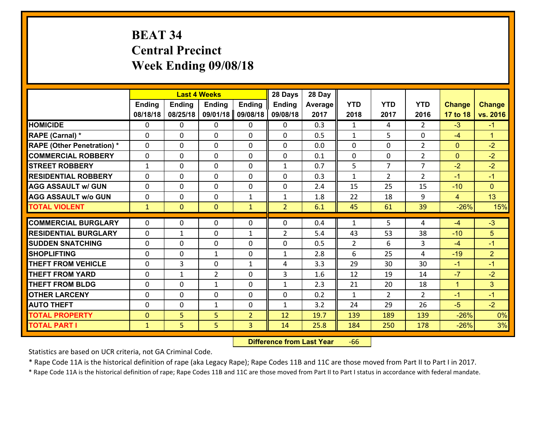# **BEAT 34 Central Precinct Week Ending 09/08/18**

|                                              |                              |               | <b>Last 4 Weeks</b> |                     | 28 Days        | 28 Day       |                |                |                |                  |                |
|----------------------------------------------|------------------------------|---------------|---------------------|---------------------|----------------|--------------|----------------|----------------|----------------|------------------|----------------|
|                                              | <b>Ending</b>                | <b>Ending</b> | <b>Ending</b>       | <b>Ending</b>       | <b>Ending</b>  | Average      | <b>YTD</b>     | <b>YTD</b>     | <b>YTD</b>     | <b>Change</b>    | <b>Change</b>  |
|                                              | 08/18/18                     | 08/25/18      | 09/01/18            | 09/08/18            | 09/08/18       | 2017         | 2018           | 2017           | 2016           | 17 to 18         | vs. 2016       |
| <b>HOMICIDE</b>                              | $\Omega$                     | 0             | 0                   | 0                   | $\Omega$       | 0.3          | 1              | 4              | $\mathcal{L}$  | $-3$             | $-1$           |
| RAPE (Carnal) *                              | $\mathbf{0}$                 | 0             | $\mathbf{0}$        | 0                   | $\Omega$       | 0.5          | $\mathbf{1}$   | 5.             | 0              | $-4$             | $\mathbf{1}$   |
| <b>RAPE (Other Penetration) *</b>            | $\Omega$                     | 0             | $\mathbf{0}$        | $\Omega$            | $\Omega$       | 0.0          | $\Omega$       | 0              | $\overline{2}$ | $\mathbf{0}$     | $-2$           |
| <b>COMMERCIAL ROBBERY</b>                    | 0                            | 0             | 0                   | 0                   | $\Omega$       | 0.1          | $\mathbf{0}$   | 0              | $\overline{2}$ | $\mathbf{0}$     | $-2$           |
| <b>STREET ROBBERY</b>                        | $\mathbf{1}$                 | 0             | $\mathbf 0$         | 0                   | $\mathbf{1}$   | 0.7          | 5              | $\overline{7}$ | $\overline{7}$ | $-2$             | $-2$           |
| <b>RESIDENTIAL ROBBERY</b>                   | $\Omega$                     | $\Omega$      | $\mathbf 0$         | $\Omega$            | 0              | 0.3          | $\mathbf{1}$   | $\overline{2}$ | $\overline{2}$ | $-1$             | $-1$           |
| <b>AGG ASSAULT w/ GUN</b>                    | 0                            | 0             | $\mathbf 0$         | $\Omega$            | 0              | 2.4          | 15             | 25             | 15             | $-10$            | $\overline{0}$ |
| <b>AGG ASSAULT w/o GUN</b>                   | 0                            | 0             | $\mathbf 0$         | $\mathbf{1}$        | $\mathbf{1}$   | 1.8          | 22             | 18             | 9              | $\overline{4}$   | 13             |
| <b>TOTAL VIOLENT</b>                         | $\mathbf{1}$                 | $\mathbf{0}$  | $\mathbf{O}$        | $\mathbf{1}$        | $\overline{2}$ | 6.1          | 45             | 61             | 39             | $-26%$           | 15%            |
| <b>COMMERCIAL BURGLARY</b>                   | $\Omega$                     | 0             | $\mathbf{0}$        | $\Omega$            | $\Omega$       | 0.4          | $\mathbf{1}$   | 5              | 4              | $-4$             | $-3$           |
| <b>RESIDENTIAL BURGLARY</b>                  | 0                            | 1             | $\mathbf 0$         | $\mathbf{1}$        | $\overline{2}$ | 5.4          | 43             | 53             | 38             | $-10$            | 5              |
| <b>SUDDEN SNATCHING</b>                      |                              |               |                     |                     |                |              |                |                |                |                  |                |
|                                              |                              |               |                     |                     |                |              |                |                |                |                  |                |
|                                              | 0                            | 0             | $\mathbf 0$         | 0                   | 0              | 0.5          | $\overline{2}$ | 6              | 3              | $-4$             | $-1$           |
| <b>SHOPLIFTING</b>                           | 0                            | 0             | 1                   | 0                   | $\mathbf{1}$   | 2.8          | 6              | 25             | 4              | $-19$            | $\overline{2}$ |
| <b>THEFT FROM VEHICLE</b>                    | 0                            | 3             | $\mathbf 0$         | $\mathbf{1}$        | 4              | 3.3          | 29             | 30             | 30             | $-1$             | $-1$           |
| <b>THEFT FROM YARD</b>                       | 0                            | $\mathbf{1}$  | $\overline{2}$      | 0                   | 3              | 1.6          | 12             | 19             | 14             | $-7$             | $-2$           |
| <b>THEFT FROM BLDG</b>                       | 0                            | 0             | 1                   | 0                   | $\mathbf{1}$   | 2.3          | 21             | 20             | 18             | $\mathbf{1}$     | 3 <sup>1</sup> |
| <b>OTHER LARCENY</b>                         | 0                            | 0             | $\mathbf 0$         | 0                   | 0              | 0.2          | $\mathbf{1}$   | $\overline{2}$ | $\overline{2}$ | $-1$             | $-1$           |
| <b>AUTO THEFT</b>                            | $\mathbf{0}$                 | 0             | $\mathbf{1}$        | 0                   | $\mathbf{1}$   | 3.2          | 24             | 29             | 26             | $-5$             | $-2$           |
| <b>TOTAL PROPERTY</b><br><b>TOTAL PART I</b> | $\mathbf{0}$<br>$\mathbf{1}$ | 5<br>5        | 5<br>5              | $\overline{2}$<br>3 | 12<br>14       | 19.7<br>25.8 | 139<br>184     | 189<br>250     | 139<br>178     | $-26%$<br>$-26%$ | 0%<br>3%       |

 **Difference from Last Year**r -66

Statistics are based on UCR criteria, not GA Criminal Code.

\* Rape Code 11A is the historical definition of rape (aka Legacy Rape); Rape Codes 11B and 11C are those moved from Part II to Part I in 2017.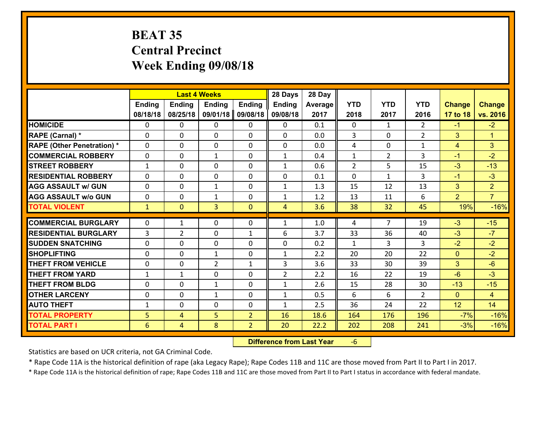# **BEAT 35 Central Precinct Week Ending 09/08/18**

|                                   |                 |                | <b>Last 4 Weeks</b> |                | 28 Days        | 28 Day  |                |                |                |                |                |
|-----------------------------------|-----------------|----------------|---------------------|----------------|----------------|---------|----------------|----------------|----------------|----------------|----------------|
|                                   | Ending          | <b>Ending</b>  | <b>Ending</b>       | <b>Ending</b>  | <b>Ending</b>  | Average | <b>YTD</b>     | <b>YTD</b>     | <b>YTD</b>     | <b>Change</b>  | <b>Change</b>  |
|                                   | 08/18/18        | 08/25/18       | 09/01/18            | 09/08/18       | 09/08/18       | 2017    | 2018           | 2017           | 2016           | 17 to 18       | vs. 2016       |
| <b>HOMICIDE</b>                   | $\Omega$        | 0              | 0                   | 0              | 0              | 0.1     | 0              | $\mathbf{1}$   | $\mathfrak{D}$ | $-1$           | $-2$           |
| RAPE (Carnal) *                   | $\mathbf{0}$    | 0              | $\mathbf{0}$        | 0              | 0              | 0.0     | 3              | $\mathbf{0}$   | $\overline{2}$ | 3              | $\mathbf{1}$   |
| <b>RAPE (Other Penetration) *</b> | $\Omega$        | 0              | $\mathbf{0}$        | $\Omega$       | 0              | 0.0     | 4              | 0              | $\mathbf{1}$   | 4              | 3              |
| <b>COMMERCIAL ROBBERY</b>         | $\mathbf{0}$    | 0              | 1                   | 0              | $\mathbf{1}$   | 0.4     | $\mathbf{1}$   | $\overline{2}$ | 3              | $-1$           | $-2$           |
| <b>STREET ROBBERY</b>             | $\mathbf{1}$    | 0              | $\mathbf 0$         | 0              | $\mathbf{1}$   | 0.6     | $\overline{2}$ | 5              | 15             | $-3$           | $-13$          |
| <b>RESIDENTIAL ROBBERY</b>        | $\Omega$        | $\Omega$       | $\mathbf 0$         | $\Omega$       | 0              | 0.1     | 0              | $\mathbf{1}$   | 3              | $-1$           | $-3$           |
| <b>AGG ASSAULT w/ GUN</b>         | 0               | 0              | $\mathbf{1}$        | 0              | $\mathbf{1}$   | 1.3     | 15             | 12             | 13             | 3              | 2 <sup>1</sup> |
| <b>AGG ASSAULT w/o GUN</b>        | 0               | 0              | 1                   | $\mathbf 0$    | $\mathbf{1}$   | 1.2     | 13             | 11             | 6              | $\overline{2}$ | $\overline{7}$ |
| <b>TOTAL VIOLENT</b>              | $\mathbf{1}$    | $\mathbf{0}$   | 3                   | $\mathbf{0}$   | $\overline{4}$ | 3.6     | 38             | 32             | 45             | 19%            | $-16%$         |
| <b>COMMERCIAL BURGLARY</b>        | $\Omega$        | $\mathbf{1}$   | $\mathbf{0}$        | $\Omega$       | $\mathbf{1}$   | 1.0     | 4              | $\overline{7}$ | 19             | $-3$           | $-15$          |
| <b>RESIDENTIAL BURGLARY</b>       | 3               | $\overline{2}$ | 0                   | $\mathbf{1}$   | 6              | 3.7     | 33             | 36             | 40             | $-3$           | $-7$           |
| <b>SUDDEN SNATCHING</b>           | 0               | 0              | $\mathbf 0$         | 0              | 0              | 0.2     | $\mathbf{1}$   | 3              | 3              | $-2$           | $-2$           |
| <b>SHOPLIFTING</b>                | 0               | 0              | 1                   | 0              | $\mathbf{1}$   | 2.2     | 20             | 20             | 22             | $\mathbf{0}$   | $-2$           |
| <b>THEFT FROM VEHICLE</b>         | 0               | 0              | $\overline{2}$      | $\mathbf{1}$   | 3              | 3.6     | 33             | 30             | 39             | 3              | $-6$           |
| <b>THEFT FROM YARD</b>            | $\mathbf{1}$    | $\mathbf{1}$   | $\mathbf 0$         | 0              | $\overline{2}$ | 2.2     | 16             | 22             | 19             | $-6$           | $-3$           |
| <b>THEFT FROM BLDG</b>            | 0               | 0              | 1                   | 0              | $\mathbf{1}$   | 2.6     | 15             | 28             | 30             | $-13$          | $-15$          |
| <b>OTHER LARCENY</b>              | 0               | 0              | $\mathbf{1}$        | 0              | $\mathbf{1}$   | 0.5     | 6              | 6              | $\overline{2}$ | $\mathbf{0}$   | $\overline{4}$ |
| <b>AUTO THEFT</b>                 | $\mathbf{1}$    | 0              | $\mathbf{0}$        | 0              | $\mathbf{1}$   | 2.5     | 36             | 24             | 22             | 12             | 14             |
| <b>TOTAL PROPERTY</b>             | 5               | 4              | 5                   | $\overline{2}$ | 16             | 18.6    | 164            | 176            | 196            | $-7%$          | $-16%$         |
| <b>TOTAL PART I</b>               | $6\phantom{1}6$ | $\overline{4}$ | 8                   | $\overline{2}$ | 20             | 22.2    | 202            | 208            | 241            | $-3%$          | $-16%$         |

 **Difference from Last Year**‐6

Statistics are based on UCR criteria, not GA Criminal Code.

\* Rape Code 11A is the historical definition of rape (aka Legacy Rape); Rape Codes 11B and 11C are those moved from Part II to Part I in 2017.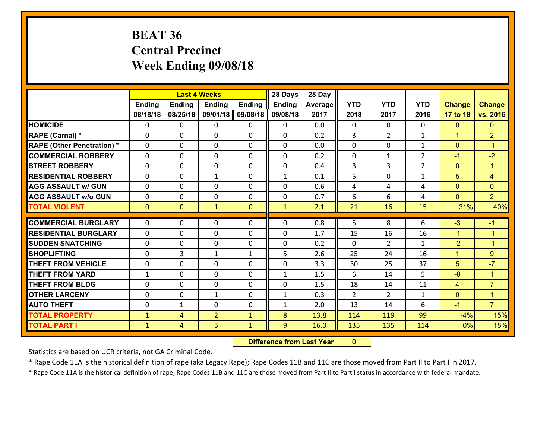# **BEAT 36 Central Precinct Week Ending 09/08/18**

| Ending<br>08/18/18<br><b>HOMICIDE</b><br>0        | Ending<br>08/25/18 | <b>Ending</b>  | <b>Ending</b> |               |         |              |                |                |                |                |
|---------------------------------------------------|--------------------|----------------|---------------|---------------|---------|--------------|----------------|----------------|----------------|----------------|
|                                                   |                    |                |               | <b>Ending</b> | Average | <b>YTD</b>   | <b>YTD</b>     | <b>YTD</b>     | <b>Change</b>  | <b>Change</b>  |
|                                                   |                    | 09/01/18       | 09/08/18      | 09/08/18      | 2017    | 2018         | 2017           | 2016           | 17 to 18       | vs. 2016       |
|                                                   | 0                  | 0              | 0             | 0             | 0.0     | 0            | $\Omega$       | 0              | $\mathbf{0}$   | $\mathbf{0}$   |
| RAPE (Carnal) *<br>$\mathbf{0}$                   | 0                  | $\mathbf{0}$   | 0             | $\Omega$      | 0.2     | 3            | $\overline{2}$ | $\mathbf{1}$   | $\mathbf{1}$   | $\overline{2}$ |
| <b>RAPE (Other Penetration) *</b><br>$\mathbf{0}$ | 0                  | $\mathbf{0}$   | $\Omega$      | $\Omega$      | 0.0     | $\mathbf{0}$ | 0              | $\mathbf{1}$   | $\mathbf{0}$   | $-1$           |
| <b>COMMERCIAL ROBBERY</b><br>$\mathbf{0}$         | 0                  | $\mathbf{0}$   | 0             | $\Omega$      | 0.2     | $\mathbf{0}$ | $\mathbf{1}$   | $\overline{2}$ | $-1$           | $-2$           |
| <b>ISTREET ROBBERY</b><br>$\mathbf{0}$            | 0                  | $\mathbf 0$    | 0             | 0             | 0.4     | 3            | 3              | $\overline{2}$ | $\mathbf{0}$   | $\mathbf{1}$   |
| <b>RESIDENTIAL ROBBERY</b><br>$\Omega$            | 0                  | 1              | $\Omega$      | $\mathbf{1}$  | 0.1     | 5            | $\mathbf{0}$   | $\mathbf{1}$   | 5              | $\overline{4}$ |
| 0<br><b>AGG ASSAULT w/ GUN</b>                    | 0                  | $\mathbf 0$    | $\Omega$      | 0             | 0.6     | 4            | 4              | 4              | $\mathbf{0}$   | $\overline{0}$ |
| <b>AGG ASSAULT W/o GUN</b><br>0                   | 0                  | $\mathbf 0$    | 0             | 0             | 0.7     | 6            | 6              | 4              | $\mathbf{0}$   | $\overline{2}$ |
| <b>TOTAL VIOLENT</b><br>$\mathbf{0}$              | $\mathbf{0}$       | $\mathbf{1}$   | $\mathbf{0}$  | $\mathbf{1}$  | 2.1     | 21           | 16             | 15             | 31%            | 40%            |
| <b>COMMERCIAL BURGLARY</b><br>0                   | 0                  | $\mathbf{0}$   | 0             | $\Omega$      | 0.8     | 5            | 8              | 6              | $-3$           | $-1$           |
|                                                   |                    |                |               |               |         |              |                |                |                |                |
| <b>RESIDENTIAL BURGLARY</b><br>$\mathbf{0}$       | 0                  | $\mathbf{0}$   | 0             | 0             | 1.7     | 15           | 16             | 16             | $-1$           | $-1$           |
| <b>ISUDDEN SNATCHING</b><br>$\mathbf{0}$          | 0                  | 0              | 0             | $\Omega$      | 0.2     | 0            | $\overline{2}$ | $\mathbf{1}$   | $-2$           | $-1$           |
| <b>SHOPLIFTING</b><br>$\mathbf{0}$                | 3                  | $\mathbf{1}$   | $\mathbf{1}$  | 5             | 2.6     | 25           | 24             | 16             | $\mathbf{1}$   | 9              |
| <b>THEFT FROM VEHICLE</b><br>$\mathbf{0}$         | 0                  | 0              | 0             | $\Omega$      | 3.3     | 30           | 25             | 37             | 5              | $-7$           |
| <b>THEFT FROM YARD</b><br>1                       | 0                  | $\mathbf{0}$   | 0             | $\mathbf{1}$  | 1.5     | 6            | 14             | 5.             | $-8$           | 1              |
| <b>THEFT FROM BLDG</b><br>$\mathbf{0}$            | 0                  | $\mathbf{0}$   | 0             | $\Omega$      | 1.5     | 18           | 14             | 11             | $\overline{4}$ | $\overline{7}$ |
| <b>OTHER LARCENY</b><br>$\mathbf{0}$              | 0                  | 1              | $\Omega$      | $\mathbf{1}$  | 0.3     | 2            | $\overline{2}$ | $\mathbf{1}$   | $\mathbf{0}$   | $\mathbf{1}$   |
| <b>AUTO THEFT</b><br>$\mathbf{0}$                 | $\mathbf{1}$       | 0              | 0             | $\mathbf{1}$  | 2.0     | 13           | 14             | 6              | $-1$           | $\overline{7}$ |
| <b>TOTAL PROPERTY</b><br>$\mathbf{1}$             | 4                  | $\overline{2}$ | $\mathbf{1}$  | 8             | 13.8    | 114          | 119            | 99             | $-4%$          | 15%            |
| <b>TOTAL PART I</b><br>$\mathbf{1}$               | $\overline{4}$     | 3              | $\mathbf{1}$  | 9             | 16.0    | 135          | 135            | 114            | 0%             | 18%            |

 **Difference from Last Year**r 0

Statistics are based on UCR criteria, not GA Criminal Code.

\* Rape Code 11A is the historical definition of rape (aka Legacy Rape); Rape Codes 11B and 11C are those moved from Part II to Part I in 2017.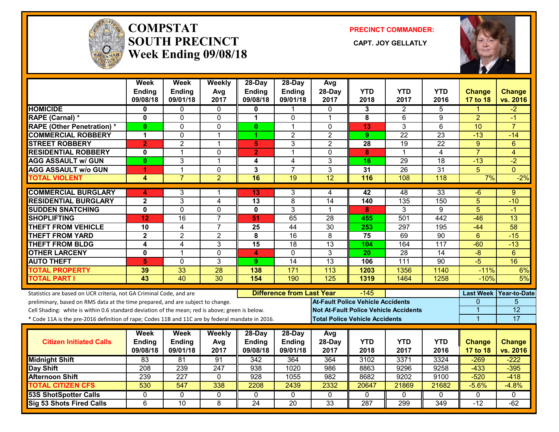

#### **COMPSTATSOUTH PRECINCT** CAPT. JOY GELLATLY **Week Ending 09/08/18**

**PRECINCT COMMANDER:**



|                                                                                                  | Week                          | Week                | Weekly                        | 28-Day                  | 28-Day                           | Avg                           |                                              |                 |                                    |                      |                                   |
|--------------------------------------------------------------------------------------------------|-------------------------------|---------------------|-------------------------------|-------------------------|----------------------------------|-------------------------------|----------------------------------------------|-----------------|------------------------------------|----------------------|-----------------------------------|
|                                                                                                  | Ending                        | Ending              | Avg                           | <b>Ending</b>           | Ending                           | 28-Day                        | <b>YTD</b>                                   | YTD             | <b>YTD</b>                         | <b>Change</b>        | <b>Change</b>                     |
|                                                                                                  | 09/08/18                      | 09/01/18            | 2017                          | 09/08/18                | 09/01/18                         | 2017                          | 2018                                         | 2017            | 2016                               | 17 to 18             | vs. 2016                          |
| <b>HOMICIDE</b>                                                                                  | 0                             | 0                   | 0                             | Ω                       |                                  | 0                             | 3                                            | 2               | 5                                  |                      | -2                                |
| RAPE (Carnal) *                                                                                  | 0<br>0                        | 0<br>0              | 0                             | 1                       | 0<br>1                           | 1                             | 8                                            | 6<br>3          | 9<br>6                             | $\overline{2}$<br>10 | -1<br>$\overline{7}$              |
| <b>RAPE (Other Penetration) *</b>                                                                |                               |                     | 0                             | $\mathbf{0}$            |                                  | $\Omega$                      | 13                                           | $\overline{22}$ |                                    |                      |                                   |
| <b>COMMERCIAL ROBBERY</b>                                                                        | 1                             | 0<br>$\overline{2}$ | $\mathbf 1$<br>$\mathbf{1}$   | 1                       | $\overline{c}$<br>3              | $\overline{2}$                | 9                                            |                 | $\overline{23}$<br>$\overline{22}$ | $-13$                | $-14$                             |
| <b>STREET ROBBERY</b><br><b>RESIDENTIAL ROBBERY</b>                                              | $\overline{2}$<br>$\mathbf 0$ | $\mathbf{1}$        | $\mathbf 0$                   | $\overline{\mathbf{5}}$ | $\mathbf{1}$                     | $\overline{2}$<br>$\mathbf 0$ | 28<br>8                                      | 19<br>1         | $\overline{4}$                     | 9<br>$\overline{7}$  | $6\phantom{1}6$<br>$\overline{4}$ |
|                                                                                                  |                               | 3                   | $\mathbf{1}$                  | $\overline{2}$          |                                  | 3                             | 16                                           | $\overline{29}$ | $\overline{18}$                    | $-13$                | $-2$                              |
| <b>AGG ASSAULT w/ GUN</b>                                                                        | 0                             | $\mathbf{1}$        |                               | 4                       | $\overline{4}$<br>$\overline{7}$ | 3                             |                                              | $\overline{26}$ | 31                                 | 5                    | $\Omega$                          |
| <b>AGG ASSAULT w/o GUN</b><br><b>TOTAL VIOLENT</b>                                               | 1<br>4                        | $\overline{7}$      | $\mathbf 0$<br>$\overline{2}$ | 3<br>16                 | $\overline{19}$                  | 12                            | 31<br>116                                    | 108             | $\overline{118}$                   | 7%                   | $-2%$                             |
|                                                                                                  |                               |                     |                               |                         |                                  |                               |                                              |                 |                                    |                      |                                   |
| <b>COMMERCIAL BURGLARY</b>                                                                       | 4                             | 3                   |                               | 13                      | 3                                | 4                             | 42                                           | 48              | 33                                 | -6                   | 9                                 |
| <b>RESIDENTIAL BURGLARY</b>                                                                      | $\mathbf{2}$                  | 3                   | 4                             | 13                      | 8                                | 14                            | 140                                          | 135             | 150                                | 5                    | $-10$                             |
| <b>SUDDEN SNATCHING</b>                                                                          | $\overline{\mathbf{0}}$       | $\overline{0}$      | $\mathbf 0$                   | 0                       | 3                                | 1                             | 8                                            | 3               | 9                                  | $\overline{5}$       | -1                                |
| <b>SHOPLIFTING</b>                                                                               | 12                            | 16                  | $\overline{7}$                | 51                      | 65                               | 28                            | 455                                          | 501             | 442                                | $-46$                | 13                                |
| <b>THEFT FROM VEHICLE</b>                                                                        | 10                            | 4                   | $\overline{7}$                | 25                      | 44                               | $\overline{30}$               | 253                                          | 297             | 195                                | $-44$                | $\overline{58}$                   |
| <b>THEFT FROM YARD</b>                                                                           | $\overline{2}$                | $\overline{2}$      | $\overline{2}$                | $\overline{\mathbf{8}}$ | 16                               | 8                             | 75                                           | 69              | $\overline{90}$                    | $6\phantom{1}$       | $-15$                             |
| <b>THEFT FROM BLDG</b>                                                                           | $\overline{\mathbf{4}}$       | 4                   | 3                             | $\overline{15}$         | $\overline{18}$                  | $\overline{13}$               | 104                                          | 164             | $\overline{117}$                   | $-60$                | $-13$                             |
| <b>OTHER LARCENY</b>                                                                             | $\mathbf 0$                   | $\mathbf{1}$        | $\mathbf 0$                   | 4                       | $\mathbf 0$                      | 3                             | 20                                           | $\overline{28}$ | $\overline{14}$                    | $-\frac{8}{3}$       | $6\phantom{1}$                    |
| <b>AUTO THEFT</b>                                                                                | 5                             | 0                   | $\overline{3}$                | 9                       | $\overline{14}$                  | $\overline{13}$               | 106                                          | 111             | $\overline{90}$                    | $-5$                 | 16                                |
| <b>TOTAL PROPERTY</b>                                                                            | 39                            | 33                  | 28                            | 138                     | 171                              | 113                           | 1203                                         | 1356            | 1140                               | $-11%$               | 6%                                |
| <b>TOTAL PART I</b>                                                                              | 43                            | 40                  | 30                            | 154                     | 190                              | 125                           | 1319                                         | 1464            | 1258                               | $-10%$               | 5%                                |
| Statistics are based on UCR criteria, not GA Criminal Code, and are                              |                               |                     |                               |                         | <b>Difference from Last Year</b> |                               | $-145$                                       |                 |                                    |                      | Last Week Year-to-Date            |
| preliminary, based on RMS data at the time prepared, and are subject to change.                  |                               |                     |                               |                         |                                  |                               | <b>At-Fault Police Vehicle Accidents</b>     |                 |                                    | 0                    | 5                                 |
| Cell Shading: white is within 0.6 standard deviation of the mean; red is above; green is below.  |                               |                     |                               |                         |                                  |                               | <b>Not At-Fault Police Vehicle Accidents</b> |                 |                                    | 1                    | $\overline{12}$                   |
| * Code 11A is the pre-2016 definition of rape; Codes 11B and 11C are by federal mandate in 2016. |                               |                     |                               |                         |                                  |                               | <b>Total Police Vehicle Accidents</b>        |                 |                                    | $\overline{1}$       | 17                                |
|                                                                                                  |                               |                     |                               |                         |                                  |                               |                                              |                 |                                    |                      |                                   |
|                                                                                                  | Week                          | Week                | <b>Weekly</b>                 | $28-Day$                | 28-Day                           | Avg                           |                                              |                 |                                    |                      |                                   |
| <b>Citizen Initiated Calls</b>                                                                   | Ending                        | <b>Ending</b>       | Avg                           | <b>Ending</b>           | Ending                           | 28-Day                        | <b>YTD</b>                                   | <b>YTD</b>      | <b>YTD</b>                         | <b>Change</b>        | <b>Change</b>                     |
|                                                                                                  | 09/08/18                      | 09/01/18            | 2017                          | 09/08/18                | 09/01/18                         | 2017                          | 2018                                         | 2017            | 2016                               | 17 to 18             | vs. 2016                          |
| <b>Midnight Shift</b>                                                                            | 83                            | 81                  | 91                            | $\overline{342}$        | 364                              | 364                           | 3102                                         | 3371            | 3324                               | $-269$               | $-222$                            |
| <b>Day Shift</b>                                                                                 | 208                           | 239                 | 247                           | 938                     | 1020                             | 986                           | 8863                                         | 9296            | 9258                               | $-433$               | $-395$                            |
| <b>Afternoon Shift</b>                                                                           | 239                           | $\overline{227}$    | $\mathbf 0$                   | 928                     | 1055                             | 982                           | 8682                                         | 9202            | 9100                               | $-520$               | $-418$                            |
| <b>TOTAL CITIZEN CFS</b>                                                                         | 530                           | $\overline{547}$    | 338                           | 2208                    | 2439                             | 2332                          | 20647                                        | 21869           | 21682                              | $-5.6%$              | $-4.8%$                           |
| <b>53S ShotSpotter Calls</b>                                                                     | $\mathbf 0$                   | 0                   | $\overline{0}$                | 0                       | $\mathbf 0$                      | $\mathbf 0$                   | $\mathbf 0$                                  | 0               | $\Omega$                           | $\mathbf{0}$         | $\Omega$                          |
| <b>Sig 53 Shots Fired Calls</b>                                                                  | $\overline{6}$                | 10                  | $\overline{8}$                | $\overline{24}$         | $\overline{20}$                  | 33                            | 287                                          | 299             | 349                                | $-12$                | $-62$                             |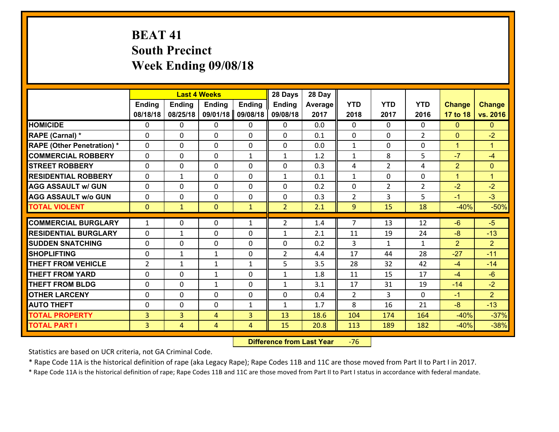# **BEAT 41 South Precinct Week Ending 09/08/18**

|                                   |                |                | <b>Last 4 Weeks</b> |               | 28 Days        | 28 Day  |                |                |                |                |                      |
|-----------------------------------|----------------|----------------|---------------------|---------------|----------------|---------|----------------|----------------|----------------|----------------|----------------------|
|                                   | Ending         | <b>Ending</b>  | <b>Ending</b>       | <b>Ending</b> | <b>Ending</b>  | Average | <b>YTD</b>     | <b>YTD</b>     | <b>YTD</b>     | <b>Change</b>  | <b>Change</b>        |
|                                   | 08/18/18       | 08/25/18       | 09/01/18            | 09/08/18      | 09/08/18       | 2017    | 2018           | 2017           | 2016           | 17 to 18       | vs. 2016             |
| <b>HOMICIDE</b>                   | 0              | 0              | 0                   | 0             | 0              | 0.0     | $\Omega$       | $\Omega$       | 0              | $\mathbf{0}$   | $\mathbf{0}$         |
| RAPE (Carnal) *                   | 0              | $\Omega$       | $\mathbf{0}$        | 0             | 0              | 0.1     | $\mathbf{0}$   | 0              | $\overline{2}$ | $\mathbf{0}$   | $-2$                 |
| <b>RAPE (Other Penetration) *</b> | $\Omega$       | 0              | $\Omega$            | $\Omega$      | 0              | 0.0     | $\mathbf{1}$   | $\Omega$       | $\Omega$       | $\mathbf{1}$   | $\blacktriangleleft$ |
| <b>COMMERCIAL ROBBERY</b>         | 0              | $\Omega$       | $\mathbf 0$         | $\mathbf{1}$  | $\mathbf{1}$   | 1.2     | $\mathbf{1}$   | 8              | 5              | $-7$           | $-4$                 |
| <b>ISTREET ROBBERY</b>            | 0              | 0              | $\mathbf 0$         | 0             | 0              | 0.3     | 4              | $\overline{2}$ | 4              | $\overline{2}$ | $\mathbf{0}$         |
| <b>RESIDENTIAL ROBBERY</b>        | 0              | $\mathbf{1}$   | 0                   | $\Omega$      | $\mathbf{1}$   | 0.1     | $\mathbf{1}$   | $\mathbf{0}$   | 0              | $\mathbf{1}$   | $\blacktriangleleft$ |
| <b>AGG ASSAULT w/ GUN</b>         | 0              | 0              | $\mathbf 0$         | $\Omega$      | 0              | 0.2     | $\mathbf 0$    | $\overline{2}$ | $\overline{2}$ | $-2$           | $-2$                 |
| <b>AGG ASSAULT w/o GUN</b>        | 0              | 0              | $\mathbf 0$         | $\Omega$      | 0              | 0.3     | $\overline{2}$ | 3              | 5              | $-1$           | $-3$                 |
| <b>TOTAL VIOLENT</b>              | $\mathbf{0}$   | $\mathbf{1}$   | $\mathbf{0}$        | $\mathbf{1}$  | $\overline{2}$ | 2.1     | 9              | 15             | 18             | $-40%$         | $-50%$               |
| <b>COMMERCIAL BURGLARY</b>        | 1              | 0              | $\mathbf{0}$        | $\mathbf{1}$  | $\overline{2}$ | 1.4     | $\overline{7}$ | 13             | 12             | $-6$           | $-5$                 |
| <b>RESIDENTIAL BURGLARY</b>       | $\Omega$       | $\mathbf{1}$   | $\Omega$            | 0             | $\mathbf{1}$   | 2.1     | 11             | 19             | 24             | $-8$           | $-13$                |
| <b>SUDDEN SNATCHING</b>           | $\Omega$       | $\Omega$       | $\mathbf 0$         | $\Omega$      | 0              | 0.2     | 3              | $\mathbf{1}$   | $\mathbf{1}$   | $\overline{2}$ | $\overline{2}$       |
| <b>SHOPLIFTING</b>                | $\Omega$       | $\mathbf{1}$   | $\mathbf{1}$        | $\Omega$      | $\overline{2}$ | 4.4     | 17             | 44             | 28             | $-27$          | $-11$                |
| <b>THEFT FROM VEHICLE</b>         | $\overline{2}$ | 1              | 1                   | $\mathbf{1}$  | 5              | 3.5     | 28             | 32             | 42             | $-4$           | $-14$                |
| <b>THEFT FROM YARD</b>            | 0              | 0              | $\mathbf{1}$        | $\Omega$      | $\mathbf{1}$   | 1.8     | 11             | 15             | 17             | $-4$           | $-6$                 |
| <b>THEFT FROM BLDG</b>            | 0              | 0              | $\mathbf{1}$        | 0             | $\mathbf{1}$   | 3.1     | 17             | 31             | 19             | $-14$          | $-2$                 |
| <b>OTHER LARCENY</b>              | 0              | 0              | $\mathbf 0$         | 0             | 0              | 0.4     | 2              | 3              | $\Omega$       | $-1$           | 2 <sup>1</sup>       |
| <b>AUTO THEFT</b>                 | $\Omega$       | 0              | $\mathbf{0}$        | $\mathbf{1}$  | 1              | 1.7     | 8              | 16             | 21             | $-8$           | $-13$                |
| <b>TOTAL PROPERTY</b>             | 3              | $\overline{3}$ | 4                   | 3             | 13             | 18.6    | 104            | 174            | 164            | $-40%$         | $-37%$               |
| <b>TOTAL PART I</b>               | 3              | $\overline{4}$ | $\overline{4}$      | 4             | 15             | 20.8    | 113            | 189            | 182            | $-40%$         | $-38%$               |

 **Difference from Last Year**r -76

Statistics are based on UCR criteria, not GA Criminal Code.

\* Rape Code 11A is the historical definition of rape (aka Legacy Rape); Rape Codes 11B and 11C are those moved from Part II to Part I in 2017.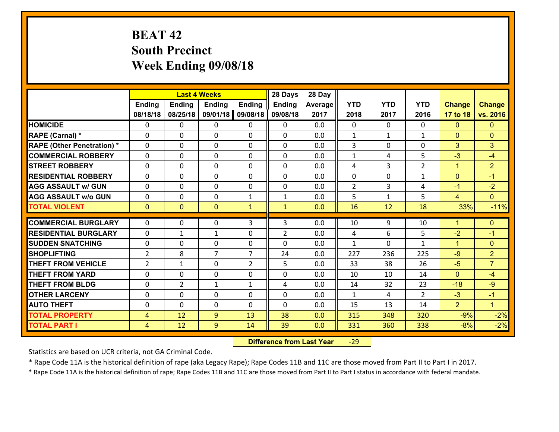# **BEAT 42 South Precinct Week Ending 09/08/18**

|                                   |                |                | <b>Last 4 Weeks</b> |                | 28 Days        | 28 Day  |                |                |                |                |                      |
|-----------------------------------|----------------|----------------|---------------------|----------------|----------------|---------|----------------|----------------|----------------|----------------|----------------------|
|                                   | Ending         | <b>Ending</b>  | <b>Ending</b>       | <b>Ending</b>  | <b>Ending</b>  | Average | <b>YTD</b>     | <b>YTD</b>     | <b>YTD</b>     | <b>Change</b>  | <b>Change</b>        |
|                                   | 08/18/18       | 08/25/18       | 09/01/18            | 09/08/18       | 09/08/18       | 2017    | 2018           | 2017           | 2016           | 17 to 18       | vs. 2016             |
| <b>HOMICIDE</b>                   | $\Omega$       | 0              | 0                   | $\Omega$       | 0              | 0.0     | 0              | $\Omega$       | 0              | $\Omega$       | $\mathbf{0}$         |
| RAPE (Carnal) *                   | $\mathbf{0}$   | 0              | $\mathbf{0}$        | 0              | $\Omega$       | 0.0     | $\mathbf{1}$   | $\mathbf{1}$   | $\mathbf{1}$   | $\mathbf{0}$   | $\mathbf{0}$         |
| <b>RAPE (Other Penetration) *</b> | $\mathbf{0}$   | 0              | $\mathbf{0}$        | $\Omega$       | $\Omega$       | 0.0     | 3              | 0              | 0              | 3              | 3                    |
| <b>COMMERCIAL ROBBERY</b>         | $\mathbf{0}$   | 0              | 0                   | $\Omega$       | $\Omega$       | 0.0     | 1              | 4              | 5              | $-3$           | $-4$                 |
| <b>STREET ROBBERY</b>             | $\mathbf{0}$   | 0              | $\mathbf{0}$        | 0              | $\Omega$       | 0.0     | 4              | 3              | $\overline{2}$ | $\mathbf{1}$   | $\overline{2}$       |
| <b>RESIDENTIAL ROBBERY</b>        | $\Omega$       | 0              | $\mathbf 0$         | 0              | 0              | 0.0     | 0              | 0              | $\mathbf{1}$   | $\mathbf{0}$   | $-1$                 |
| <b>AGG ASSAULT w/ GUN</b>         | 0              | 0              | $\mathbf 0$         | 0              | 0              | 0.0     | $\overline{2}$ | $\overline{3}$ | 4              | $-1$           | $-2$                 |
| <b>AGG ASSAULT W/o GUN</b>        | 0              | 0              | $\mathbf 0$         | $\mathbf{1}$   | $\mathbf{1}$   | 0.0     | 5              | $\mathbf{1}$   | 5              | $\overline{4}$ | $\overline{0}$       |
| <b>TOTAL VIOLENT</b>              | $\mathbf{0}$   | $\overline{0}$ | $\mathbf{0}$        | $\mathbf{1}$   | $\mathbf{1}$   | 0.0     | 16             | 12             | 18             | 33%            | $-11%$               |
| <b>COMMERCIAL BURGLARY</b>        | $\mathbf{0}$   | 0              | 0                   | 3              | 3              | 0.0     | 10             | 9              | 10             | 1              | $\mathbf{0}$         |
| <b>RESIDENTIAL BURGLARY</b>       | $\Omega$       | 1              | 1                   | $\Omega$       | $\overline{2}$ | 0.0     | 4              | 6              | 5              | $-2$           | $-1$                 |
| <b>SUDDEN SNATCHING</b>           | $\mathbf{0}$   | 0              | $\mathbf 0$         | 0              | $\Omega$       | 0.0     | $\mathbf{1}$   | 0              | $\mathbf{1}$   | $\mathbf{1}$   | $\mathbf{0}$         |
| <b>SHOPLIFTING</b>                | $\overline{2}$ | 8              | $\overline{7}$      | $\overline{7}$ | 24             | 0.0     | 227            | 236            | 225            | $-9$           | $\overline{2}$       |
| <b>THEFT FROM VEHICLE</b>         | 2              | $\mathbf{1}$   | $\mathbf 0$         | $\overline{2}$ | 5              | 0.0     | 33             | 38             | 26             | $-5$           | $\overline{7}$       |
| <b>THEFT FROM YARD</b>            | 0              | 0              | $\mathbf 0$         | 0              | 0              | 0.0     | 10             | 10             | 14             | $\mathbf{0}$   | $-4$                 |
| <b>THEFT FROM BLDG</b>            | $\mathbf{0}$   | $\overline{2}$ | 1                   | $\mathbf{1}$   | 4              | 0.0     | 14             | 32             | 23             | $-18$          | $-9$                 |
| <b>OTHER LARCENY</b>              | 0              | 0              | $\mathbf 0$         | 0              | 0              | 0.0     | $\mathbf{1}$   | 4              | $\overline{2}$ | $-3$           | $-1$                 |
| <b>AUTO THEFT</b>                 | 0              | 0              | 0                   | $\Omega$       | 0              | 0.0     | 15             | 13             | 14             | $\overline{2}$ | $\blacktriangleleft$ |
| <b>TOTAL PROPERTY</b>             | $\overline{4}$ | 12             | 9                   | 13             | 38             | 0.0     | 315            | 348            | 320            | $-9%$          | $-2%$                |
| <b>TOTAL PART I</b>               | $\overline{4}$ | 12             | 9                   | 14             | 39             | 0.0     | 331            | 360            | 338            | $-8%$          | $-2%$                |

 **Difference from Last Year**r -29

Statistics are based on UCR criteria, not GA Criminal Code.

\* Rape Code 11A is the historical definition of rape (aka Legacy Rape); Rape Codes 11B and 11C are those moved from Part II to Part I in 2017.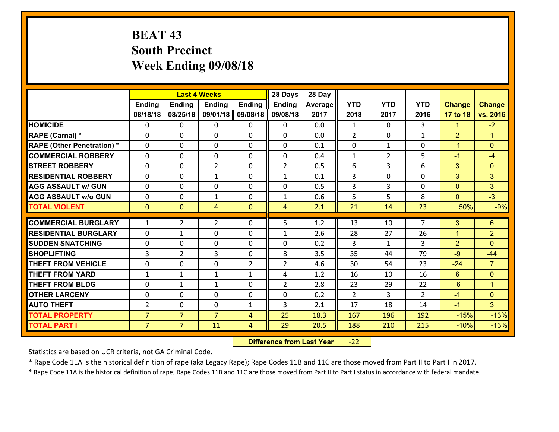# **BEAT 43 South Precinct Week Ending 09/08/18**

|                                   |                |                | <b>Last 4 Weeks</b> |                | 28 Days        | 28 Day  |                |                |                |                |                      |
|-----------------------------------|----------------|----------------|---------------------|----------------|----------------|---------|----------------|----------------|----------------|----------------|----------------------|
|                                   | <b>Ending</b>  | <b>Ending</b>  | <b>Ending</b>       | <b>Ending</b>  | <b>Ending</b>  | Average | <b>YTD</b>     | <b>YTD</b>     | <b>YTD</b>     | <b>Change</b>  | <b>Change</b>        |
|                                   | 08/18/18       | 08/25/18       | 09/01/18            | 09/08/18       | 09/08/18       | 2017    | 2018           | 2017           | 2016           | 17 to 18       | vs. 2016             |
| <b>HOMICIDE</b>                   | $\mathbf{0}$   | 0              | $\mathbf{0}$        | 0              | 0              | 0.0     | $\mathbf{1}$   | $\Omega$       | 3              | $\mathbf{1}$   | $-2$                 |
| RAPE (Carnal) *                   | 0              | 0              | $\mathbf{0}$        | 0              | $\Omega$       | 0.0     | 2              | 0              | $\mathbf{1}$   | $\overline{2}$ | $\blacktriangleleft$ |
| <b>RAPE (Other Penetration) *</b> | $\Omega$       | 0              | $\Omega$            | $\Omega$       | $\Omega$       | 0.1     | $\Omega$       | $\mathbf{1}$   | $\Omega$       | $-1$           | $\Omega$             |
| <b>COMMERCIAL ROBBERY</b>         | $\Omega$       | $\Omega$       | $\mathbf 0$         | $\Omega$       | 0              | 0.4     | $\mathbf{1}$   | $\overline{2}$ | 5              | $-1$           | $-4$                 |
| <b>STREET ROBBERY</b>             | 0              | 0              | $\overline{2}$      | 0              | $\overline{2}$ | 0.5     | 6              | 3              | 6              | 3              | $\mathbf{0}$         |
| <b>RESIDENTIAL ROBBERY</b>        | $\Omega$       | 0              | 1                   | 0              | $\mathbf{1}$   | 0.1     | 3              | 0              | 0              | 3              | 3                    |
| <b>AGG ASSAULT w/ GUN</b>         | 0              | 0              | $\mathbf 0$         | 0              | 0              | 0.5     | $\overline{3}$ | $\overline{3}$ | 0              | $\overline{0}$ | 3                    |
| <b>AGG ASSAULT w/o GUN</b>        | 0              | 0              | $\mathbf{1}$        | 0              | $\mathbf{1}$   | 0.6     | 5              | 5              | 8              | $\overline{0}$ | $-3$                 |
| <b>TOTAL VIOLENT</b>              | $\mathbf{0}$   | $\overline{0}$ | 4                   | $\overline{0}$ | $\overline{4}$ | 2.1     | 21             | 14             | 23             | 50%            | $-9%$                |
| <b>COMMERCIAL BURGLARY</b>        |                |                |                     |                | 5              |         |                |                | $\overline{7}$ |                |                      |
|                                   | $\mathbf{1}$   | $\overline{2}$ | $\overline{2}$      | 0              |                | 1.2     | 13             | 10             |                | 3              | $6\phantom{1}$       |
| <b>RESIDENTIAL BURGLARY</b>       | $\Omega$       | 1              | $\mathbf{0}$        | 0              | 1              | 2.6     | 28             | 27             | 26             | $\mathbf{1}$   | $\overline{2}$       |
| <b>SUDDEN SNATCHING</b>           | $\Omega$       | 0              | $\mathbf 0$         | $\Omega$       | $\Omega$       | 0.2     | 3              | $\mathbf{1}$   | 3              | $\overline{2}$ | $\Omega$             |
| <b>SHOPLIFTING</b>                | 3              | $\overline{2}$ | 3                   | $\Omega$       | 8              | 3.5     | 35             | 44             | 79             | $-9$           | $-44$                |
| <b>THEFT FROM VEHICLE</b>         | $\mathbf{0}$   | 0              | $\mathbf 0$         | $\overline{2}$ | $\overline{2}$ | 4.6     | 30             | 54             | 23             | $-24$          | $\overline{7}$       |
| <b>THEFT FROM YARD</b>            | $\mathbf{1}$   | $\mathbf{1}$   | 1                   | $\mathbf{1}$   | 4              | 1.2     | 16             | 10             | 16             | $6^{\circ}$    | $\overline{0}$       |
| <b>THEFT FROM BLDG</b>            | 0              | $\mathbf{1}$   | $\mathbf{1}$        | 0              | $\overline{2}$ | 2.8     | 23             | 29             | 22             | $-6$           | $\mathbf{1}$         |
| <b>OTHER LARCENY</b>              | 0              | 0              | $\mathbf 0$         | 0              | 0              | 0.2     | $\overline{2}$ | 3              | $\mathcal{L}$  | $-1$           | $\overline{0}$       |
| <b>AUTO THEFT</b>                 | $\overline{2}$ | 0              | $\mathbf 0$         | $\mathbf{1}$   | 3              | 2.1     | 17             | 18             | 14             | $-1$           | 3 <sup>1</sup>       |
| <b>TOTAL PROPERTY</b>             | $\overline{7}$ | $\overline{7}$ | $\overline{7}$      | 4              | 25             | 18.3    | 167            | 196            | 192            | $-15%$         | $-13%$               |
| <b>TOTAL PART I</b>               | $\overline{7}$ | $\overline{7}$ | 11                  | $\overline{4}$ | 29             | 20.5    | 188            | 210            | 215            | $-10%$         | $-13%$               |

 **Difference from Last Year**r -22

Statistics are based on UCR criteria, not GA Criminal Code.

\* Rape Code 11A is the historical definition of rape (aka Legacy Rape); Rape Codes 11B and 11C are those moved from Part II to Part I in 2017.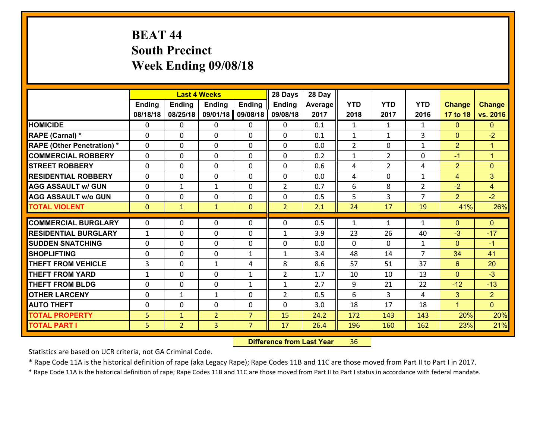# **BEAT 44 South Precinct Week Ending 09/08/18**

|                                              |                     |                                | <b>Last 4 Weeks</b> |                | 28 Days             | 28 Day      |                |                |                |                   |                                  |
|----------------------------------------------|---------------------|--------------------------------|---------------------|----------------|---------------------|-------------|----------------|----------------|----------------|-------------------|----------------------------------|
|                                              | <b>Ending</b>       | <b>Ending</b>                  | <b>Ending</b>       | <b>Ending</b>  | <b>Ending</b>       | Average     | <b>YTD</b>     | <b>YTD</b>     | <b>YTD</b>     | <b>Change</b>     | <b>Change</b>                    |
|                                              | 08/18/18            | 08/25/18                       | 09/01/18            | 09/08/18       | 09/08/18            | 2017        | 2018           | 2017           | 2016           | 17 to 18          | vs. 2016                         |
| <b>HOMICIDE</b>                              | $\mathbf{0}$        | 0                              | $\mathbf{0}$        | 0              | 0                   | 0.1         | 1              | $\mathbf{1}$   | $\mathbf{1}$   | $\mathbf{0}$      | $\mathbf{0}$                     |
| RAPE (Carnal) *                              | $\Omega$            | 0                              | $\mathbf{0}$        | 0              | $\Omega$            | 0.1         | 1              | $\mathbf{1}$   | 3              | $\mathbf{0}$      | $-2$                             |
| <b>RAPE (Other Penetration) *</b>            | $\Omega$            | $\Omega$                       | $\Omega$            | $\Omega$       | $\Omega$            | 0.0         | $\overline{2}$ | $\Omega$       | $\mathbf{1}$   | $\overline{2}$    | $\blacktriangleleft$             |
| <b>COMMERCIAL ROBBERY</b>                    | 0                   | 0                              | $\mathbf 0$         | 0              | 0                   | 0.2         | $\mathbf{1}$   | $\overline{2}$ | 0              | $-1$              | $\mathbf{1}$                     |
| <b>STREET ROBBERY</b>                        | $\Omega$            | 0                              | $\mathbf 0$         | $\Omega$       | 0                   | 0.6         | 4              | $\overline{2}$ | 4              | $\overline{2}$    | $\mathbf{0}$                     |
| <b>RESIDENTIAL ROBBERY</b>                   | $\Omega$            | $\Omega$                       | $\mathbf 0$         | $\Omega$       | 0                   | 0.0         | 4              | $\Omega$       | $\mathbf{1}$   | $\overline{4}$    | 3                                |
| <b>AGG ASSAULT w/ GUN</b>                    | $\Omega$            | $\mathbf{1}$                   | 1                   | $\Omega$       | $\overline{2}$      | 0.7         | 6              | 8              | $\overline{2}$ | $-2$              | $\overline{4}$                   |
| <b>AGG ASSAULT w/o GUN</b>                   | 0                   | 0                              | $\mathbf 0$         | 0              | 0                   | 0.5         | 5              | 3              | $\overline{7}$ | $\overline{2}$    | $-2$                             |
| <b>TOTAL VIOLENT</b>                         | $\mathbf{0}$        | $\mathbf{1}$                   | $\mathbf{1}$        | $\mathbf{0}$   | $\overline{2}$      | 2.1         | 24             | 17             | 19             | 41%               | 26%                              |
| <b>COMMERCIAL BURGLARY</b>                   | $\mathbf{0}$        | 0                              | 0                   | 0              | $\Omega$            | 0.5         | 1              | $\mathbf{1}$   | $\mathbf{1}$   | $\mathbf{0}$      | $\mathbf{0}$                     |
|                                              |                     |                                |                     |                |                     |             |                |                |                |                   |                                  |
|                                              |                     |                                |                     |                |                     |             |                |                |                |                   |                                  |
| <b>RESIDENTIAL BURGLARY</b>                  | $\mathbf{1}$        | 0                              | $\mathbf{0}$        | 0              | 1                   | 3.9         | 23             | 26             | 40             | $-3$              | $-17$                            |
| <b>SUDDEN SNATCHING</b>                      | $\Omega$            | 0                              | $\mathbf{0}$        | $\Omega$       | $\Omega$            | 0.0         | $\Omega$       | $\Omega$       | $\mathbf{1}$   | $\mathbf{0}$      | $-1$                             |
| <b>SHOPLIFTING</b>                           | 0                   | 0                              | $\mathbf 0$         | $\mathbf{1}$   | $\mathbf{1}$        | 3.4         | 48             | 14             | $\overline{7}$ | 34                | 41                               |
| <b>THEFT FROM VEHICLE</b>                    | 3                   | 0                              | $\mathbf{1}$        | 4              | 8                   | 8.6         | 57             | 51             | 37             | 6                 | 20                               |
| <b>THEFT FROM YARD</b>                       | $\mathbf{1}$        | 0                              | $\mathbf 0$         | $\mathbf{1}$   | $\overline{2}$      | 1.7         | 10             | 10             | 13             | $\mathbf{0}$      | $-3$                             |
| <b>THEFT FROM BLDG</b>                       | 0                   | 0                              | $\mathbf 0$         | $\mathbf{1}$   | $\mathbf{1}$        | 2.7         | 9              | 21             | 22<br>4        | $-12$             | $-13$                            |
| <b>OTHER LARCENY</b><br><b>AUTO THEFT</b>    | 0<br>0              | 1<br>0                         | $\mathbf{1}$        | 0<br>0         | $\overline{2}$<br>0 | 0.5         | 6              | 3<br>17        | 18             | 3<br>$\mathbf{1}$ | $\overline{2}$<br>$\overline{0}$ |
|                                              |                     |                                | $\mathbf 0$         | $\overline{7}$ |                     | 3.0<br>24.2 | 18             | 143            | 143            |                   |                                  |
| <b>TOTAL PROPERTY</b><br><b>TOTAL PART I</b> | 5<br>5 <sup>1</sup> | $\mathbf{1}$<br>$\overline{2}$ | $\overline{2}$<br>3 | $\overline{7}$ | 15<br>17            | 26.4        | 172<br>196     | 160            | 162            | 20%<br>23%        | 20%<br>21%                       |

 **Difference from Last Year**r 36

Statistics are based on UCR criteria, not GA Criminal Code.

\* Rape Code 11A is the historical definition of rape (aka Legacy Rape); Rape Codes 11B and 11C are those moved from Part II to Part I in 2017.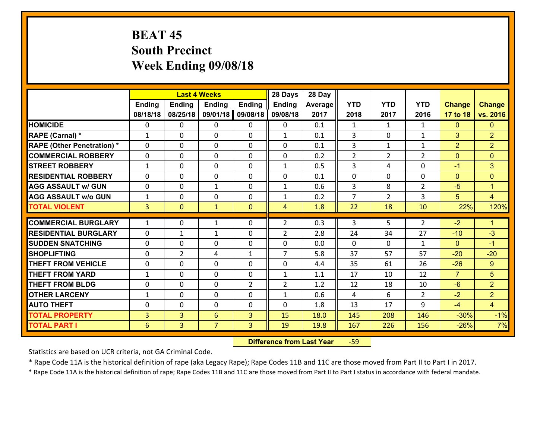# **BEAT 45 South Precinct Week Ending 09/08/18**

|                                              |                     |                                  | <b>Last 4 Weeks</b> |                | 28 Days        | 28 Day       |                |                |                |                  |                      |
|----------------------------------------------|---------------------|----------------------------------|---------------------|----------------|----------------|--------------|----------------|----------------|----------------|------------------|----------------------|
|                                              | <b>Ending</b>       | <b>Ending</b>                    | <b>Ending</b>       | <b>Ending</b>  | <b>Ending</b>  | Average      | <b>YTD</b>     | <b>YTD</b>     | <b>YTD</b>     | <b>Change</b>    | <b>Change</b>        |
|                                              | 08/18/18            | 08/25/18                         | 09/01/18            | 09/08/18       | 09/08/18       | 2017         | 2018           | 2017           | 2016           | 17 to 18         | vs. 2016             |
| <b>HOMICIDE</b>                              | 0                   | 0                                | 0                   | 0              | 0              | 0.1          | 1              | $\mathbf{1}$   | $\mathbf{1}$   | $\mathbf{0}$     | $\mathbf{0}$         |
| RAPE (Carnal) *                              | $\mathbf{1}$        | 0                                | $\mathbf{0}$        | 0              | $\mathbf{1}$   | 0.1          | 3              | $\Omega$       | $\mathbf{1}$   | 3                | $\overline{2}$       |
| <b>RAPE (Other Penetration) *</b>            | $\Omega$            | 0                                | $\Omega$            | $\Omega$       | $\Omega$       | 0.1          | 3              | $\mathbf{1}$   | $\mathbf{1}$   | $\overline{2}$   | $\overline{2}$       |
| <b>COMMERCIAL ROBBERY</b>                    | 0                   | 0                                | $\mathbf 0$         | 0              | 0              | 0.2          | 2              | $\overline{2}$ | $\overline{2}$ | $\mathbf{0}$     | $\mathbf{0}$         |
| <b>STREET ROBBERY</b>                        | $\mathbf{1}$        | 0                                | $\mathbf 0$         | $\Omega$       | $\mathbf{1}$   | 0.5          | 3              | 4              | $\Omega$       | $-1$             | 3                    |
| <b>RESIDENTIAL ROBBERY</b>                   | $\Omega$            | $\Omega$                         | $\mathbf 0$         | $\Omega$       | 0              | 0.1          | 0              | $\Omega$       | $\Omega$       | $\mathbf{0}$     | $\mathbf{0}$         |
| <b>AGG ASSAULT w/ GUN</b>                    | $\Omega$            | 0                                | $\mathbf{1}$        | $\Omega$       | $\mathbf{1}$   | 0.6          | $\overline{3}$ | 8              | $\overline{2}$ | $-5$             | $\blacktriangleleft$ |
| <b>AGG ASSAULT w/o GUN</b>                   | $\mathbf{1}$        | 0                                | $\mathbf 0$         | 0              | $\mathbf{1}$   | 0.2          | $\overline{7}$ | $\overline{2}$ | 3              | 5                | $\overline{4}$       |
| <b>TOTAL VIOLENT</b>                         | $\overline{3}$      | $\overline{0}$                   | $\mathbf{1}$        | $\mathbf{0}$   | $\overline{4}$ | 1.8          | 22             | 18             | 10             | 22%              | 120%                 |
| <b>COMMERCIAL BURGLARY</b>                   | $\mathbf{1}$        | 0                                | 1                   | 0              | $\overline{2}$ | 0.3          | 3              | 5              | 2              | $-2$             | $\blacktriangleleft$ |
| <b>RESIDENTIAL BURGLARY</b>                  | $\Omega$            | 1                                | $\mathbf{1}$        | 0              | $\overline{2}$ | 2.8          | 24             | 34             | 27             | $-10$            | $-3$                 |
| <b>SUDDEN SNATCHING</b>                      | $\Omega$            | 0                                | $\mathbf{0}$        | $\Omega$       | 0              | 0.0          | $\Omega$       | $\Omega$       | $\mathbf{1}$   |                  | $-1$                 |
|                                              |                     |                                  |                     |                |                |              |                |                |                |                  |                      |
|                                              |                     |                                  |                     |                |                |              |                |                |                | $\Omega$         |                      |
| <b>SHOPLIFTING</b>                           | 0                   | $\overline{2}$                   | 4                   | $\mathbf{1}$   | $\overline{7}$ | 5.8          | 37             | 57             | 57             | $-20$            | $-20$                |
| <b>THEFT FROM VEHICLE</b>                    | 0                   | 0                                | $\mathbf{0}$        | $\Omega$       | 0              | 4.4          | 35             | 61             | 26             | $-26$            | 9                    |
| <b>THEFT FROM YARD</b>                       | $\mathbf{1}$        | 0                                | $\mathbf 0$         | 0              | $\mathbf{1}$   | 1.1          | 17             | 10             | 12             | $\overline{7}$   | 5                    |
| <b>THEFT FROM BLDG</b>                       | 0                   | 0                                | $\mathbf 0$         | $\overline{2}$ | $\overline{2}$ | 1.2          | 12             | 18             | 10             | $-6$             | $\overline{2}$       |
| <b>OTHER LARCENY</b>                         | $\mathbf{1}$        | 0                                | $\mathbf 0$         | 0              | $\mathbf{1}$   | 0.6          | $\overline{4}$ | 6              | $\overline{2}$ | $-2$             | $\overline{2}$       |
| <b>AUTO THEFT</b>                            | $\mathbf{0}$        | 0                                | $\mathbf 0$         | 0              | 0              | 1.8          | 13             | 17             | 9              | $-4$             | $\overline{4}$       |
| <b>TOTAL PROPERTY</b><br><b>TOTAL PART I</b> | $\overline{3}$<br>6 | $\overline{3}$<br>$\overline{3}$ | 6<br>$\overline{7}$ | 3<br>3         | 15<br>19       | 18.0<br>19.8 | 145<br>167     | 208<br>226     | 146<br>156     | $-30%$<br>$-26%$ | $-1%$<br>7%          |

 **Difference from Last Year**r -59

Statistics are based on UCR criteria, not GA Criminal Code.

\* Rape Code 11A is the historical definition of rape (aka Legacy Rape); Rape Codes 11B and 11C are those moved from Part II to Part I in 2017.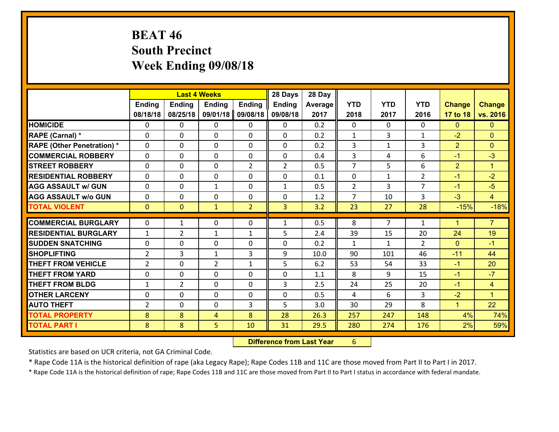# **BEAT 46 South Precinct Week Ending 09/08/18**

|                                   |                |                | <b>Last 4 Weeks</b> |                | 28 Days        | 28 Day  |                |                |                |                |                      |
|-----------------------------------|----------------|----------------|---------------------|----------------|----------------|---------|----------------|----------------|----------------|----------------|----------------------|
|                                   | <b>Ending</b>  | <b>Ending</b>  | <b>Ending</b>       | Ending         | <b>Ending</b>  | Average | <b>YTD</b>     | <b>YTD</b>     | <b>YTD</b>     | <b>Change</b>  | <b>Change</b>        |
|                                   | 08/18/18       | 08/25/18       | 09/01/18            | 09/08/18       | 09/08/18       | 2017    | 2018           | 2017           | 2016           | 17 to 18       | vs. 2016             |
| <b>HOMICIDE</b>                   | 0              | 0              | 0                   | 0              | 0              | 0.2     | $\Omega$       | $\Omega$       | 0              | $\mathbf{0}$   | $\mathbf{0}$         |
| RAPE (Carnal) *                   | 0              | 0              | $\mathbf{0}$        | 0              | $\Omega$       | 0.2     | 1              | 3              | $\mathbf{1}$   | $-2$           | $\mathbf{0}$         |
| <b>RAPE (Other Penetration) *</b> | $\Omega$       | 0              | $\mathbf{0}$        | $\Omega$       | $\Omega$       | 0.2     | 3              | 1              | 3              | $\overline{2}$ | $\mathbf{0}$         |
| <b>COMMERCIAL ROBBERY</b>         | $\Omega$       | 0              | $\mathbf{0}$        | 0              | 0              | 0.4     | 3              | 4              | 6              | $-1$           | $-3$                 |
| <b>STREET ROBBERY</b>             | 0              | 0              | $\mathbf 0$         | $\overline{2}$ | $\overline{2}$ | 0.5     | $\overline{7}$ | 5              | 6              | $\overline{2}$ | $\blacktriangleleft$ |
| <b>RESIDENTIAL ROBBERY</b>        | $\Omega$       | 0              | 0                   | $\Omega$       | 0              | 0.1     | $\mathbf{0}$   | $\mathbf{1}$   | $\overline{2}$ | $-1$           | $-2$                 |
| <b>AGG ASSAULT w/ GUN</b>         | 0              | 0              | 1                   | 0              | $\mathbf{1}$   | 0.5     | $\overline{2}$ | 3              | $\overline{7}$ | $-1$           | $-5$                 |
| <b>AGG ASSAULT w/o GUN</b>        | 0              | 0              | $\mathbf 0$         | 0              | 0              | 1.2     | $\overline{7}$ | 10             | 3              | $-3$           | $\overline{4}$       |
| <b>TOTAL VIOLENT</b>              | $\mathbf{0}$   | $\mathbf{0}$   | $\mathbf{1}$        | $\overline{2}$ | $\overline{3}$ | 3.2     | 23             | 27             | 28             | $-15%$         | $-18%$               |
|                                   |                |                |                     |                |                |         |                |                |                |                |                      |
| <b>COMMERCIAL BURGLARY</b>        | 0              | 1              | $\mathbf{0}$        | 0              | $\mathbf{1}$   | 0.5     | 8              | $\overline{7}$ | $\mathbf{1}$   | $\mathbf 1$    | $\overline{7}$       |
| <b>RESIDENTIAL BURGLARY</b>       | $\mathbf{1}$   | 2              | 1                   | 1              | 5              | 2.4     | 39             | 15             | 20             | 24             | 19                   |
| <b>SUDDEN SNATCHING</b>           | 0              | 0              | 0                   | 0              | $\Omega$       | 0.2     | $\mathbf{1}$   | $\mathbf{1}$   | $\overline{2}$ | $\mathbf{0}$   | $-1$                 |
| <b>SHOPLIFTING</b>                | $\overline{2}$ | 3              | $\mathbf{1}$        | 3              | 9              | 10.0    | 90             | 101            | 46             | $-11$          | 44                   |
| <b>THEFT FROM VEHICLE</b>         | $\overline{2}$ | 0              | $\overline{2}$      | $\mathbf{1}$   | 5              | 6.2     | 53             | 54             | 33             | $-1$           | 20                   |
| <b>THEFT FROM YARD</b>            | $\mathbf{0}$   | 0              | $\mathbf{0}$        | $\Omega$       | $\Omega$       | 1.1     | 8              | 9              | 15             | $-1$           | $-7$                 |
| <b>THEFT FROM BLDG</b>            | $\mathbf{1}$   | $\overline{2}$ | $\mathbf{0}$        | 0              | $\mathbf{3}$   | 2.5     | 24             | 25             | 20             | $-1$           | $\overline{4}$       |
| <b>OTHER LARCENY</b>              | $\mathbf{0}$   | 0              | $\mathbf{0}$        | $\Omega$       | 0              | 0.5     | 4              | 6              | 3              | $-2$           | $\blacktriangleleft$ |
| <b>AUTO THEFT</b>                 | $\overline{2}$ | 0              | 0                   | 3              | 5              | 3.0     | 30             | 29             | 8              | $\mathbf{1}$   | 22                   |
| <b>TOTAL PROPERTY</b>             | 8              | 8              | 4                   | 8              | 28             | 26.3    | 257            | 247            | 148            | 4%             | 74%                  |
| <b>TOTAL PART I</b>               | 8              | 8              | 5                   | 10             | 31             | 29.5    | 280            | 274            | 176            | 2%             | 59%                  |

 **Difference from Last Year**r 6

Statistics are based on UCR criteria, not GA Criminal Code.

\* Rape Code 11A is the historical definition of rape (aka Legacy Rape); Rape Codes 11B and 11C are those moved from Part II to Part I in 2017.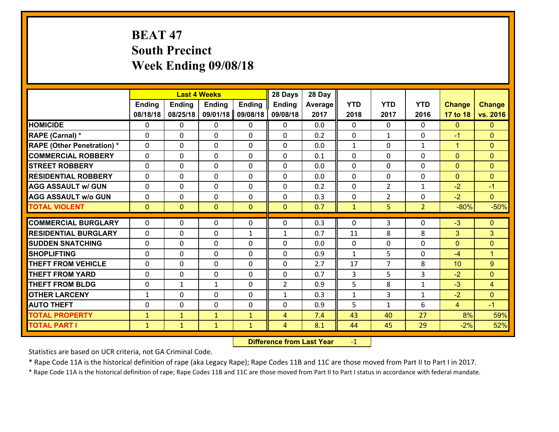# **BEAT 47 South Precinct Week Ending 09/08/18**

|                                              |                              |                              | <b>Last 4 Weeks</b>          |                              | 28 Days             | 28 Day     |              |                |                |                |                      |
|----------------------------------------------|------------------------------|------------------------------|------------------------------|------------------------------|---------------------|------------|--------------|----------------|----------------|----------------|----------------------|
|                                              | <b>Ending</b>                | <b>Ending</b>                | <b>Ending</b>                | <b>Ending</b>                | <b>Ending</b>       | Average    | <b>YTD</b>   | <b>YTD</b>     | <b>YTD</b>     | <b>Change</b>  | <b>Change</b>        |
|                                              | 08/18/18                     | 08/25/18                     | 09/01/18                     | 09/08/18                     | 09/08/18            | 2017       | 2018         | 2017           | 2016           | 17 to 18       | vs. 2016             |
| <b>HOMICIDE</b>                              | $\mathbf{0}$                 | 0                            | 0                            | 0                            | 0                   | 0.0        | $\Omega$     | $\Omega$       | $\Omega$       | $\mathbf{0}$   | $\mathbf{0}$         |
| RAPE (Carnal) *                              | $\Omega$                     | 0                            | $\mathbf{0}$                 | 0                            | $\Omega$            | 0.2        | $\mathbf{0}$ | $\mathbf{1}$   | $\Omega$       | $-1$           | $\mathbf{0}$         |
| <b>RAPE (Other Penetration) *</b>            | $\Omega$                     | $\Omega$                     | $\Omega$                     | $\Omega$                     | $\Omega$            | 0.0        | $\mathbf{1}$ | $\Omega$       | $\mathbf{1}$   | $\mathbf{1}$   | $\Omega$             |
| <b>COMMERCIAL ROBBERY</b>                    | 0                            | 0                            | $\mathbf 0$                  | 0                            | 0                   | 0.1        | 0            | $\mathbf{0}$   | 0              | $\mathbf{0}$   | $\mathbf{0}$         |
| <b>STREET ROBBERY</b>                        | $\Omega$                     | 0                            | $\mathbf 0$                  | $\Omega$                     | 0                   | 0.0        | $\Omega$     | $\Omega$       | $\Omega$       | $\mathbf{0}$   | $\mathbf{0}$         |
| <b>RESIDENTIAL ROBBERY</b>                   | $\Omega$                     | $\Omega$                     | $\mathbf 0$                  | $\Omega$                     | 0                   | 0.0        | $\Omega$     | $\Omega$       | 0              | $\mathbf{0}$   | $\mathbf{0}$         |
| <b>AGG ASSAULT w/ GUN</b>                    | $\Omega$                     | 0                            | $\mathbf 0$                  | $\Omega$                     | 0                   | 0.2        | 0            | $\overline{2}$ | $\mathbf{1}$   | $-2$           | $-1$                 |
| <b>AGG ASSAULT w/o GUN</b>                   | 0                            | 0                            | $\mathbf 0$                  | 0                            | 0                   | 0.3        | $\mathbf 0$  | $\overline{2}$ | 0              | $-2$           | $\overline{0}$       |
| <b>TOTAL VIOLENT</b>                         | $\mathbf{0}$                 | $\overline{0}$               | $\mathbf{0}$                 | $\mathbf{0}$                 | $\mathbf{0}$        | 0.7        | $\mathbf{1}$ | 5              | $\overline{2}$ | $-80%$         | $-50%$               |
| <b>COMMERCIAL BURGLARY</b>                   | $\Omega$                     | 0                            | 0                            | 0                            | 0                   | 0.3        | $\mathbf{0}$ | 3              | $\Omega$       | $-3$           | $\mathbf{0}$         |
| <b>RESIDENTIAL BURGLARY</b>                  | $\Omega$                     | 0                            | $\mathbf{0}$                 | $\mathbf{1}$                 | 1                   | 0.7        | 11           | 8              | 8              | 3              | 3                    |
| <b>SUDDEN SNATCHING</b>                      | $\Omega$                     | 0                            | $\mathbf{0}$                 | $\Omega$                     | $\Omega$            | 0.0        | $\Omega$     | $\Omega$       | $\Omega$       | $\mathbf{0}$   | $\mathbf{0}$         |
| <b>SHOPLIFTING</b>                           | 0                            | 0                            | $\mathbf 0$                  | 0                            | 0                   | 0.9        | $\mathbf{1}$ | 5              | $\Omega$       | $-4$           | $\blacktriangleleft$ |
| <b>THEFT FROM VEHICLE</b>                    | $\Omega$                     | 0                            | $\mathbf{0}$                 | $\Omega$                     | 0                   | 2.7        | 17           | $\overline{7}$ | 8              | 10             | 9                    |
| <b>THEFT FROM YARD</b>                       | 0                            | 0                            | $\mathbf 0$                  | 0                            | 0                   | 0.7        | 3            | 5              | 3              | $-2$           | $\mathbf{0}$         |
| <b>THEFT FROM BLDG</b>                       | 0                            | 1                            | $\mathbf{1}$                 | 0                            | $\overline{2}$      | 0.9        | 5            | 8              | $\mathbf{1}$   | $-3$           | $\overline{4}$       |
| <b>OTHER LARCENY</b>                         | $\mathbf{1}$                 | 0                            | $\mathbf 0$                  | 0                            | $\mathbf{1}$        | 0.3        | $\mathbf 1$  | 3              | $\mathbf{1}$   | $-2$           | $\mathbf{0}$         |
| <b>AUTO THEFT</b>                            | 0                            | 0                            | $\mathbf 0$                  | 0                            | 0                   | 0.9        | 5            | $\mathbf{1}$   | 6              | $\overline{4}$ | $-1$                 |
|                                              |                              |                              |                              |                              |                     |            |              |                |                |                |                      |
|                                              |                              |                              |                              |                              |                     |            |              |                |                |                |                      |
| <b>TOTAL PROPERTY</b><br><b>TOTAL PART I</b> | $\mathbf{1}$<br>$\mathbf{1}$ | $\mathbf{1}$<br>$\mathbf{1}$ | $\mathbf{1}$<br>$\mathbf{1}$ | $\mathbf{1}$<br>$\mathbf{1}$ | 4<br>$\overline{4}$ | 7.4<br>8.1 | 43<br>44     | 40<br>45       | 27<br>29       | 8%<br>$-2%$    | 59%<br>52%           |

 **Difference from Last Year**r -1

Statistics are based on UCR criteria, not GA Criminal Code.

\* Rape Code 11A is the historical definition of rape (aka Legacy Rape); Rape Codes 11B and 11C are those moved from Part II to Part I in 2017.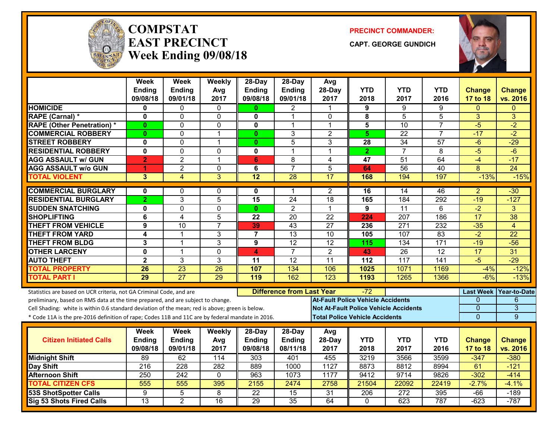

#### **COMPSTATEAST PRECINCTWeek Ending 09/08/18**

**PRECINCT COMMANDER:**

**CAPT. GEORGE GUNDICH**



|                                                                                                  | <b>Week</b>     | <b>Week</b>     | Weekly                  | 28-Day                                  | 28-Day                  | Avg                                          |                |                 |                 |                           |                           |
|--------------------------------------------------------------------------------------------------|-----------------|-----------------|-------------------------|-----------------------------------------|-------------------------|----------------------------------------------|----------------|-----------------|-----------------|---------------------------|---------------------------|
|                                                                                                  | Ending          | Ending          | Avg                     | Ending                                  | Ending                  | 28-Day                                       | <b>YTD</b>     | <b>YTD</b>      | <b>YTD</b>      | <b>Change</b>             | <b>Change</b>             |
|                                                                                                  | 09/08/18        | 09/01/18        | 2017                    | 09/08/18                                | 09/01/18                | 2017                                         | 2018           | 2017            | 2016            | 17 to 18                  | vs. 2016                  |
| <b>HOMICIDE</b>                                                                                  | 0               | 0               | 0                       | $\mathbf{0}$                            | 2                       |                                              | 9              | 9               | 9               | 0                         | $\Omega$                  |
| RAPE (Carnal) *                                                                                  | 0               | 0               | $\mathbf 0$             | $\mathbf{0}$                            | 1                       | $\mathbf{0}$                                 | 8              | 5               | $\overline{5}$  | 3                         | 3                         |
| <b>RAPE (Other Penetration) *</b>                                                                | $\bf{0}$        | 0               | 0                       | 0                                       | 1                       | $\mathbf{1}$                                 | 5              | 10              | $\overline{7}$  | $-5$                      | $-2$                      |
| <b>COMMERCIAL ROBBERY</b>                                                                        | $\mathbf{0}$    | 0               | $\overline{1}$          | $\mathbf{0}$                            | 3                       | $\overline{2}$                               | 5 <sup>5</sup> | $\overline{22}$ | $\overline{7}$  | $-17$                     | $-2$                      |
| <b>STREET ROBBERY</b>                                                                            | 0               | 0               | $\overline{\mathbf{1}}$ | $\mathbf{0}$                            | 5                       | 3                                            | 28             | 34              | 57              | $-6$                      | $-29$                     |
| <b>RESIDENTIAL ROBBERY</b>                                                                       | $\mathbf{0}$    | $\overline{0}$  | $\Omega$                | $\overline{\mathbf{0}}$                 | $\mathbf 1$             | 1                                            | $\overline{2}$ | $\overline{7}$  | 8               | $-5$                      | $-6$                      |
| <b>AGG ASSAULT w/ GUN</b>                                                                        | $\overline{2}$  | $\overline{2}$  | $\overline{1}$          | 6                                       | 8                       | 4                                            | 47             | 51              | 64              | $-4$                      | $-17$                     |
| <b>AGG ASSAULT w/o GUN</b>                                                                       | 1               | $\overline{2}$  | $\mathbf 0$             | 6                                       | $\overline{7}$          | $\overline{5}$                               | 64             | 56              | $\overline{40}$ | $\overline{8}$            | $\overline{24}$           |
| <b>TOTAL VIOLENT</b>                                                                             | $\overline{3}$  | $\overline{4}$  | $\overline{3}$          | 12                                      | 28                      | 17                                           | 168            | 194             | 197             | $-13%$                    | $-15%$                    |
| <b>COMMERCIAL BURGLARY</b>                                                                       | $\mathbf{0}$    | 0               | $\mathbf{0}$            | 0                                       | 1                       | $\overline{c}$                               | 16             | 14              | 46              | $\overline{2}$            | $-30$                     |
| <b>RESIDENTIAL BURGLARY</b>                                                                      | $\overline{2}$  | $\overline{3}$  | $\overline{5}$          | 15                                      | $\overline{24}$         | 18                                           | 165            | 184             | 292             | $-19$                     | $-127$                    |
| <b>SUDDEN SNATCHING</b>                                                                          | $\mathbf 0$     | $\overline{0}$  | $\mathbf 0$             | $\mathbf{0}$                            | $\overline{2}$          | $\mathbf{1}$                                 | 9              | $\overline{11}$ | 6               | $-2$                      | 3                         |
| <b>SHOPLIFTING</b>                                                                               | 6               | 4               | 5                       | 22                                      | 20                      | 22                                           | 224            | 207             | 186             | 17                        | 38                        |
| <b>THEFT FROM VEHICLE</b>                                                                        | 9               | 10              | $\overline{7}$          | 39                                      | 43                      | $\overline{27}$                              | 236            | 271             | 232             | $-35$                     | $\overline{4}$            |
| <b>THEFT FROM YARD</b>                                                                           | 4               | 1               | 3                       | $\overline{7}$                          | $\overline{13}$         | 10                                           | 105            | 107             | 83              | $-2$                      | $\overline{22}$           |
| <b>THEFT FROM BLDG</b>                                                                           | 3               | 1               | 3                       | 9                                       | $\overline{12}$         | 12                                           | 115            | 134             | 171             | $-19$                     | $-56$                     |
| <b>OTHER LARCENY</b>                                                                             | $\mathbf 0$     | $\mathbf 1$     | $\mathbf 0$             | 4                                       | $\overline{7}$          | $\overline{2}$                               | 43             | $\overline{26}$ | $\overline{12}$ | 17                        | $\overline{31}$           |
| <b>AUTO THEFT</b>                                                                                | $\overline{2}$  | 3               | $\overline{3}$          | 11                                      | $\overline{12}$         | $\overline{11}$                              | 112            | 117             | 141             | $-5$                      | $-29$                     |
| <b>TOTAL PROPERTY</b>                                                                            | 26              | 23              | 26                      | 107                                     | 134                     | 106                                          | 1025           | 1071            | 1169            | $-4%$                     | $-12%$                    |
| <b>TOTAL PART I</b>                                                                              | 29              | $\overline{27}$ | 29                      | 119                                     | 162                     | 123                                          | 1193           | 1265            | 1366            | $-6%$                     | $-13%$                    |
| Statistics are based on UCR criteria, not GA Criminal Code, and are                              |                 |                 |                         | <b>Difference from Last Year</b><br>-72 |                         |                                              |                |                 |                 | <b>Last Week</b>          | Year-to-Date              |
| preliminary, based on RMS data at the time prepared, and are subject to change.                  |                 |                 |                         |                                         |                         | <b>At-Fault Police Vehicle Accidents</b>     |                |                 |                 | 0                         | 6                         |
| Cell Shading: white is within 0.6 standard deviation of the mean; red is above; green is below.  |                 |                 |                         |                                         |                         | <b>Not At-Fault Police Vehicle Accidents</b> |                |                 |                 | $\overline{0}$            | $\overline{3}$            |
| * Code 11A is the pre-2016 definition of rape; Codes 11B and 11C are by federal mandate in 2016. |                 |                 |                         |                                         |                         | <b>Total Police Vehicle Accidents</b>        |                |                 |                 | $\overline{0}$            | 9                         |
|                                                                                                  | Week            | <b>Week</b>     |                         |                                         |                         |                                              |                |                 |                 |                           |                           |
| <b>Citizen Initiated Calls</b>                                                                   | Ending          | Ending          | Weekly                  | 28-Day<br>Ending                        | 28-Day<br><b>Ending</b> | Avg<br>28-Day                                | <b>YTD</b>     | <b>YTD</b>      | <b>YTD</b>      |                           |                           |
|                                                                                                  | 09/08/18        | 09/01/18        | Avg<br>2017             | 09/08/18                                | 08/11/18                | 2017                                         | 2018           | 2017            | 2016            | <b>Change</b><br>17 to 18 | <b>Change</b><br>vs. 2016 |
| <b>Midnight Shift</b>                                                                            | 89              | 62              | 114                     | 303                                     | 401                     | 455                                          | 3219           | 3566            | 3599            | $-347$                    | $-380$                    |
| Day Shift                                                                                        | 216             | 228             | 282                     | 889                                     | 1000                    | 1127                                         | 8873           | 8812            | 8994            | 61                        | $-121$                    |
| <b>Afternoon Shift</b>                                                                           | 250             | 242             | $\mathbf 0$             | 963                                     | 1073                    | 1177                                         | 9412           | 9714            | 9826            | $-302$                    | $-414$                    |
| <b>TOTAL CITIZEN CFS</b>                                                                         | 555             | 555             | 395                     | 2155                                    | 2474                    | 2758                                         | 21504          | 22092           | 22419           | $-2.7%$                   | $-4.1%$                   |
| 53S ShotSpotter Calls                                                                            | 9               | 5               | 8                       | $\overline{22}$                         | 15                      | 31                                           | 206            | 272             | 395             | $-66$                     | $-189$                    |
| Sig 53 Shots Fired Calls                                                                         | $\overline{13}$ | $\overline{2}$  | 16                      | 29                                      | $\overline{35}$         | 64                                           | $\mathbf{0}$   | 623             | 787             | $-623$                    | $-787$                    |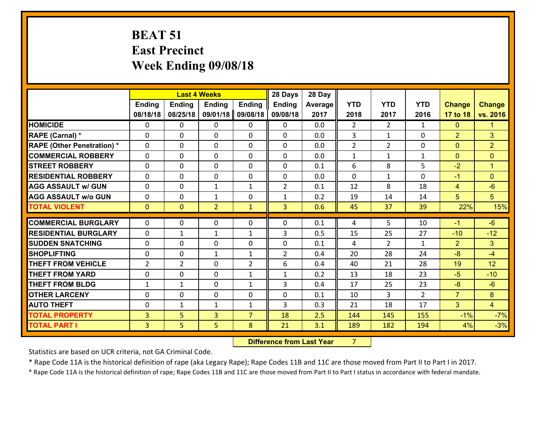# **BEAT 51 East Precinct Week Ending 09/08/18**

|                                   |                | <b>Last 4 Weeks</b> |                |                | 28 Days        | 28 Day  |                |                |                |                |                |
|-----------------------------------|----------------|---------------------|----------------|----------------|----------------|---------|----------------|----------------|----------------|----------------|----------------|
|                                   | Ending         | <b>Ending</b>       | <b>Ending</b>  | <b>Ending</b>  | <b>Ending</b>  | Average | <b>YTD</b>     | <b>YTD</b>     | <b>YTD</b>     | <b>Change</b>  | <b>Change</b>  |
|                                   | 08/18/18       | 08/25/18            | 09/01/18       | 09/08/18       | 09/08/18       | 2017    | 2018           | 2017           | 2016           | 17 to 18       | vs. 2016       |
| <b>HOMICIDE</b>                   | $\Omega$       | 0                   | 0              | $\Omega$       | 0              | 0.0     | $\overline{2}$ | $\overline{2}$ | $\mathbf{1}$   | $\mathbf{0}$   | 1.             |
| RAPE (Carnal) *                   | $\mathbf{0}$   | 0                   | $\mathbf{0}$   | 0              | $\Omega$       | 0.0     | 3              | $\mathbf{1}$   | 0              | $\overline{2}$ | 3              |
| <b>RAPE (Other Penetration) *</b> | $\Omega$       | 0                   | $\mathbf{0}$   | $\Omega$       | $\Omega$       | 0.0     | $\overline{2}$ | $\overline{2}$ | 0              | $\mathbf{0}$   | $\overline{2}$ |
| <b>COMMERCIAL ROBBERY</b>         | 0              | 0                   | 0              | 0              | 0              | 0.0     | $\mathbf{1}$   | $\mathbf{1}$   | $\mathbf{1}$   | $\mathbf{0}$   | $\overline{0}$ |
| <b>STREET ROBBERY</b>             | $\Omega$       | 0                   | 0              | 0              | 0              | 0.1     | 6              | 8              | 5              | $-2$           | $\mathbf{1}$   |
| <b>RESIDENTIAL ROBBERY</b>        | $\Omega$       | 0                   | 0              | 0              | 0              | 0.0     | $\Omega$       | $\mathbf{1}$   | $\Omega$       | $-1$           | $\Omega$       |
| <b>AGG ASSAULT w/ GUN</b>         | $\Omega$       | 0                   | $\mathbf{1}$   | $\mathbf{1}$   | $\overline{2}$ | 0.1     | 12             | 8              | 18             | $\overline{4}$ | $-6$           |
| <b>AGG ASSAULT w/o GUN</b>        | 0              | 0                   | $\mathbf{1}$   | 0              | $\mathbf{1}$   | 0.2     | 19             | 14             | 14             | 5 <sup>5</sup> | 5 <sup>5</sup> |
| <b>TOTAL VIOLENT</b>              | $\overline{0}$ | $\mathbf{0}$        | $\overline{2}$ | $\mathbf{1}$   | $\overline{3}$ | 0.6     | 45             | 37             | 39             | 22%            | 15%            |
| <b>COMMERCIAL BURGLARY</b>        | $\Omega$       | 0                   | $\mathbf{0}$   | $\Omega$       | $\Omega$       | 0.1     | 4              | 5              | 10             | $-1$           | $-6$           |
| <b>RESIDENTIAL BURGLARY</b>       | 0              | $\mathbf{1}$        | $\mathbf{1}$   | $\mathbf{1}$   | 3              | 0.5     | 15             | 25             | 27             | $-10$          | $-12$          |
| <b>SUDDEN SNATCHING</b>           | 0              | 0                   | 0              | 0              | 0              | 0.1     | 4              | $\overline{2}$ | $\mathbf{1}$   | $\overline{2}$ | 3 <sup>1</sup> |
| <b>SHOPLIFTING</b>                | 0              | 0                   | $\mathbf{1}$   | $\mathbf{1}$   | $\overline{2}$ | 0.4     | 20             | 28             | 24             | $-8$           | $-4$           |
| <b>THEFT FROM VEHICLE</b>         | $\overline{2}$ | $\overline{2}$      | 0              | $\overline{2}$ | 6              | 0.4     | 40             | 21             | 28             | 19             | 12             |
| <b>THEFT FROM YARD</b>            | $\mathbf 0$    | 0                   | 0              | $\mathbf{1}$   | $\mathbf{1}$   | 0.2     | 13             | 18             | 23             | $-5$           | $-10$          |
| <b>THEFT FROM BLDG</b>            | $\mathbf{1}$   | $\mathbf{1}$        | 0              | $\mathbf{1}$   | 3              | 0.4     | 17             | 25             | 23             | $-8$           | $-6$           |
| <b>OTHER LARCENY</b>              | 0              | 0                   | 0              | 0              | 0              | 0.1     | 10             | 3              | $\overline{2}$ | $\overline{7}$ | 8              |
| <b>AUTO THEFT</b>                 | 0              | $\mathbf{1}$        | $\mathbf{1}$   | $\mathbf{1}$   | 3              | 0.3     | 21             | 18             | 17             | 3              | $\overline{4}$ |
| <b>TOTAL PROPERTY</b>             | $\overline{3}$ | 5                   | 3              | $\overline{7}$ | 18             | 2.5     | 144            | 145            | 155            | $-1%$          | $-7%$          |
| <b>TOTAL PART I</b>               | $\overline{3}$ | 5                   | 5              | 8              | 21             | 3.1     | 189            | 182            | 194            | 4%             | $-3%$          |
|                                   |                |                     |                |                |                |         |                |                |                |                |                |

 **Difference from Last Year**r 7

Statistics are based on UCR criteria, not GA Criminal Code.

\* Rape Code 11A is the historical definition of rape (aka Legacy Rape); Rape Codes 11B and 11C are those moved from Part II to Part I in 2017.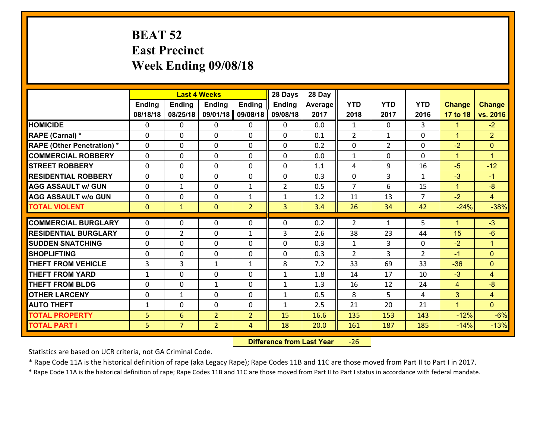# **BEAT 52 East Precinct Week Ending 09/08/18**

|                                   |                | <b>Last 4 Weeks</b> |                |                | 28 Days        | 28 Day  |                |                |                |                      |                |
|-----------------------------------|----------------|---------------------|----------------|----------------|----------------|---------|----------------|----------------|----------------|----------------------|----------------|
|                                   | Ending         | <b>Ending</b>       | <b>Ending</b>  | <b>Ending</b>  | <b>Ending</b>  | Average | <b>YTD</b>     | <b>YTD</b>     | <b>YTD</b>     | <b>Change</b>        | <b>Change</b>  |
|                                   | 08/18/18       | 08/25/18            | 09/01/18       | 09/08/18       | 09/08/18       | 2017    | 2018           | 2017           | 2016           | 17 to 18             | vs. 2016       |
| <b>HOMICIDE</b>                   | $\Omega$       | 0                   | $\Omega$       | 0              | $\Omega$       | 0.0     | $\mathbf{1}$   | $\Omega$       | 3              | 1                    | $-2$           |
| RAPE (Carnal) *                   | $\Omega$       | 0                   | $\mathbf{0}$   | $\Omega$       | 0              | 0.1     | 2              | $\mathbf{1}$   | $\Omega$       | $\blacktriangleleft$ | $\overline{2}$ |
| <b>RAPE (Other Penetration) *</b> | $\Omega$       | 0                   | $\Omega$       | $\Omega$       | 0              | 0.2     | $\Omega$       | $\overline{2}$ | $\Omega$       | $-2$                 | $\mathbf{0}$   |
| <b>COMMERCIAL ROBBERY</b>         | $\mathbf 0$    | 0                   | $\mathbf{0}$   | $\Omega$       | 0              | 0.0     | $\mathbf{1}$   | $\Omega$       | 0              | $\blacktriangleleft$ | $\mathbf{1}$   |
| <b>STREET ROBBERY</b>             | $\mathbf 0$    | 0                   | $\mathbf 0$    | 0              | 0              | 1.1     | 4              | 9              | 16             | $-5$                 | $-12$          |
| <b>RESIDENTIAL ROBBERY</b>        | $\mathbf{0}$   | 0                   | $\Omega$       | 0              | $\Omega$       | 0.3     | $\mathbf 0$    | 3              | $\mathbf{1}$   | $-3$                 | $-1$           |
| <b>AGG ASSAULT w/ GUN</b>         | $\mathbf 0$    | $\mathbf{1}$        | $\mathbf 0$    | $\mathbf{1}$   | $\overline{2}$ | 0.5     | $\overline{7}$ | 6              | 15             | $\blacktriangleleft$ | $-8$           |
| <b>AGG ASSAULT w/o GUN</b>        | $\mathbf 0$    | 0                   | $\mathbf 0$    | $\mathbf{1}$   | $\mathbf{1}$   | 1.2     | 11             | 13             | $\overline{7}$ | $-2$                 | $\overline{4}$ |
| <b>TOTAL VIOLENT</b>              | $\overline{0}$ | $\mathbf{1}$        | $\overline{0}$ | $\overline{2}$ | $\overline{3}$ | 3.4     | 26             | 34             | 42             | $-24%$               | $-38%$         |
| <b>COMMERCIAL BURGLARY</b>        | $\Omega$       | 0                   | $\Omega$       | $\Omega$       | 0              | 0.2     | $\mathcal{L}$  | $\mathbf{1}$   | 5              | 1                    | $-3$           |
| <b>RESIDENTIAL BURGLARY</b>       | $\mathbf 0$    | $\overline{2}$      | 0              | $\mathbf{1}$   | 3              | 2.6     | 38             | 23             | 44             | 15                   | $-6$           |
| <b>SUDDEN SNATCHING</b>           | $\mathbf 0$    | 0                   | $\mathbf 0$    | 0              | 0              | 0.3     | $\mathbf{1}$   | 3              | 0              | $-2$                 | $\mathbf{1}$   |
| <b>SHOPLIFTING</b>                | $\mathbf 0$    | 0                   | $\mathbf 0$    | 0              | $\Omega$       | 0.3     | $\mathcal{L}$  | 3              | $\overline{2}$ | $-1$                 | $\overline{0}$ |
| <b>THEFT FROM VEHICLE</b>         | 3              | 3                   | $\mathbf{1}$   | $\mathbf{1}$   | 8              | 7.2     | 33             | 69             | 33             | $-36$                | $\Omega$       |
| <b>THEFT FROM YARD</b>            | $\mathbf{1}$   | 0                   | $\mathbf 0$    | $\mathbf 0$    | $\mathbf{1}$   | 1.8     | 14             | 17             | 10             | $-3$                 | $\overline{4}$ |
| <b>THEFT FROM BLDG</b>            | $\mathbf 0$    | 0                   | $\mathbf{1}$   | 0              | 1              | 1.3     | 16             | 12             | 24             | $\overline{4}$       | $-8$           |
| <b>OTHER LARCENY</b>              | $\mathbf 0$    | $\mathbf{1}$        | $\mathbf 0$    | 0              | $\mathbf{1}$   | 0.5     | 8              | 5              | 4              | 3                    | $\overline{4}$ |
| <b>AUTO THEFT</b>                 | $\mathbf{1}$   | $\mathbf{0}$        | $\mathbf{0}$   | 0              | $\mathbf{1}$   | 2.5     | 21             | 20             | 21             | $\blacktriangleleft$ | $\overline{0}$ |
| <b>TOTAL PROPERTY</b>             | 5              | 6                   | $\overline{2}$ | $\overline{2}$ | 15             | 16.6    | 135            | 153            | 143            | $-12%$               | $-6%$          |
| <b>TOTAL PART I</b>               | 5              | $\overline{7}$      | $\overline{2}$ | $\overline{4}$ | 18             | 20.0    | 161            | 187            | 185            | $-14%$               | $-13%$         |
|                                   |                |                     |                |                |                |         |                |                |                |                      |                |

 **Difference from Last Year**‐26

Statistics are based on UCR criteria, not GA Criminal Code.

\* Rape Code 11A is the historical definition of rape (aka Legacy Rape); Rape Codes 11B and 11C are those moved from Part II to Part I in 2017.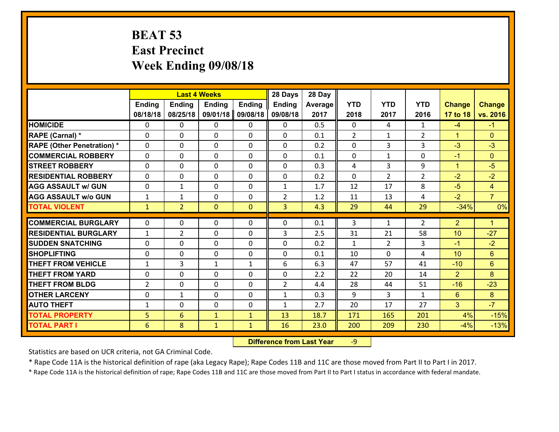#### **BEAT 53 East Precinct Week Ending 09/08/18**

|                                   | <b>Last 4 Weeks</b> |                |                |               | 28 Days        | 28 Day  |              |                |                |                      |                 |
|-----------------------------------|---------------------|----------------|----------------|---------------|----------------|---------|--------------|----------------|----------------|----------------------|-----------------|
|                                   | Ending              | <b>Ending</b>  | <b>Ending</b>  | <b>Ending</b> | <b>Ending</b>  | Average | <b>YTD</b>   | <b>YTD</b>     | <b>YTD</b>     | <b>Change</b>        | <b>Change</b>   |
|                                   | 08/18/18            | 08/25/18       | 09/01/18       | 09/08/18      | 09/08/18       | 2017    | 2018         | 2017           | 2016           | 17 to 18             | vs. 2016        |
| <b>HOMICIDE</b>                   | $\Omega$            | 0              | $\Omega$       | 0             | $\Omega$       | 0.5     | $\Omega$     | 4              | $\mathbf{1}$   | $-4$                 | $-1$            |
| RAPE (Carnal) *                   | $\Omega$            | 0              | $\mathbf{0}$   | $\Omega$      | 0              | 0.1     | 2            | $\mathbf{1}$   | $\overline{2}$ | $\blacktriangleleft$ | $\mathbf{0}$    |
| <b>RAPE (Other Penetration) *</b> | $\Omega$            | 0              | $\Omega$       | $\Omega$      | 0              | 0.2     | $\Omega$     | 3              | 3              | $-3$                 | $-3$            |
| <b>COMMERCIAL ROBBERY</b>         | $\mathbf 0$         | 0              | $\mathbf{0}$   | $\Omega$      | 0              | 0.1     | $\mathbf{0}$ | $\mathbf{1}$   | 0              | $-1$                 | $\mathbf{0}$    |
| <b>STREET ROBBERY</b>             | $\Omega$            | 0              | $\mathbf 0$    | 0             | $\Omega$       | 0.3     | 4            | 3              | 9              | $\blacktriangleleft$ | $-5$            |
| <b>RESIDENTIAL ROBBERY</b>        | $\mathbf{0}$        | 0              | $\Omega$       | 0             | $\Omega$       | 0.2     | $\Omega$     | $\overline{2}$ | $\overline{2}$ | $-2$                 | $-2$            |
| <b>AGG ASSAULT w/ GUN</b>         | $\mathbf 0$         | $\mathbf{1}$   | $\mathbf 0$    | 0             | $\mathbf{1}$   | 1.7     | 12           | 17             | 8              | $-5$                 | $\overline{4}$  |
| <b>AGG ASSAULT w/o GUN</b>        | $\mathbf{1}$        | $\mathbf{1}$   | $\mathbf 0$    | 0             | $\overline{2}$ | 1.2     | 11           | 13             | 4              | $-2$                 | $\overline{7}$  |
| <b>TOTAL VIOLENT</b>              | $\mathbf{1}$        | $\overline{2}$ | $\overline{0}$ | $\mathbf{0}$  | $\overline{3}$ | 4.3     | 29           | 44             | 29             | $-34%$               | 0%              |
| <b>COMMERCIAL BURGLARY</b>        | $\Omega$            | 0              | $\Omega$       | $\Omega$      | 0              | 0.1     | 3            | $\mathbf{1}$   | $\overline{2}$ | $\overline{2}$       | $\mathbf{1}$    |
| <b>RESIDENTIAL BURGLARY</b>       | $\mathbf{1}$        | $\overline{2}$ | $\mathbf 0$    | 0             | 3              | 2.5     | 31           | 21             | 58             | 10                   | $-27$           |
| <b>SUDDEN SNATCHING</b>           | $\mathbf 0$         | 0              | $\mathbf 0$    | 0             | 0              | 0.2     | $\mathbf{1}$ | $\overline{2}$ | 3              | $-1$                 | $-2$            |
| <b>SHOPLIFTING</b>                | $\mathbf 0$         | 0              | $\mathbf 0$    | 0             | 0              | 0.1     | 10           | $\Omega$       | 4              | 10                   | 6               |
| <b>THEFT FROM VEHICLE</b>         | $\mathbf{1}$        | 3              | $\mathbf{1}$   | $\mathbf{1}$  | 6              | 6.3     | 47           | 57             | 41             | $-10$                | $6\overline{6}$ |
| <b>THEFT FROM YARD</b>            | $\mathbf 0$         | 0              | $\mathbf 0$    | $\mathbf 0$   | 0              | 2.2     | 22           | 20             | 14             | $\overline{2}$       | 8               |
| <b>THEFT FROM BLDG</b>            | $\overline{2}$      | 0              | $\mathbf 0$    | 0             | $\overline{2}$ | 4.4     | 28           | 44             | 51             | $-16$                | $-23$           |
| <b>OTHER LARCENY</b>              | $\mathbf 0$         | $\mathbf{1}$   | $\mathbf 0$    | 0             | $\mathbf{1}$   | 0.3     | 9            | 3              | $\mathbf{1}$   | $6^{\circ}$          | 8               |
| <b>AUTO THEFT</b>                 | $\mathbf{1}$        | $\mathbf{0}$   | $\mathbf{0}$   | 0             | $\mathbf{1}$   | 2.7     | 20           | 17             | 27             | $\mathbf{3}$         | $-7$            |
| <b>TOTAL PROPERTY</b>             | 5                   | 6              | $\mathbf{1}$   | $\mathbf{1}$  | 13             | 18.7    | 171          | 165            | 201            | 4%                   | $-15%$          |
| <b>TOTAL PART I</b>               | 6                   | 8              | $\mathbf{1}$   | $\mathbf{1}$  | 16             | 23.0    | 200          | 209            | 230            | $-4%$                | $-13%$          |

 **Difference from Last Year**r -9

Statistics are based on UCR criteria, not GA Criminal Code.

\* Rape Code 11A is the historical definition of rape (aka Legacy Rape); Rape Codes 11B and 11C are those moved from Part II to Part I in 2017.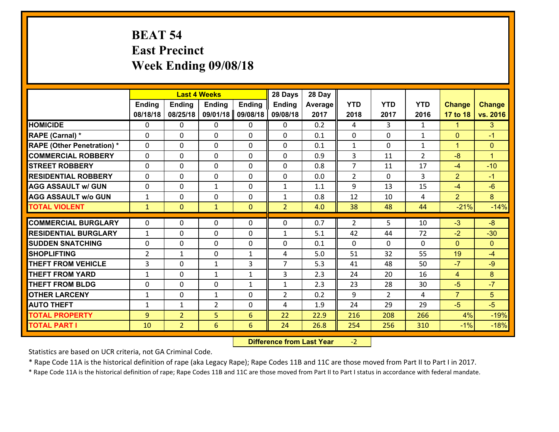## **BEAT 54 East Precinct Week Ending 09/08/18**

|                                   | <b>Last 4 Weeks</b> |                |                |               | 28 Days        | 28 Day  |                |                |                |                |                |
|-----------------------------------|---------------------|----------------|----------------|---------------|----------------|---------|----------------|----------------|----------------|----------------|----------------|
|                                   | <b>Ending</b>       | <b>Ending</b>  | <b>Ending</b>  | <b>Ending</b> | <b>Ending</b>  | Average | <b>YTD</b>     | <b>YTD</b>     | <b>YTD</b>     | <b>Change</b>  | <b>Change</b>  |
|                                   | 08/18/18            | 08/25/18       | 09/01/18       | 09/08/18      | 09/08/18       | 2017    | 2018           | 2017           | 2016           | 17 to 18       | vs. 2016       |
| <b>HOMICIDE</b>                   | $\Omega$            | 0              | 0              | 0             | 0              | 0.2     | 4              | 3              | $\mathbf{1}$   | 1.             | 3              |
| RAPE (Carnal) *                   | $\Omega$            | 0              | $\mathbf{0}$   | 0             | $\Omega$       | 0.1     | $\Omega$       | $\Omega$       | $\mathbf{1}$   | $\mathbf{0}$   | $-1$           |
| <b>RAPE (Other Penetration) *</b> | 0                   | 0              | $\mathbf 0$    | 0             | 0              | 0.1     | $\mathbf{1}$   | 0              | $\mathbf{1}$   | $\mathbf{1}$   | $\overline{0}$ |
| <b>COMMERCIAL ROBBERY</b>         | 0                   | 0              | $\mathbf 0$    | 0             | 0              | 0.9     | 3              | 11             | $\overline{2}$ | $-8$           | $\mathbf{1}$   |
| <b>STREET ROBBERY</b>             | $\mathbf{0}$        | 0              | $\mathbf 0$    | 0             | 0              | 0.8     | $\overline{7}$ | 11             | 17             | $-4$           | $-10$          |
| <b>RESIDENTIAL ROBBERY</b>        | 0                   | 0              | $\mathbf 0$    | $\mathbf{0}$  | 0              | 0.0     | $\overline{2}$ | $\mathbf{0}$   | 3              | $\overline{2}$ | $-1$           |
| <b>AGG ASSAULT w/ GUN</b>         | 0                   | 0              | 1              | 0             | $\mathbf{1}$   | 1.1     | 9              | 13             | 15             | $-4$           | $-6$           |
| <b>AGG ASSAULT w/o GUN</b>        | $\mathbf{1}$        | 0              | 0              | $\mathbf{0}$  | $\mathbf{1}$   | 0.8     | 12             | 10             | 4              | $\overline{2}$ | 8              |
| <b>TOTAL VIOLENT</b>              | $\mathbf{1}$        | $\mathbf{0}$   | $\mathbf{1}$   | $\mathbf{0}$  | $\overline{2}$ | 4.0     | 38             | 48             | 44             | $-21%$         | $-14%$         |
| <b>COMMERCIAL BURGLARY</b>        | $\mathbf{0}$        | 0              | $\mathbf{0}$   | 0             | 0              | 0.7     | 2              | 5.             | 10             | $-3$           | $-8$           |
| <b>RESIDENTIAL BURGLARY</b>       | $\mathbf{1}$        | 0              | 0              | 0             | $\mathbf{1}$   | 5.1     | 42             | 44             | 72             | $-2$           | $-30$          |
| <b>SUDDEN SNATCHING</b>           | $\mathbf{0}$        | 0              | $\mathbf 0$    | 0             | 0              | 0.1     | $\mathbf{0}$   | $\mathbf{0}$   | 0              | $\mathbf{0}$   | $\mathbf{0}$   |
| <b>SHOPLIFTING</b>                | $\overline{2}$      | 1              | $\mathbf 0$    | $\mathbf{1}$  | 4              | 5.0     | 51             | 32             | 55             | 19             | $-4$           |
| <b>THEFT FROM VEHICLE</b>         | 3                   | 0              | 1              | 3             | $\overline{7}$ | 5.3     | 41             | 48             | 50             | $-7$           | $-9$           |
| <b>THEFT FROM YARD</b>            | $\mathbf{1}$        | 0              | 1              | $\mathbf{1}$  | 3              | 2.3     | 24             | 20             | 16             | 4              | 8              |
| <b>THEFT FROM BLDG</b>            | 0                   | 0              | $\mathbf 0$    | $\mathbf{1}$  | $\mathbf{1}$   | 2.3     | 23             | 28             | 30             | $-5$           | $-7$           |
| <b>OTHER LARCENY</b>              | $\mathbf{1}$        | 0              | $\mathbf{1}$   | 0             | $\overline{2}$ | 0.2     | 9              | $\overline{2}$ | 4              | $\overline{7}$ | 5              |
| <b>AUTO THEFT</b>                 | $\mathbf{1}$        | $\mathbf{1}$   | $\overline{2}$ | 0             | 4              | 1.9     | 24             | 29             | 29             | $-5$           | $-5$           |
| <b>TOTAL PROPERTY</b>             | 9                   | $\overline{2}$ | 5              | 6             | 22             | 22.9    | 216            | 208            | 266            | 4%             | $-19%$         |
| <b>TOTAL PART I</b>               | 10                  | $\overline{2}$ | 6              | 6             | 24             | 26.8    | 254            | 256            | 310            | $-1%$          | $-18%$         |

 **Difference from Last Year**‐2

Statistics are based on UCR criteria, not GA Criminal Code.

\* Rape Code 11A is the historical definition of rape (aka Legacy Rape); Rape Codes 11B and 11C are those moved from Part II to Part I in 2017.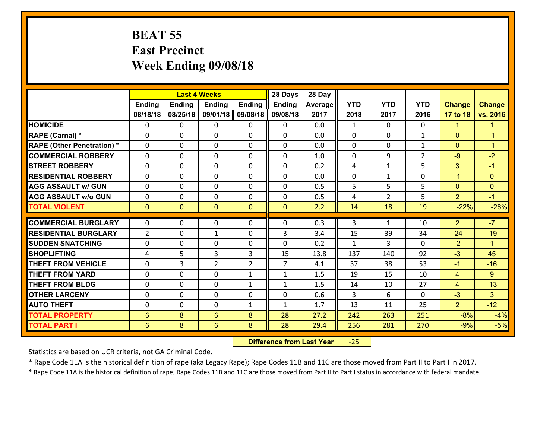#### **BEAT 55 East Precinct Week Ending 09/08/18**

|                                   | <b>Last 4 Weeks</b> |                |                 |                | 28 Days        | 28 Day  |              |                |                |                |                    |
|-----------------------------------|---------------------|----------------|-----------------|----------------|----------------|---------|--------------|----------------|----------------|----------------|--------------------|
|                                   | <b>Ending</b>       | <b>Ending</b>  | <b>Ending</b>   | <b>Ending</b>  | <b>Ending</b>  | Average | <b>YTD</b>   | <b>YTD</b>     | <b>YTD</b>     | <b>Change</b>  | <b>Change</b>      |
|                                   | 08/18/18            | 08/25/18       | 09/01/18        | 09/08/18       | 09/08/18       | 2017    | 2018         | 2017           | 2016           | 17 to 18       | vs. 2016           |
| <b>HOMICIDE</b>                   | $\Omega$            | 0              | 0               | 0              | 0              | 0.0     | 1            | $\Omega$       | 0              | 1              | -1                 |
| RAPE (Carnal) *                   | $\Omega$            | 0              | $\mathbf{0}$    | 0              | $\Omega$       | 0.0     | $\Omega$     | $\Omega$       | $\mathbf{1}$   | $\Omega$       | $-1$               |
| <b>RAPE (Other Penetration) *</b> | 0                   | 0              | $\mathbf 0$     | 0              | 0              | 0.0     | 0            | 0              | $\mathbf{1}$   | $\mathbf{0}$   | $-1$               |
| <b>COMMERCIAL ROBBERY</b>         | 0                   | 0              | $\mathbf 0$     | 0              | 0              | 1.0     | $\mathbf 0$  | 9              | $\overline{2}$ | $-9$           | $-2$               |
| <b>STREET ROBBERY</b>             | 0                   | 0              | $\mathbf 0$     | 0              | 0              | 0.2     | 4            | $\mathbf{1}$   | 5              | 3              | $-1$               |
| <b>RESIDENTIAL ROBBERY</b>        | $\Omega$            | 0              | $\mathbf 0$     | 0              | 0              | 0.0     | $\mathbf 0$  | $\mathbf{1}$   | 0              | $-1$           | $\overline{0}$     |
| <b>AGG ASSAULT w/ GUN</b>         | 0                   | 0              | $\mathbf 0$     | 0              | 0              | 0.5     | 5            | 5              | 5              | $\overline{0}$ | $\overline{0}$     |
| <b>AGG ASSAULT w/o GUN</b>        | 0                   | 0              | $\mathbf 0$     | $\Omega$       | $\mathbf 0$    | 0.5     | 4            | $\overline{2}$ | 5              | $\overline{2}$ | $-1$               |
| <b>TOTAL VIOLENT</b>              | $\mathbf{O}$        | $\overline{0}$ | $\overline{0}$  | $\mathbf{0}$   | $\mathbf{0}$   | 2.2     | 14           | 18             | 19             | $-22%$         | $-26%$             |
| <b>COMMERCIAL BURGLARY</b>        | $\mathbf{0}$        | 0              | $\mathbf{0}$    | 0              | $\Omega$       | 0.3     | 3            | $\mathbf{1}$   | 10             | 2              | $-7$               |
|                                   |                     |                |                 |                |                |         |              |                |                |                |                    |
| <b>RESIDENTIAL BURGLARY</b>       | $\overline{2}$      | 0              | 1               | 0              | 3              | 3.4     | 15           | 39             | 34             | $-24$          | $-19$              |
| <b>SUDDEN SNATCHING</b>           | 0                   | 0              | $\mathbf 0$     | 0              | 0              | 0.2     | $\mathbf{1}$ | 3              | $\Omega$<br>92 | $-2$           | $\mathbf{1}$<br>45 |
| <b>SHOPLIFTING</b>                | 4                   | 5              | 3               | $\overline{3}$ | 15             | 13.8    | 137          | 140            |                | $-3$           |                    |
| <b>THEFT FROM VEHICLE</b>         | 0                   | 3              | $\overline{2}$  | $\overline{2}$ | $\overline{7}$ | 4.1     | 37           | 38             | 53             | $-1$           | $-16$              |
| <b>THEFT FROM YARD</b>            | 0                   | 0              | $\mathbf 0$     | $\mathbf{1}$   | $\mathbf{1}$   | 1.5     | 19           | 15             | 10             | $\overline{4}$ | 9                  |
| <b>THEFT FROM BLDG</b>            | 0                   | 0              | $\mathbf 0$     | $\mathbf{1}$   | $\mathbf{1}$   | 1.5     | 14           | 10             | 27             | $\overline{4}$ | $-13$              |
| <b>OTHER LARCENY</b>              | 0                   | 0              | $\mathbf 0$     | 0              | $\mathbf 0$    | 0.6     | 3            | 6              | 0              | $-3$           | 3                  |
| <b>AUTO THEFT</b>                 | 0                   | 0              | $\mathbf 0$     | $\mathbf{1}$   | $\mathbf{1}$   | 1.7     | 13           | 11             | 25             | $\overline{2}$ | $-12$              |
| <b>TOTAL PROPERTY</b>             | 6                   | 8              | 6               | 8              | 28             | 27.2    | 242          | 263            | 251            | $-8%$          | $-4%$              |
| <b>TOTAL PART I</b>               | 6                   | 8              | $6\overline{6}$ | 8              | 28             | 29.4    | 256          | 281            | 270            | $-9%$          | $-5%$              |

 **Difference from Last Year**‐25

Statistics are based on UCR criteria, not GA Criminal Code.

\* Rape Code 11A is the historical definition of rape (aka Legacy Rape); Rape Codes 11B and 11C are those moved from Part II to Part I in 2017.